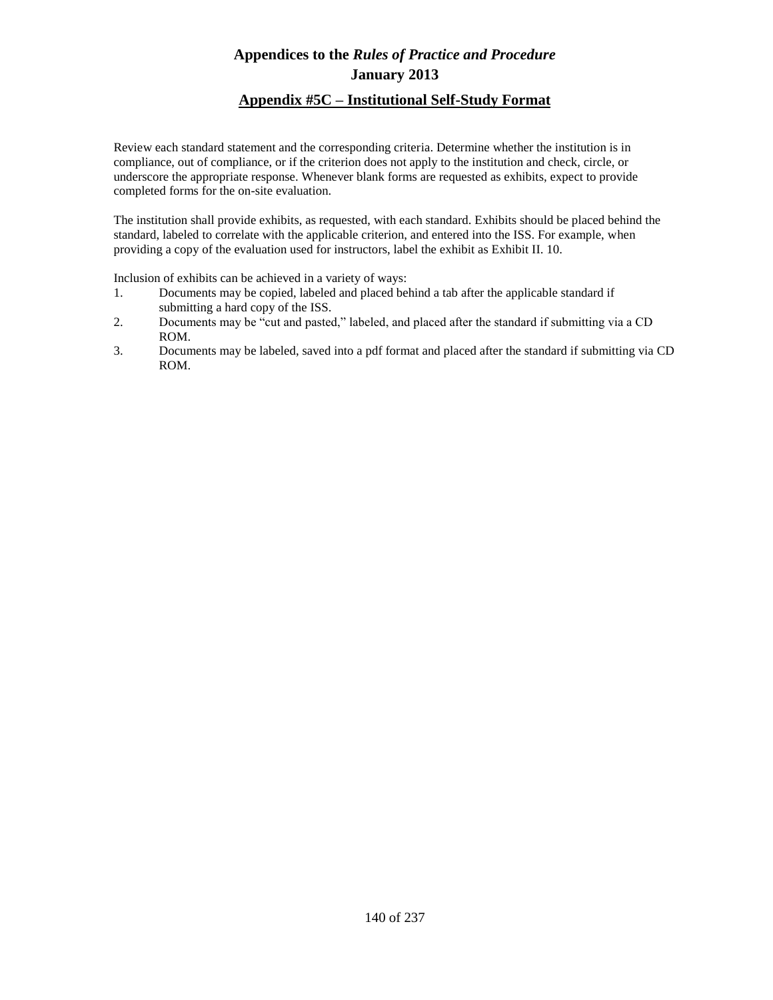### **Appendix #5C – Institutional Self-Study Format**

Review each standard statement and the corresponding criteria. Determine whether the institution is in compliance, out of compliance, or if the criterion does not apply to the institution and check, circle, or underscore the appropriate response. Whenever blank forms are requested as exhibits, expect to provide completed forms for the on-site evaluation.

The institution shall provide exhibits, as requested, with each standard. Exhibits should be placed behind the standard, labeled to correlate with the applicable criterion, and entered into the ISS. For example, when providing a copy of the evaluation used for instructors, label the exhibit as Exhibit II. 10.

Inclusion of exhibits can be achieved in a variety of ways:

- 1. Documents may be copied, labeled and placed behind a tab after the applicable standard if submitting a hard copy of the ISS.
- 2. Documents may be "cut and pasted," labeled, and placed after the standard if submitting via a CD ROM.
- 3. Documents may be labeled, saved into a pdf format and placed after the standard if submitting via CD ROM.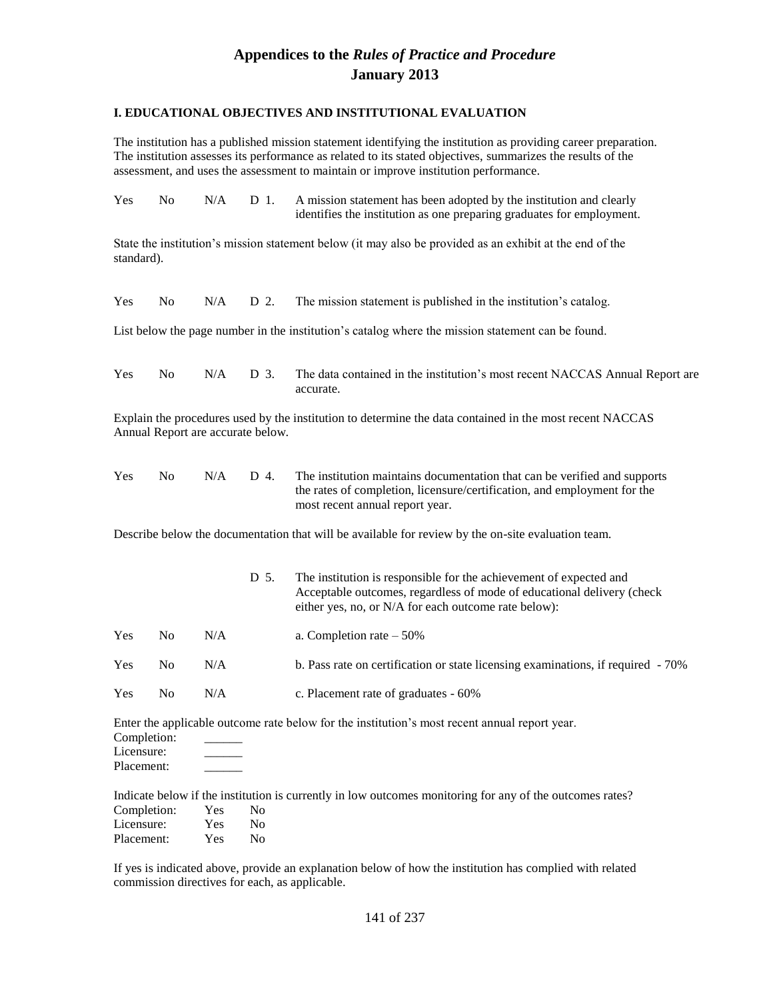#### **I. EDUCATIONAL OBJECTIVES AND INSTITUTIONAL EVALUATION**

The institution has a published mission statement identifying the institution as providing career preparation. The institution assesses its performance as related to its stated objectives, summarizes the results of the assessment, and uses the assessment to maintain or improve institution performance.

| <b>Yes</b> | No. |  | $N/A$ D 1. A mission statement has been adopted by the institution and clearly |
|------------|-----|--|--------------------------------------------------------------------------------|
|            |     |  | identifies the institution as one preparing graduates for employment.          |
|            |     |  |                                                                                |

State the institution's mission statement below (it may also be provided as an exhibit at the end of the standard).

|  |  |  |  |  | Yes No N/A D 2. The mission statement is published in the institution's catalog. |
|--|--|--|--|--|----------------------------------------------------------------------------------|
|--|--|--|--|--|----------------------------------------------------------------------------------|

List below the page number in the institution's catalog where the mission statement can be found.

| Yes |  | No N/A D 3. The data contained in the institution's most recent NACCAS Annual Report are |
|-----|--|------------------------------------------------------------------------------------------|
|     |  | accurate.                                                                                |

Explain the procedures used by the institution to determine the data contained in the most recent NACCAS Annual Report are accurate below.

| <b>Yes</b> | No. | N/A | D 4. The institution maintains documentation that can be verified and supports |
|------------|-----|-----|--------------------------------------------------------------------------------|
|            |     |     | the rates of completion, licensure/certification, and employment for the       |
|            |     |     | most recent annual report year.                                                |

Describe below the documentation that will be available for review by the on-site evaluation team.

|     |     |     | D 5. | The institution is responsible for the achievement of expected and<br>Acceptable outcomes, regardless of mode of educational delivery (check<br>either yes, no, or N/A for each outcome rate below): |
|-----|-----|-----|------|------------------------------------------------------------------------------------------------------------------------------------------------------------------------------------------------------|
| Yes | No. | N/A |      | a. Completion rate $-50\%$                                                                                                                                                                           |
| Yes | No. | N/A |      | b. Pass rate on certification or state licensing examinations, if required - 70%                                                                                                                     |
| Yes | No. | N/A |      | c. Placement rate of graduates - 60%                                                                                                                                                                 |

Enter the applicable outcome rate below for the institution's most recent annual report year. Completion:

Licensure:

Placement:

Indicate below if the institution is currently in low outcomes monitoring for any of the outcomes rates? mpletion:  $V_c$ 

| Completion: | y es       | N0 |
|-------------|------------|----|
| Licensure:  | Yes        | Nο |
| Placement:  | <b>Yes</b> | Nο |

If yes is indicated above, provide an explanation below of how the institution has complied with related commission directives for each, as applicable.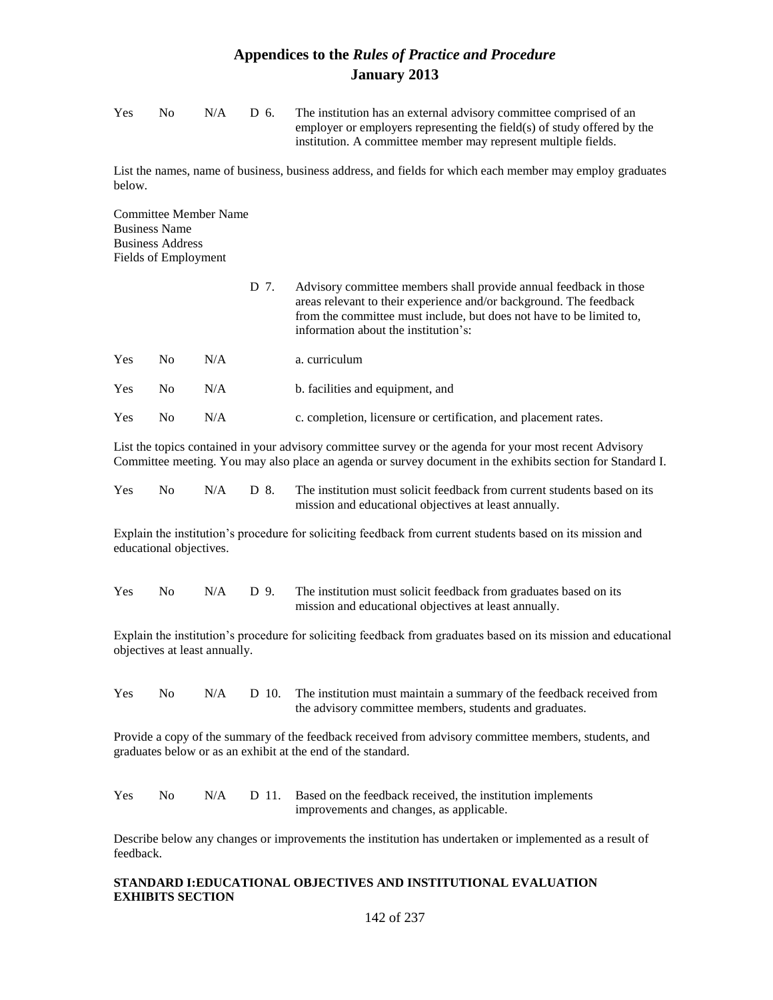| <b>Yes</b> | $N_{\Omega}$ | N/A | D 6. | The institution has an external advisory committee comprised of an      |
|------------|--------------|-----|------|-------------------------------------------------------------------------|
|            |              |     |      | employer or employers representing the field(s) of study offered by the |
|            |              |     |      | institution. A committee member may represent multiple fields.          |

List the names, name of business, business address, and fields for which each member may employ graduates below.

Committee Member Name Business Name Business Address Fields of Employment

|            |     |     | D 7. | Advisory committee members shall provide annual feedback in those<br>areas relevant to their experience and/or background. The feedback<br>from the committee must include, but does not have to be limited to,<br>information about the institution's: |
|------------|-----|-----|------|---------------------------------------------------------------------------------------------------------------------------------------------------------------------------------------------------------------------------------------------------------|
| Yes        | No. | N/A |      | a. curriculum                                                                                                                                                                                                                                           |
| Yes        | No. | N/A |      | b. facilities and equipment, and                                                                                                                                                                                                                        |
| <b>Yes</b> | No. | N/A |      | c. completion, licensure or certification, and placement rates.                                                                                                                                                                                         |

List the topics contained in your advisory committee survey or the agenda for your most recent Advisory Committee meeting. You may also place an agenda or survey document in the exhibits section for Standard I.

| <b>Yes</b> |  | $\overline{N}$ No $\overline{N}/A$ D 8. The institution must solicit feedback from current students based on its |
|------------|--|------------------------------------------------------------------------------------------------------------------|
|            |  | mission and educational objectives at least annually.                                                            |

Explain the institution's procedure for soliciting feedback from current students based on its mission and educational objectives.

| <b>Yes</b> | No 1 | $N/A$ D 9. | The institution must solicit feedback from graduates based on its |
|------------|------|------------|-------------------------------------------------------------------|
|            |      |            | mission and educational objectives at least annually.             |

Explain the institution's procedure for soliciting feedback from graduates based on its mission and educational objectives at least annually.

Yes No N/A D 10. The institution must maintain a summary of the feedback received from the advisory committee members, students and graduates.

Provide a copy of the summary of the feedback received from advisory committee members, students, and graduates below or as an exhibit at the end of the standard.

| <b>Yes</b> | $N_{\Omega}$ |  | $N/A$ D 11. Based on the feedback received, the institution implements |
|------------|--------------|--|------------------------------------------------------------------------|
|            |              |  | improvements and changes, as applicable.                               |

Describe below any changes or improvements the institution has undertaken or implemented as a result of feedback.

### **STANDARD I:EDUCATIONAL OBJECTIVES AND INSTITUTIONAL EVALUATION EXHIBITS SECTION**

142 of 237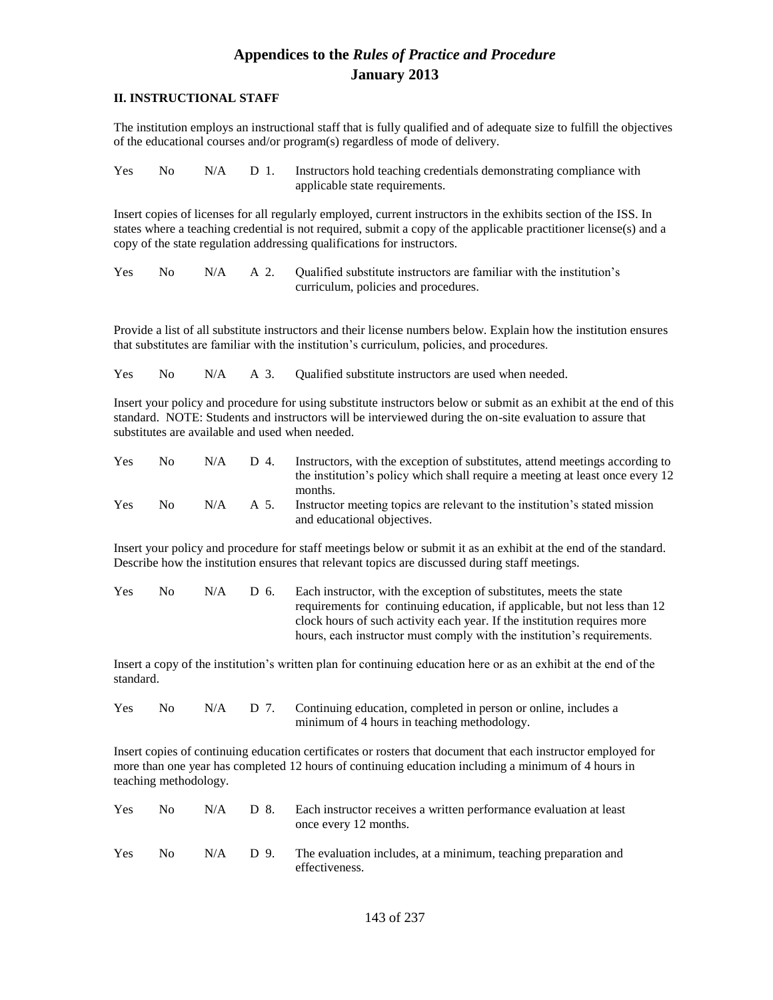#### **II. INSTRUCTIONAL STAFF**

The institution employs an instructional staff that is fully qualified and of adequate size to fulfill the objectives of the educational courses and/or program(s) regardless of mode of delivery.

| <b>Yes</b> |  | No N/A D 1. Instructors hold teaching credentials demonstrating compliance with |
|------------|--|---------------------------------------------------------------------------------|
|            |  | applicable state requirements.                                                  |

Insert copies of licenses for all regularly employed, current instructors in the exhibits section of the ISS. In states where a teaching credential is not required, submit a copy of the applicable practitioner license(s) and a copy of the state regulation addressing qualifications for instructors.

Yes No N/A A 2. Qualified substitute instructors are familiar with the institution's curriculum, policies and procedures.

Provide a list of all substitute instructors and their license numbers below. Explain how the institution ensures that substitutes are familiar with the institution's curriculum, policies, and procedures.

Yes No N/A A 3. Qualified substitute instructors are used when needed.

Insert your policy and procedure for using substitute instructors below or submit as an exhibit at the end of this standard. NOTE: Students and instructors will be interviewed during the on-site evaluation to assure that substitutes are available and used when needed.

| Yes | $N_{\Omega}$ | N/A | D 4. | Instructors, with the exception of substitutes, attend meetings according to<br>the institution's policy which shall require a meeting at least once every 12 |
|-----|--------------|-----|------|---------------------------------------------------------------------------------------------------------------------------------------------------------------|
| Yes | $N_{\Omega}$ | N/A | A 5. | months.<br>Instructor meeting topics are relevant to the institution's stated mission<br>and educational objectives.                                          |

Insert your policy and procedure for staff meetings below or submit it as an exhibit at the end of the standard. Describe how the institution ensures that relevant topics are discussed during staff meetings.

| <b>Yes</b> | $N_{\Omega}$ | N/A | D 6. | Each instructor, with the exception of substitutes, meets the state        |
|------------|--------------|-----|------|----------------------------------------------------------------------------|
|            |              |     |      | requirements for continuing education, if applicable, but not less than 12 |
|            |              |     |      | clock hours of such activity each year. If the institution requires more   |
|            |              |     |      | hours, each instructor must comply with the institution's requirements.    |

Insert a copy of the institution's written plan for continuing education here or as an exhibit at the end of the standard.

| <b>Yes</b> | No 11 |  | N/A D 7. Continuing education, completed in person or online, includes a |
|------------|-------|--|--------------------------------------------------------------------------|
|            |       |  | minimum of 4 hours in teaching methodology.                              |

Insert copies of continuing education certificates or rosters that document that each instructor employed for more than one year has completed 12 hours of continuing education including a minimum of 4 hours in teaching methodology.

| <b>Yes</b> | No. | N/A | D 8. | Each instructor receives a written performance evaluation at least<br>once every 12 months.  |
|------------|-----|-----|------|----------------------------------------------------------------------------------------------|
| <b>Yes</b> | No. |     |      | $N/A$ D 9. The evaluation includes, at a minimum, teaching preparation and<br>effectiveness. |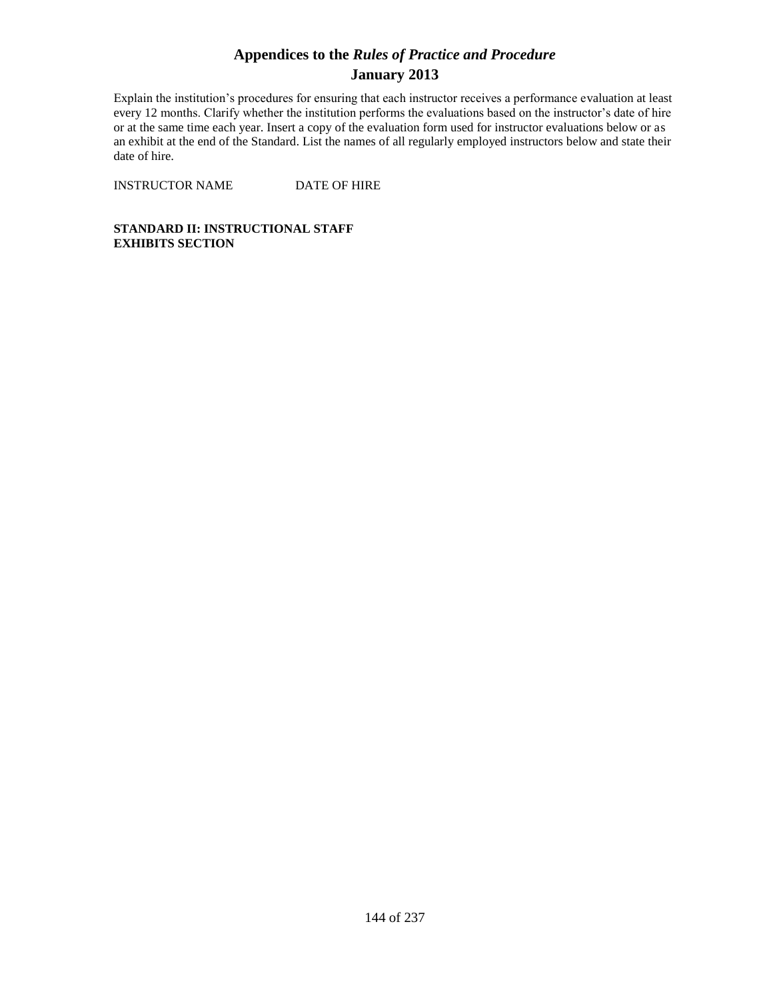Explain the institution's procedures for ensuring that each instructor receives a performance evaluation at least every 12 months. Clarify whether the institution performs the evaluations based on the instructor's date of hire or at the same time each year. Insert a copy of the evaluation form used for instructor evaluations below or as an exhibit at the end of the Standard. List the names of all regularly employed instructors below and state their date of hire.

INSTRUCTOR NAME DATE OF HIRE

**STANDARD II: INSTRUCTIONAL STAFF EXHIBITS SECTION**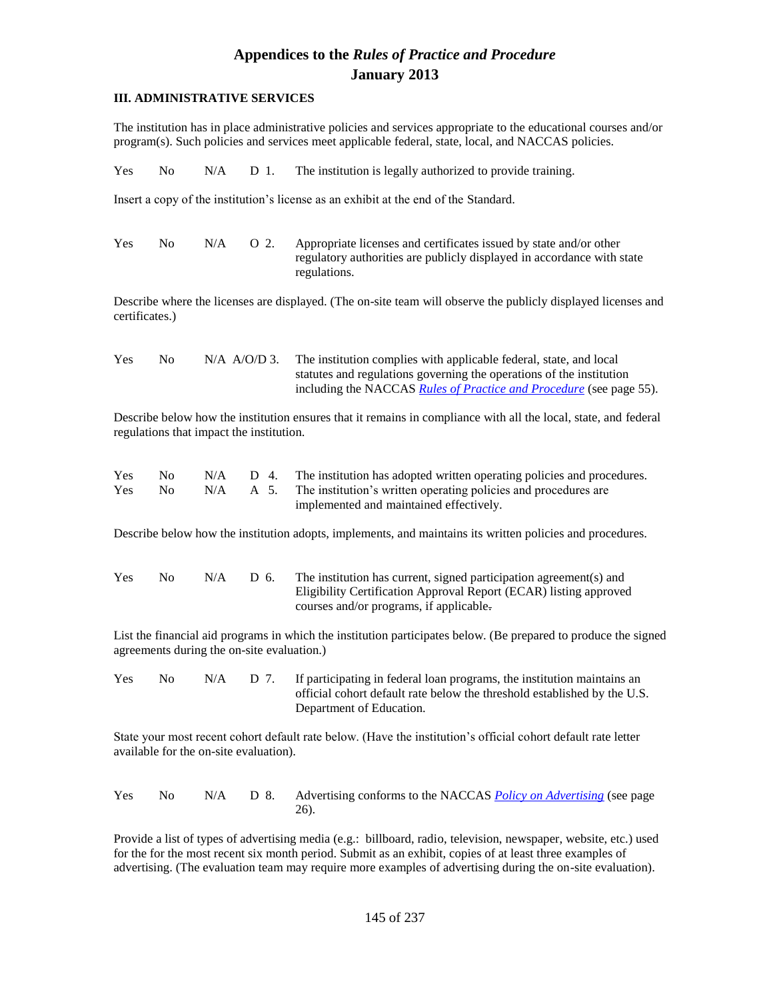### **III. ADMINISTRATIVE SERVICES**

The institution has in place administrative policies and services appropriate to the educational courses and/or program(s). Such policies and services meet applicable federal, state, local, and NACCAS policies.

|  |  | Yes No N/A D 1. The institution is legally authorized to provide training. |
|--|--|----------------------------------------------------------------------------|
|  |  |                                                                            |

Insert a copy of the institution's license as an exhibit at the end of the Standard.

| Yes | No. | N/A | O 2. | Appropriate licenses and certificates issued by state and/or other     |
|-----|-----|-----|------|------------------------------------------------------------------------|
|     |     |     |      | regulatory authorities are publicly displayed in accordance with state |
|     |     |     |      | regulations.                                                           |

Describe where the licenses are displayed. (The on-site team will observe the publicly displayed licenses and certificates.)

| <b>Yes</b> | No. | $N/A$ A/O/D 3. | The institution complies with applicable federal, state, and local         |
|------------|-----|----------------|----------------------------------------------------------------------------|
|            |     |                | statutes and regulations governing the operations of the institution       |
|            |     |                | including the NACCAS <i>Rules of Practice and Procedure</i> (see page 55). |

Describe below how the institution ensures that it remains in compliance with all the local, state, and federal regulations that impact the institution.

| <b>Yes</b> | No. |  | N/A D 4. The institution has adopted written operating policies and procedures. |
|------------|-----|--|---------------------------------------------------------------------------------|
| <b>Yes</b> | No. |  | $N/A$ A 5. The institution's written operating policies and procedures are      |
|            |     |  | implemented and maintained effectively.                                         |

Describe below how the institution adopts, implements, and maintains its written policies and procedures.

| Yes | No. | N/A | D 6. | The institution has current, signed participation agreement(s) and |
|-----|-----|-----|------|--------------------------------------------------------------------|
|     |     |     |      | Eligibility Certification Approval Report (ECAR) listing approved  |
|     |     |     |      | courses and/or programs, if applicable.                            |

List the financial aid programs in which the institution participates below. (Be prepared to produce the signed agreements during the on-site evaluation.)

Yes No N/A D 7. If participating in federal loan programs, the institution maintains an official cohort default rate below the threshold established by the U.S. Department of Education.

State your most recent cohort default rate below. (Have the institution's official cohort default rate letter available for the on-site evaluation).

|  |  | Yes No N/A D 8. Advertising conforms to the NACCAS Policy on Advertising (see page |
|--|--|------------------------------------------------------------------------------------|
|  |  |                                                                                    |

Provide a list of types of advertising media (e.g.: billboard, radio, television, newspaper, website, etc.) used for the for the most recent six month period. Submit as an exhibit, copies of at least three examples of advertising. (The evaluation team may require more examples of advertising during the on-site evaluation).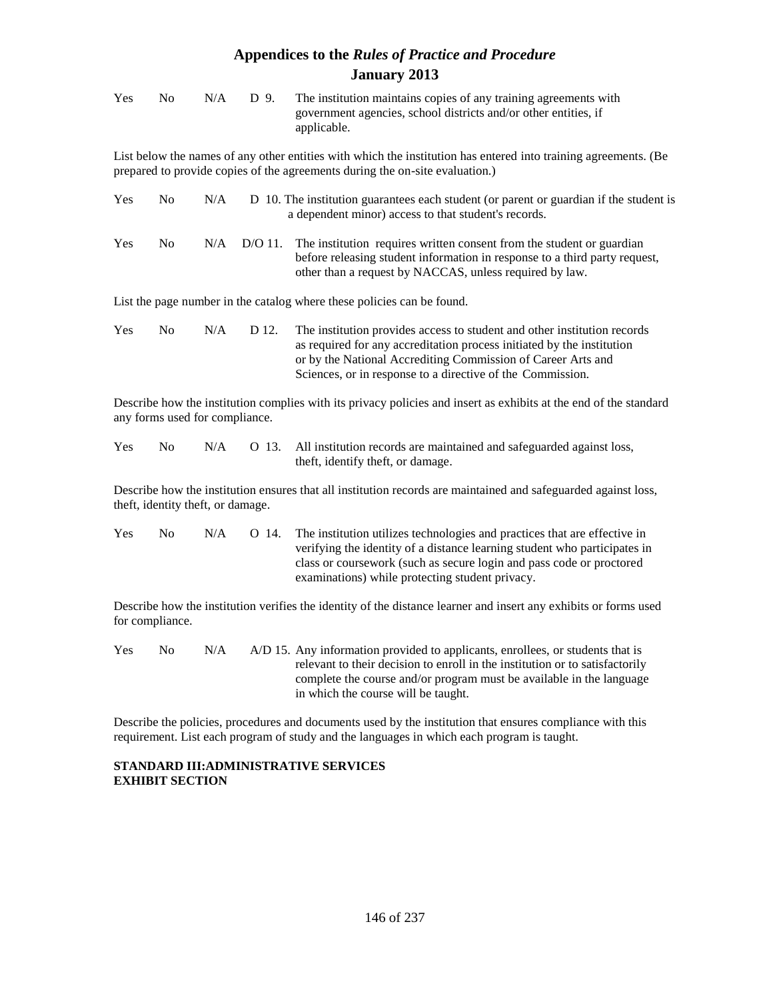| Yes | N <sub>0</sub> | N/A                               | D 9.      | The institution maintains copies of any training agreements with<br>government agencies, school districts and/or other entities, if<br>applicable.                                                                                                                               |
|-----|----------------|-----------------------------------|-----------|----------------------------------------------------------------------------------------------------------------------------------------------------------------------------------------------------------------------------------------------------------------------------------|
|     |                |                                   |           | List below the names of any other entities with which the institution has entered into training agreements. (Be<br>prepared to provide copies of the agreements during the on-site evaluation.)                                                                                  |
| Yes | N <sub>0</sub> | N/A                               |           | D 10. The institution guarantees each student (or parent or guardian if the student is<br>a dependent minor) access to that student's records.                                                                                                                                   |
| Yes | N <sub>0</sub> | N/A                               | $D/O$ 11. | The institution requires written consent from the student or guardian<br>before releasing student information in response to a third party request,<br>other than a request by NACCAS, unless required by law.                                                                   |
|     |                |                                   |           | List the page number in the catalog where these policies can be found.                                                                                                                                                                                                           |
| Yes | N <sub>0</sub> | N/A                               | D 12.     | The institution provides access to student and other institution records<br>as required for any accreditation process initiated by the institution<br>or by the National Accrediting Commission of Career Arts and<br>Sciences, or in response to a directive of the Commission. |
|     |                | any forms used for compliance.    |           | Describe how the institution complies with its privacy policies and insert as exhibits at the end of the standard                                                                                                                                                                |
| Yes | N <sub>0</sub> | N/A                               | O 13.     | All institution records are maintained and safeguarded against loss,<br>theft, identify theft, or damage.                                                                                                                                                                        |
|     |                | theft, identity theft, or damage. |           | Describe how the institution ensures that all institution records are maintained and safeguarded against loss,                                                                                                                                                                   |

Yes No N/A O 14. The institution utilizes technologies and practices that are effective in verifying the identity of a distance learning student who participates in class or coursework (such as secure login and pass code or proctored examinations) while protecting student privacy.

Describe how the institution verifies the identity of the distance learner and insert any exhibits or forms used for compliance.

| <b>Yes</b> | No. | N/A | A/D 15. Any information provided to applicants, enrollees, or students that is |
|------------|-----|-----|--------------------------------------------------------------------------------|
|            |     |     | relevant to their decision to enroll in the institution or to satisfactorily   |
|            |     |     | complete the course and/or program must be available in the language           |
|            |     |     | in which the course will be taught.                                            |

Describe the policies, procedures and documents used by the institution that ensures compliance with this requirement. List each program of study and the languages in which each program is taught.

### **STANDARD III:ADMINISTRATIVE SERVICES EXHIBIT SECTION**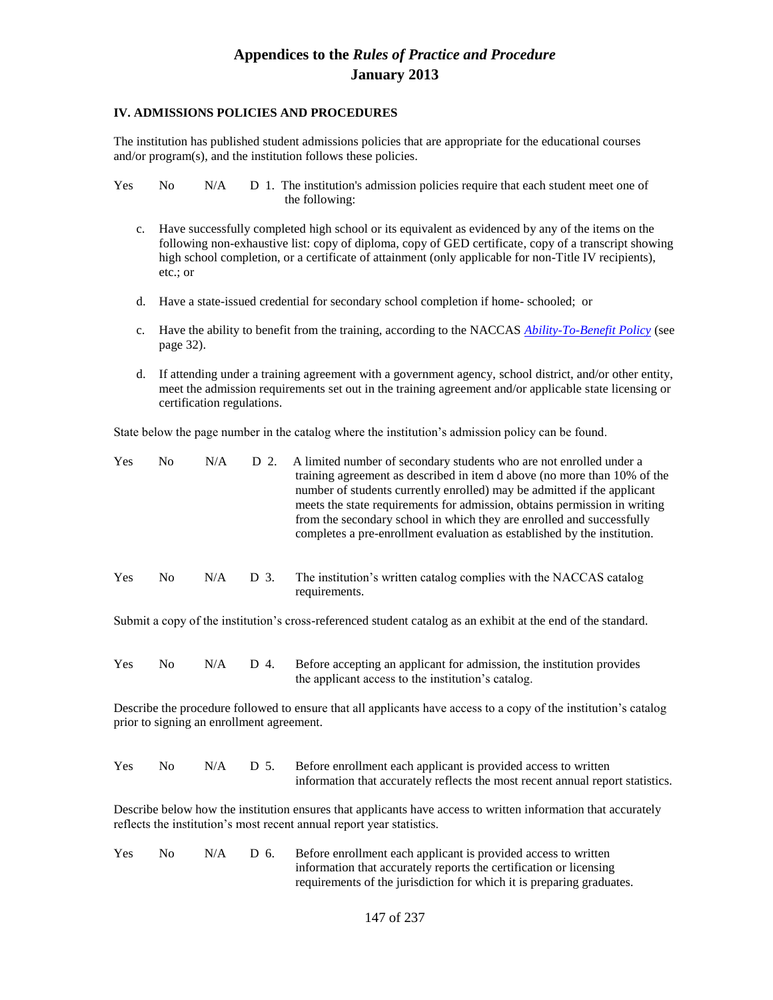#### **IV. ADMISSIONS POLICIES AND PROCEDURES**

The institution has published student admissions policies that are appropriate for the educational courses and/or program(s), and the institution follows these policies.

Yes No N/A D 1. The institution's admission policies require that each student meet one of the following:

- c. Have successfully completed high school or its equivalent as evidenced by any of the items on the following non-exhaustive list: copy of diploma, copy of GED certificate, copy of a transcript showing high school completion, or a certificate of attainment (only applicable for non-Title IV recipients), etc.; or
- d. Have a state-issued credential for secondary school completion if home- schooled; or
- c. Have the ability to benefit from the training, according to the NACCAS *Ability-To-Benefit Policy* (see page 32).
- d. If attending under a training agreement with a government agency, school district, and/or other entity, meet the admission requirements set out in the training agreement and/or applicable state licensing or certification regulations.

State below the page number in the catalog where the institution's admission policy can be found.

| Yes | N <sub>o</sub> | N/A |      | D 2. A limited number of secondary students who are not enrolled under a<br>training agreement as described in item d above (no more than 10% of the<br>number of students currently enrolled) may be admitted if the applicant<br>meets the state requirements for admission, obtains permission in writing<br>from the secondary school in which they are enrolled and successfully<br>completes a pre-enrollment evaluation as established by the institution. |
|-----|----------------|-----|------|-------------------------------------------------------------------------------------------------------------------------------------------------------------------------------------------------------------------------------------------------------------------------------------------------------------------------------------------------------------------------------------------------------------------------------------------------------------------|
| Yes | No.            | N/A | D 3. | The institution's written catalog complies with the NACCAS catalog<br>requirements.                                                                                                                                                                                                                                                                                                                                                                               |

Submit a copy of the institution's cross-referenced student catalog as an exhibit at the end of the standard.

| <b>Yes</b> | No. | $N/A$ D 4. | Before accepting an applicant for admission, the institution provides |
|------------|-----|------------|-----------------------------------------------------------------------|
|            |     |            | the applicant access to the institution's catalog.                    |

Describe the procedure followed to ensure that all applicants have access to a copy of the institution's catalog prior to signing an enrollment agreement.

| <b>Yes</b> | No. |  | $N/A$ D 5. Before enrollment each applicant is provided access to written      |
|------------|-----|--|--------------------------------------------------------------------------------|
|            |     |  | information that accurately reflects the most recent annual report statistics. |

Describe below how the institution ensures that applicants have access to written information that accurately reflects the institution's most recent annual report year statistics.

Yes No N/A D 6. Before enrollment each applicant is provided access to written information that accurately reports the certification or licensing requirements of the jurisdiction for which it is preparing graduates.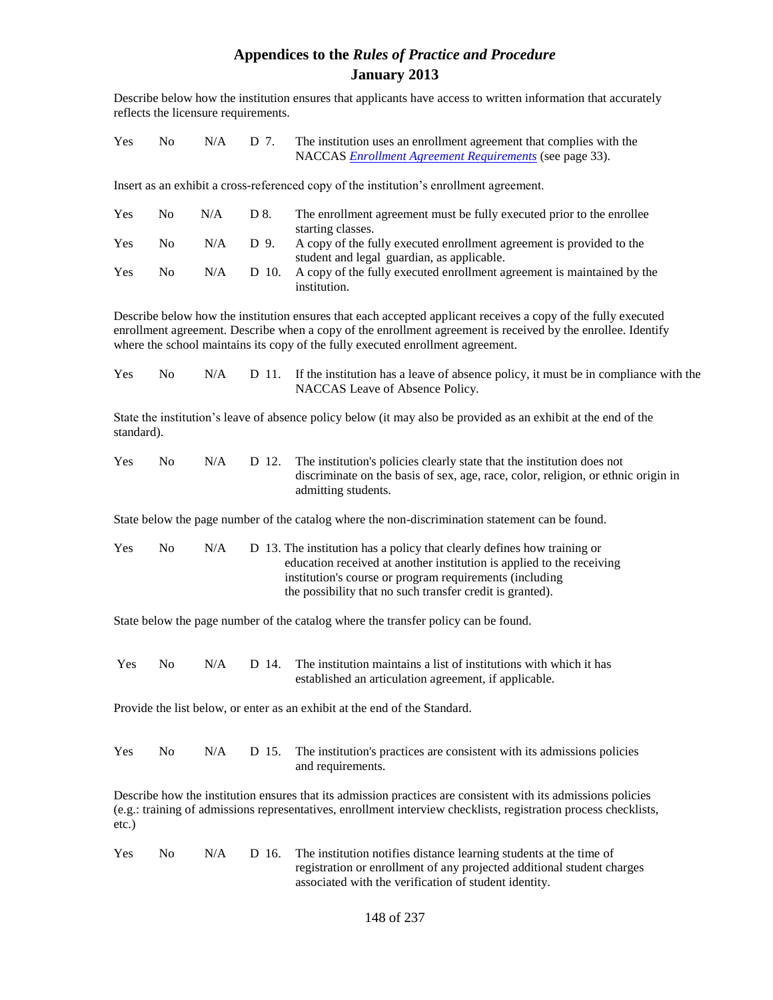Describe below how the institution ensures that applicants have access to written information that accurately reflects the licensure requirements.

| <b>Yes</b> | $\rm No$ | $N/A$ D 7. | The institution uses an enrollment agreement that complies with the |
|------------|----------|------------|---------------------------------------------------------------------|
|            |          |            | NACCAS <i>Enrollment Agreement Requirements</i> (see page 33).      |

Insert as an exhibit a cross-referenced copy of the institution's enrollment agreement.

| Yes | No. | N/A | D 8. | The enrollment agreement must be fully executed prior to the enrollee        |
|-----|-----|-----|------|------------------------------------------------------------------------------|
|     |     |     |      | starting classes.                                                            |
| Yes | No. | N/A | D 9. | A copy of the fully executed enrollment agreement is provided to the         |
|     |     |     |      | student and legal guardian, as applicable.                                   |
| Yes | No. | N/A |      | D 10. A copy of the fully executed enrollment agreement is maintained by the |
|     |     |     |      | institution.                                                                 |

Describe below how the institution ensures that each accepted applicant receives a copy of the fully executed enrollment agreement. Describe when a copy of the enrollment agreement is received by the enrollee. Identify where the school maintains its copy of the fully executed enrollment agreement.

| <b>Yes</b> | No. |  | $N/A$ D 11. If the institution has a leave of absence policy, it must be in compliance with the |
|------------|-----|--|-------------------------------------------------------------------------------------------------|
|            |     |  | NACCAS Leave of Absence Policy.                                                                 |

State the institution's leave of absence policy below (it may also be provided as an exhibit at the end of the standard).

| <b>Yes</b> | No. | N/A | D 12. The institution's policies clearly state that the institution does not      |
|------------|-----|-----|-----------------------------------------------------------------------------------|
|            |     |     | discriminate on the basis of sex, age, race, color, religion, or ethnic origin in |
|            |     |     | admitting students.                                                               |

State below the page number of the catalog where the non-discrimination statement can be found.

| <b>Yes</b> | No. | N/A | D 13. The institution has a policy that clearly defines how training or |
|------------|-----|-----|-------------------------------------------------------------------------|
|            |     |     | education received at another institution is applied to the receiving   |
|            |     |     | institution's course or program requirements (including                 |
|            |     |     | the possibility that no such transfer credit is granted).               |

State below the page number of the catalog where the transfer policy can be found.

| <b>Yes</b> | $N_{\Omega}$ | N/A | D 14. The institution maintains a list of institutions with which it has |
|------------|--------------|-----|--------------------------------------------------------------------------|
|            |              |     | established an articulation agreement, if applicable.                    |

Provide the list below, or enter as an exhibit at the end of the Standard.

| Yes |  | $\rm No$ $\rm N/A$ $\rm D$ 15. The institution's practices are consistent with its admissions policies |
|-----|--|--------------------------------------------------------------------------------------------------------|
|     |  | and requirements.                                                                                      |

Describe how the institution ensures that its admission practices are consistent with its admissions policies (e.g.: training of admissions representatives, enrollment interview checklists, registration process checklists, etc.)

| <b>Yes</b> | $N_{\Omega}$ | N/A | D 16. The institution notifies distance learning students at the time of |
|------------|--------------|-----|--------------------------------------------------------------------------|
|            |              |     | registration or enrollment of any projected additional student charges   |
|            |              |     | associated with the verification of student identity.                    |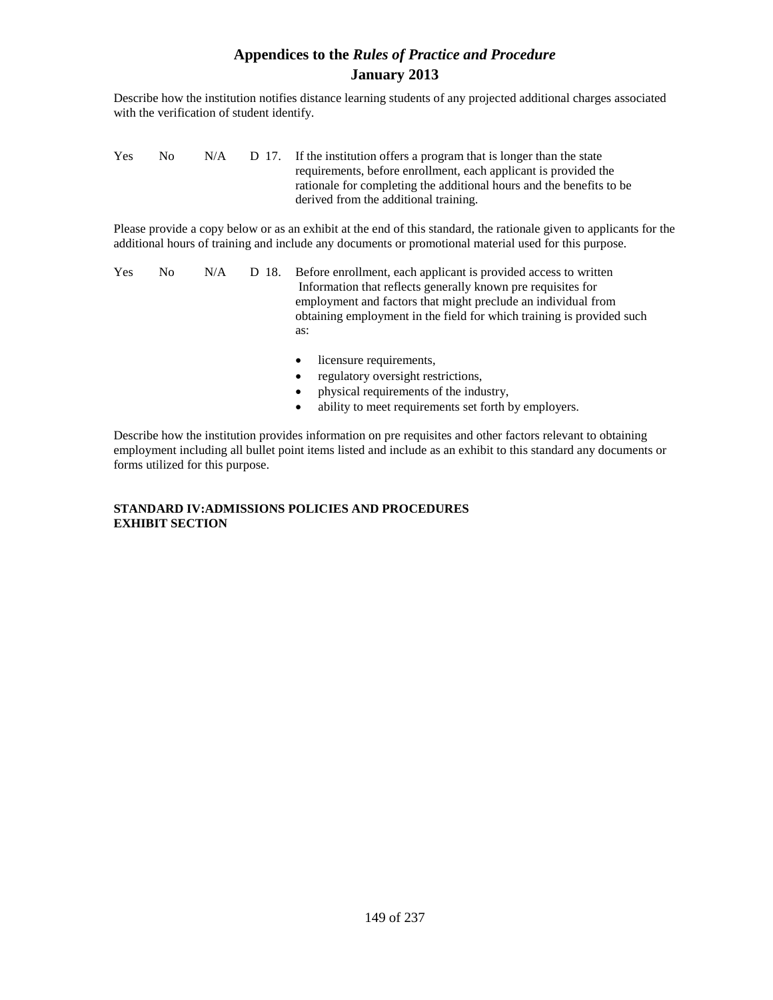Describe how the institution notifies distance learning students of any projected additional charges associated with the verification of student identify.

| <b>Yes</b> | No. | N/A | D 17. If the institution offers a program that is longer than the state |
|------------|-----|-----|-------------------------------------------------------------------------|
|            |     |     | requirements, before enrollment, each applicant is provided the         |
|            |     |     | rationale for completing the additional hours and the benefits to be    |
|            |     |     | derived from the additional training.                                   |

Please provide a copy below or as an exhibit at the end of this standard, the rationale given to applicants for the additional hours of training and include any documents or promotional material used for this purpose.

| Yes | No. | N/A | D 18. Before enrollment, each applicant is provided access to written |
|-----|-----|-----|-----------------------------------------------------------------------|
|     |     |     | Information that reflects generally known pre requisites for          |
|     |     |     | employment and factors that might preclude an individual from         |
|     |     |     | obtaining employment in the field for which training is provided such |
|     |     |     | as:                                                                   |

- licensure requirements,
- regulatory oversight restrictions,
- physical requirements of the industry,
- ability to meet requirements set forth by employers.

Describe how the institution provides information on pre requisites and other factors relevant to obtaining employment including all bullet point items listed and include as an exhibit to this standard any documents or forms utilized for this purpose.

### **STANDARD IV:ADMISSIONS POLICIES AND PROCEDURES EXHIBIT SECTION**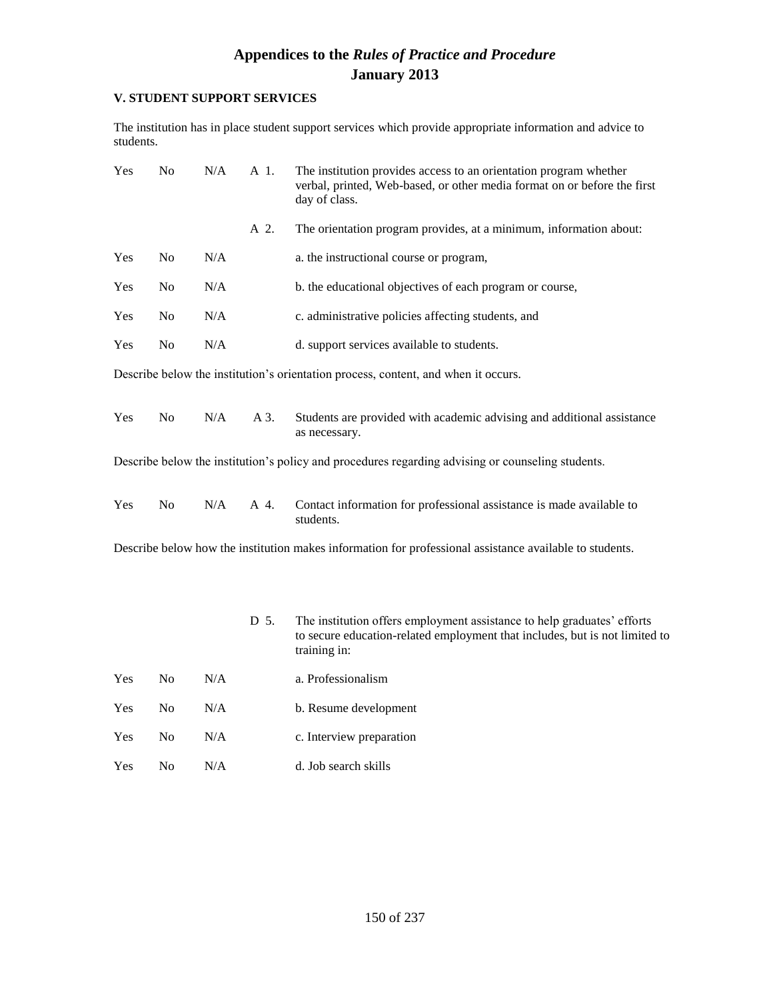### **V. STUDENT SUPPORT SERVICES**

The institution has in place student support services which provide appropriate information and advice to students.

| Yes | N <sub>o</sub> | N/A | A 1. | The institution provides access to an orientation program whether<br>verbal, printed, Web-based, or other media format on or before the first<br>day of class.         |
|-----|----------------|-----|------|------------------------------------------------------------------------------------------------------------------------------------------------------------------------|
|     |                |     | A 2. | The orientation program provides, at a minimum, information about:                                                                                                     |
| Yes | No             | N/A |      | a. the instructional course or program,                                                                                                                                |
| Yes | No             | N/A |      | b. the educational objectives of each program or course,                                                                                                               |
| Yes | No             | N/A |      | c. administrative policies affecting students, and                                                                                                                     |
| Yes | N <sub>o</sub> | N/A |      | d. support services available to students.                                                                                                                             |
|     |                |     |      | Describe below the institution's orientation process, content, and when it occurs.                                                                                     |
| Yes | No             | N/A | A 3. | Students are provided with academic advising and additional assistance<br>as necessary.                                                                                |
|     |                |     |      | Describe below the institution's policy and procedures regarding advising or counseling students.                                                                      |
| Yes | No             | N/A | A 4. | Contact information for professional assistance is made available to<br>students.                                                                                      |
|     |                |     |      | Describe below how the institution makes information for professional assistance available to students.                                                                |
|     |                |     | D 5. | The institution offers employment assistance to help graduates' efforts<br>to secure education-related employment that includes, but is not limited to<br>training in: |
| Yes | No             | N/A |      | a. Professionalism                                                                                                                                                     |
| Yes | No             | N/A |      | b. Resume development                                                                                                                                                  |
| Yes | No             | N/A |      | c. Interview preparation                                                                                                                                               |

Yes No N/A d. Job search skills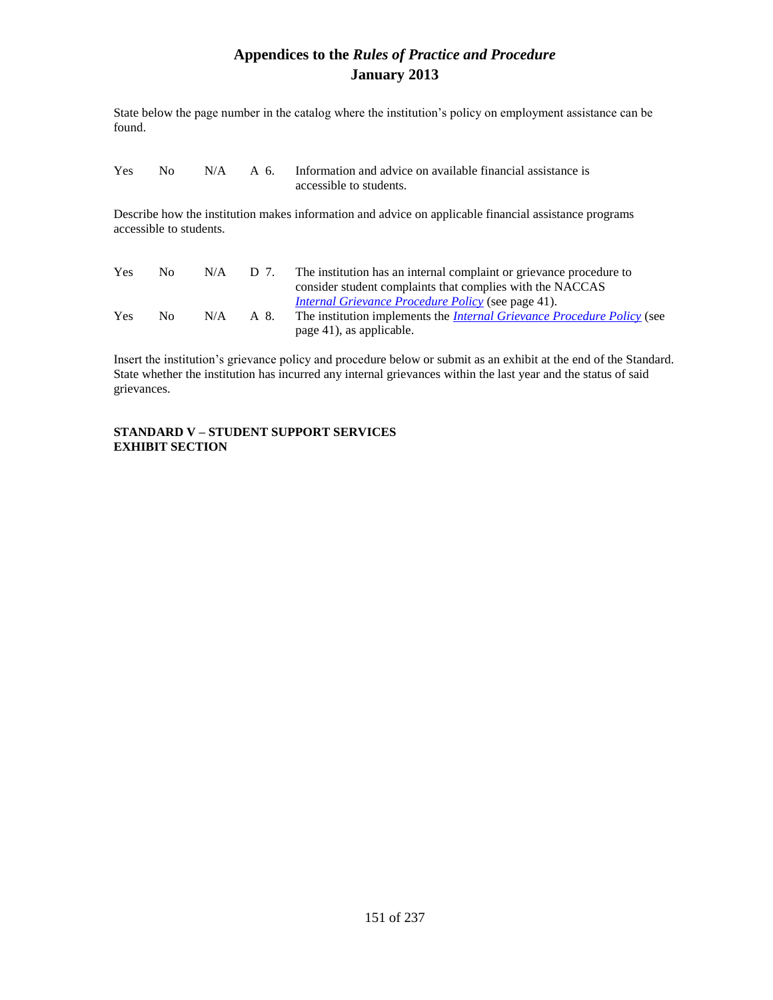State below the page number in the catalog where the institution's policy on employment assistance can be found.

| Yes. | No 11 |  | $N/A$ A 6. Information and advice on available financial assistance is |
|------|-------|--|------------------------------------------------------------------------|
|      |       |  | accessible to students.                                                |

Describe how the institution makes information and advice on applicable financial assistance programs accessible to students.

| <b>Yes</b> | $N_{\Omega}$       | N/A | D 7. | The institution has an internal complaint or grievance procedure to            |
|------------|--------------------|-----|------|--------------------------------------------------------------------------------|
|            |                    |     |      | consider student complaints that complies with the NACCAS                      |
|            |                    |     |      | <i>Internal Grievance Procedure Policy (see page 41).</i>                      |
| <b>Yes</b> | $\overline{N}_{0}$ | N/A | A 8. | The institution implements the <i>Internal Grievance Procedure Policy</i> (see |
|            |                    |     |      | page 41), as applicable.                                                       |

Insert the institution's grievance policy and procedure below or submit as an exhibit at the end of the Standard. State whether the institution has incurred any internal grievances within the last year and the status of said grievances.

#### **STANDARD V – STUDENT SUPPORT SERVICES EXHIBIT SECTION**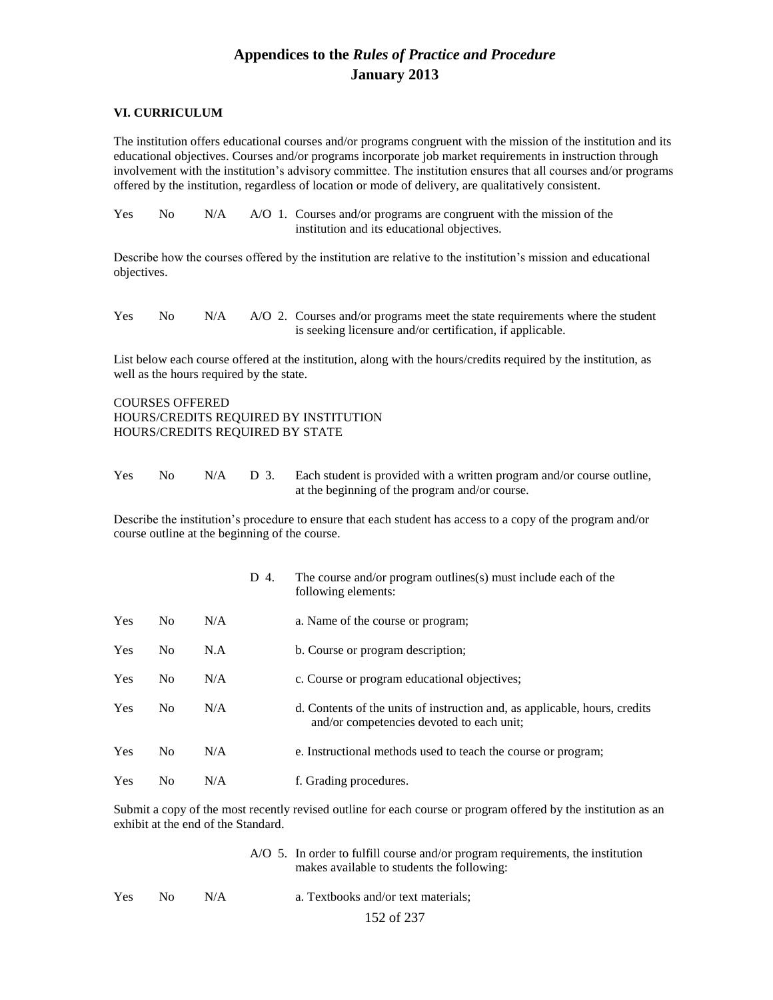#### **VI. CURRICULUM**

The institution offers educational courses and/or programs congruent with the mission of the institution and its educational objectives. Courses and/or programs incorporate job market requirements in instruction through involvement with the institution's advisory committee. The institution ensures that all courses and/or programs offered by the institution, regardless of location or mode of delivery, are qualitatively consistent.

| <b>Yes</b> | No. |  | $N/A$ $A/O$ 1. Courses and/or programs are congruent with the mission of the |
|------------|-----|--|------------------------------------------------------------------------------|
|            |     |  | institution and its educational objectives.                                  |

Describe how the courses offered by the institution are relative to the institution's mission and educational objectives.

Yes No N/A A/O 2. Courses and/or programs meet the state requirements where the student is seeking licensure and/or certification, if applicable.

List below each course offered at the institution, along with the hours/credits required by the institution, as well as the hours required by the state.

COURSES OFFERED HOURS/CREDITS REQUIRED BY INSTITUTION HOURS/CREDITS REQUIRED BY STATE

Yes No  $N/A$  D 3. Each student is provided with a written program and/or course outline, at the beginning of the program and/or course.

Describe the institution's procedure to ensure that each student has access to a copy of the program and/or course outline at the beginning of the course.

|            |                |     | D 4. | The course and/or program outlines(s) must include each of the<br>following elements:                                   |
|------------|----------------|-----|------|-------------------------------------------------------------------------------------------------------------------------|
| <b>Yes</b> | N <sub>o</sub> | N/A |      | a. Name of the course or program;                                                                                       |
| <b>Yes</b> | N <sub>o</sub> | N.A |      | b. Course or program description;                                                                                       |
| <b>Yes</b> | N <sub>0</sub> | N/A |      | c. Course or program educational objectives;                                                                            |
| <b>Yes</b> | N <sub>o</sub> | N/A |      | d. Contents of the units of instruction and, as applicable, hours, credits<br>and/or competencies devoted to each unit; |
| Yes        | N <sub>0</sub> | N/A |      | e. Instructional methods used to teach the course or program;                                                           |
| Yes        | N <sub>0</sub> | N/A |      | f. Grading procedures.                                                                                                  |

Submit a copy of the most recently revised outline for each course or program offered by the institution as an exhibit at the end of the Standard.

|            |     |     | $A/O$ 5. In order to fulfill course and/or program requirements, the institution<br>makes available to students the following: |
|------------|-----|-----|--------------------------------------------------------------------------------------------------------------------------------|
| <b>Yes</b> | No. | N/A | a. Textbooks and/or text materials;                                                                                            |
|            |     |     | 152 of 237                                                                                                                     |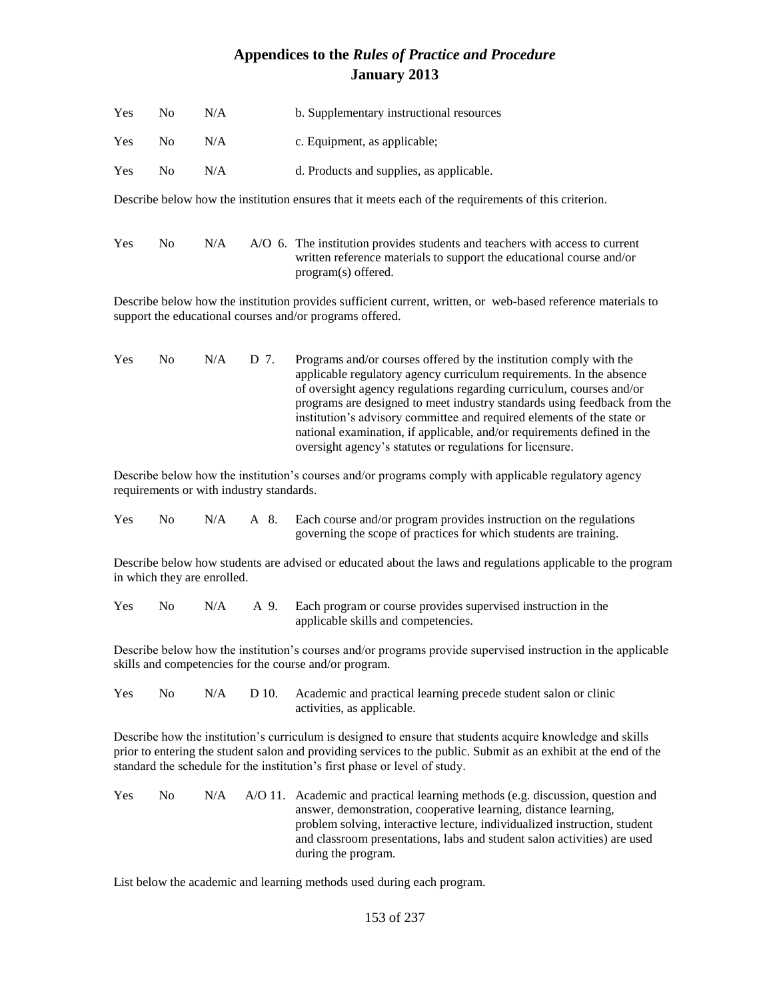| <b>Yes</b> | No. | N/A | b. Supplementary instructional resources |
|------------|-----|-----|------------------------------------------|
| <b>Yes</b> | No. | N/A | c. Equipment, as applicable:             |
| <b>Yes</b> | No. | N/A | d. Products and supplies, as applicable. |

Describe below how the institution ensures that it meets each of the requirements of this criterion.

| <b>Yes</b> | No. | N/A | A/O 6. The institution provides students and teachers with access to current |
|------------|-----|-----|------------------------------------------------------------------------------|
|            |     |     | written reference materials to support the educational course and/or         |
|            |     |     | program(s) offered.                                                          |

Describe below how the institution provides sufficient current, written, or web-based reference materials to support the educational courses and/or programs offered.

| <b>Yes</b> | No. | $N/A$ D 7. | Programs and/or courses offered by the institution comply with the       |
|------------|-----|------------|--------------------------------------------------------------------------|
|            |     |            | applicable regulatory agency curriculum requirements. In the absence     |
|            |     |            | of oversight agency regulations regarding curriculum, courses and/or     |
|            |     |            | programs are designed to meet industry standards using feedback from the |
|            |     |            | institution's advisory committee and required elements of the state or   |
|            |     |            | national examination, if applicable, and/or requirements defined in the  |
|            |     |            | oversight agency's statutes or regulations for licensure.                |

Describe below how the institution's courses and/or programs comply with applicable regulatory agency requirements or with industry standards.

Yes No N/A A 8. Each course and/or program provides instruction on the regulations governing the scope of practices for which students are training.

Describe below how students are advised or educated about the laws and regulations applicable to the program in which they are enrolled.

Yes No N/A A 9. Each program or course provides supervised instruction in the applicable skills and competencies.

Describe below how the institution's courses and/or programs provide supervised instruction in the applicable skills and competencies for the course and/or program.

| <b>Yes</b> | No. |  | N/A D 10. Academic and practical learning precede student salon or clinic |
|------------|-----|--|---------------------------------------------------------------------------|
|            |     |  | activities, as applicable.                                                |

Describe how the institution's curriculum is designed to ensure that students acquire knowledge and skills prior to entering the student salon and providing services to the public. Submit as an exhibit at the end of the standard the schedule for the institution's first phase or level of study.

| <b>Yes</b> | $N_{\Omega}$ |  | $N/A$ $A/O$ 11. Academic and practical learning methods (e.g. discussion, question and |
|------------|--------------|--|----------------------------------------------------------------------------------------|
|            |              |  | answer, demonstration, cooperative learning, distance learning,                        |
|            |              |  | problem solving, interactive lecture, individualized instruction, student              |
|            |              |  | and classroom presentations, labs and student salon activities) are used               |
|            |              |  | during the program.                                                                    |

List below the academic and learning methods used during each program.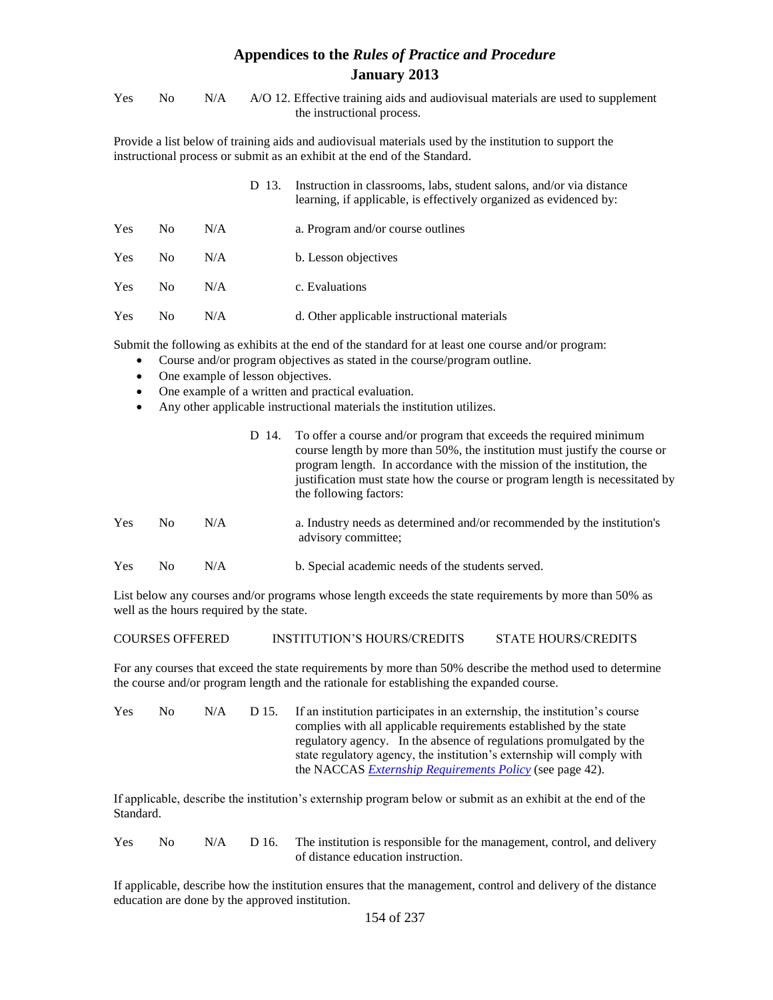| <b>Yes</b> | $N_{\Omega}$ | N/A A/O 12. Effective training aids and audiovisual materials are used to supplement |
|------------|--------------|--------------------------------------------------------------------------------------|
|            |              | the instructional process.                                                           |

Provide a list below of training aids and audiovisual materials used by the institution to support the instructional process or submit as an exhibit at the end of the Standard.

|            |                |     | D 13. | Instruction in classrooms, labs, student salons, and/or via distance<br>learning, if applicable, is effectively organized as evidenced by: |
|------------|----------------|-----|-------|--------------------------------------------------------------------------------------------------------------------------------------------|
| <b>Yes</b> | N <sub>0</sub> | N/A |       | a. Program and/or course outlines                                                                                                          |
| Yes        | N <sub>0</sub> | N/A |       | b. Lesson objectives                                                                                                                       |
| Yes        | N <sub>0</sub> | N/A |       | c. Evaluations                                                                                                                             |
| Yes        | N <sub>0</sub> | N/A |       | d. Other applicable instructional materials                                                                                                |

Submit the following as exhibits at the end of the standard for at least one course and/or program:

- Course and/or program objectives as stated in the course/program outline.
- One example of lesson objectives.
- One example of a written and practical evaluation.
- Any other applicable instructional materials the institution utilizes.

|     |     |     | D 14. To offer a course and/or program that exceeds the required minimum<br>course length by more than 50%, the institution must justify the course or<br>program length. In accordance with the mission of the institution, the<br>justification must state how the course or program length is necessitated by<br>the following factors: |
|-----|-----|-----|--------------------------------------------------------------------------------------------------------------------------------------------------------------------------------------------------------------------------------------------------------------------------------------------------------------------------------------------|
| Yes | No. | N/A | a. Industry needs as determined and/or recommended by the institution's<br>advisory committee;                                                                                                                                                                                                                                             |
| Yes | No  | N/A | b. Special academic needs of the students served.                                                                                                                                                                                                                                                                                          |

List below any courses and/or programs whose length exceeds the state requirements by more than 50% as well as the hours required by the state.

#### COURSES OFFERED INSTITUTION'S HOURS/CREDITS STATE HOURS/CREDITS

For any courses that exceed the state requirements by more than 50% describe the method used to determine the course and/or program length and the rationale for establishing the expanded course.

| Yes | No. | N/A | D 15. | If an institution participates in an externship, the institution's course |
|-----|-----|-----|-------|---------------------------------------------------------------------------|
|     |     |     |       | complies with all applicable requirements established by the state        |
|     |     |     |       | regulatory agency. In the absence of regulations promulgated by the       |
|     |     |     |       | state regulatory agency, the institution's externship will comply with    |
|     |     |     |       | the NACCAS <i>Externship Requirements Policy</i> (see page 42).           |

If applicable, describe the institution's externship program below or submit as an exhibit at the end of the Standard.

Yes No  $N/A$  D 16. The institution is responsible for the management, control, and delivery of distance education instruction.

If applicable, describe how the institution ensures that the management, control and delivery of the distance education are done by the approved institution.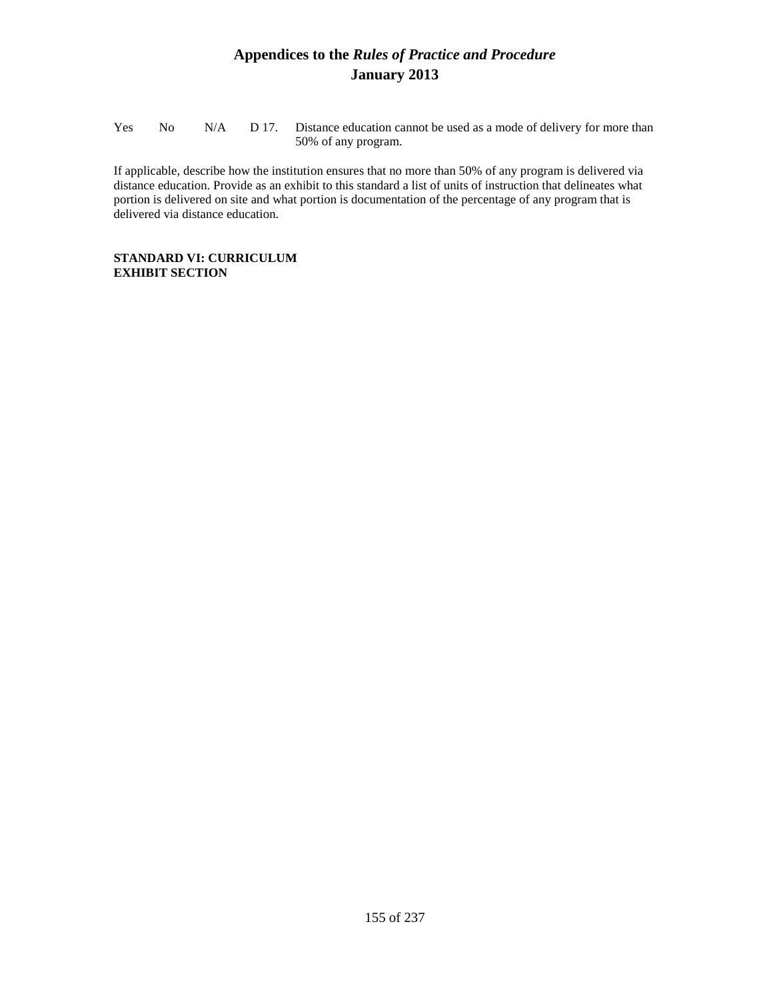Yes No N/A D 17. Distance education cannot be used as a mode of delivery for more than 50% of any program.

If applicable, describe how the institution ensures that no more than 50% of any program is delivered via distance education. Provide as an exhibit to this standard a list of units of instruction that delineates what portion is delivered on site and what portion is documentation of the percentage of any program that is delivered via distance education.

### **STANDARD VI: CURRICULUM EXHIBIT SECTION**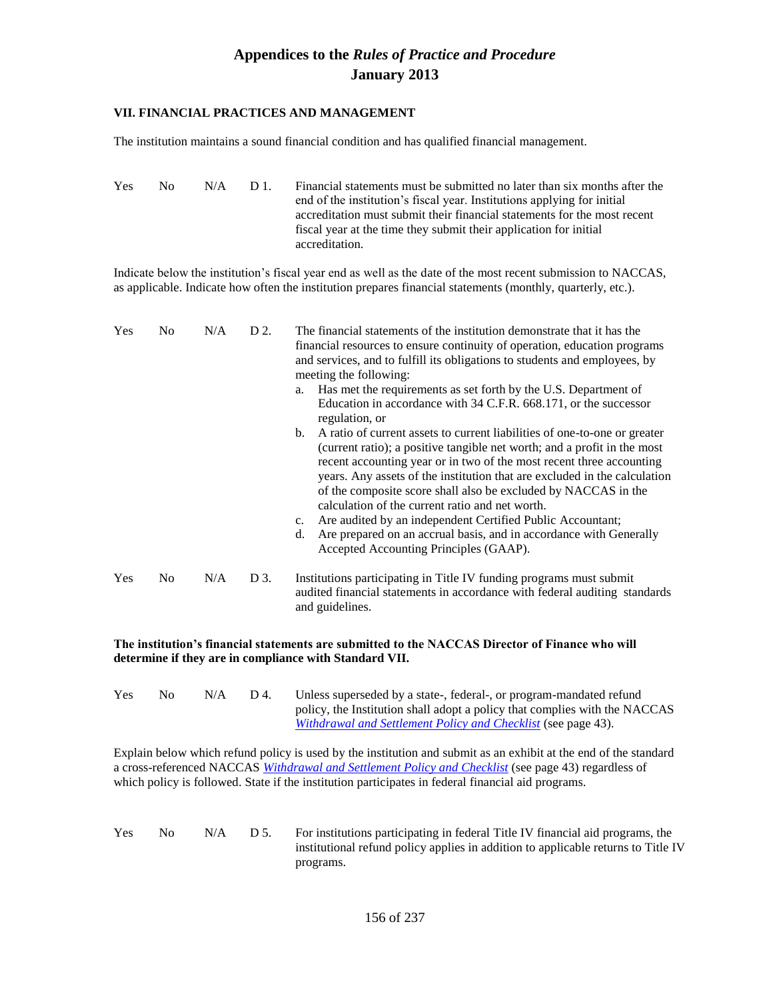#### **VII. FINANCIAL PRACTICES AND MANAGEMENT**

The institution maintains a sound financial condition and has qualified financial management.

Yes No N/A D 1. Financial statements must be submitted no later than six months after the end of the institution's fiscal year. Institutions applying for initial accreditation must submit their financial statements for the most recent fiscal year at the time they submit their application for initial accreditation.

Indicate below the institution's fiscal year end as well as the date of the most recent submission to NACCAS, as applicable. Indicate how often the institution prepares financial statements (monthly, quarterly, etc.).

| Yes        | N <sub>0</sub> | N/A | D 2. | The financial statements of the institution demonstrate that it has the<br>financial resources to ensure continuity of operation, education programs<br>and services, and to fulfill its obligations to students and employees, by<br>meeting the following:<br>Has met the requirements as set forth by the U.S. Department of<br>a.<br>Education in accordance with 34 C.F.R. 668.171, or the successor<br>regulation, or<br>$b_{\cdot}$<br>A ratio of current assets to current liabilities of one-to-one or greater                               |
|------------|----------------|-----|------|-------------------------------------------------------------------------------------------------------------------------------------------------------------------------------------------------------------------------------------------------------------------------------------------------------------------------------------------------------------------------------------------------------------------------------------------------------------------------------------------------------------------------------------------------------|
|            |                |     |      | (current ratio); a positive tangible net worth; and a profit in the most<br>recent accounting year or in two of the most recent three accounting<br>years. Any assets of the institution that are excluded in the calculation<br>of the composite score shall also be excluded by NACCAS in the<br>calculation of the current ratio and net worth.<br>Are audited by an independent Certified Public Accountant;<br>$c_{\cdot}$<br>Are prepared on an accrual basis, and in accordance with Generally<br>d.<br>Accepted Accounting Principles (GAAP). |
| <b>Yes</b> | N <sub>0</sub> | N/A | D 3. | Institutions participating in Title IV funding programs must submit<br>audited financial statements in accordance with federal auditing standards<br>and guidelines.                                                                                                                                                                                                                                                                                                                                                                                  |

### **The institution's financial statements are submitted to the NACCAS Director of Finance who will determine if they are in compliance with Standard VII.**

| <b>Yes</b> | No. | N/A | D 4. | Unless superseded by a state-, federal-, or program-mandated refund        |
|------------|-----|-----|------|----------------------------------------------------------------------------|
|            |     |     |      | policy, the Institution shall adopt a policy that complies with the NACCAS |
|            |     |     |      | <i>Withdrawal and Settlement Policy and Checklist (see page 43).</i>       |

Explain below which refund policy is used by the institution and submit as an exhibit at the end of the standard a cross-referenced NACCAS *Withdrawal and Settlement Policy and Checklist* (see page 43) regardless of which policy is followed. State if the institution participates in federal financial aid programs.

Yes No  $N/A$  D 5. For institutions participating in federal Title IV financial aid programs, the institutional refund policy applies in addition to applicable returns to Title IV programs.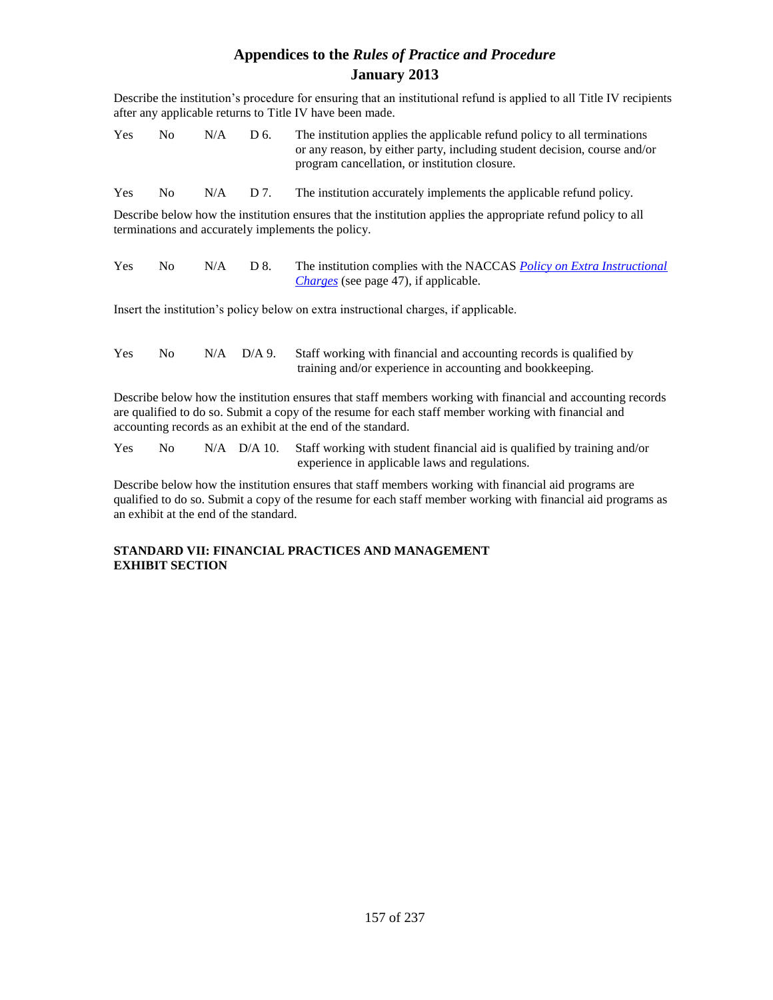Describe the institution's procedure for ensuring that an institutional refund is applied to all Title IV recipients after any applicable returns to Title IV have been made.

| <b>Yes</b> | No. | N/A | D 6. | The institution applies the applicable refund policy to all terminations  |
|------------|-----|-----|------|---------------------------------------------------------------------------|
|            |     |     |      | or any reason, by either party, including student decision, course and/or |
|            |     |     |      | program cancellation, or institution closure.                             |

Yes No  $N/A$  D 7. The institution accurately implements the applicable refund policy.

Describe below how the institution ensures that the institution applies the appropriate refund policy to all terminations and accurately implements the policy.

| Yes | No. | $N/A$ D 8. | The institution complies with the NACCAS <i>Policy on Extra Instructional</i> |
|-----|-----|------------|-------------------------------------------------------------------------------|
|     |     |            | <i>Charges</i> (see page 47), if applicable.                                  |

Insert the institution's policy below on extra instructional charges, if applicable.

| <b>Yes</b> | No. |  | N/A D/A 9. Staff working with financial and accounting records is qualified by |
|------------|-----|--|--------------------------------------------------------------------------------|
|            |     |  | training and/or experience in accounting and bookkeeping.                      |

Describe below how the institution ensures that staff members working with financial and accounting records are qualified to do so. Submit a copy of the resume for each staff member working with financial and accounting records as an exhibit at the end of the standard.

| <b>Yes</b> | No. |  | N/A D/A 10. Staff working with student financial aid is qualified by training and/or |
|------------|-----|--|--------------------------------------------------------------------------------------|
|            |     |  | experience in applicable laws and regulations.                                       |

Describe below how the institution ensures that staff members working with financial aid programs are qualified to do so. Submit a copy of the resume for each staff member working with financial aid programs as an exhibit at the end of the standard.

### **STANDARD VII: FINANCIAL PRACTICES AND MANAGEMENT EXHIBIT SECTION**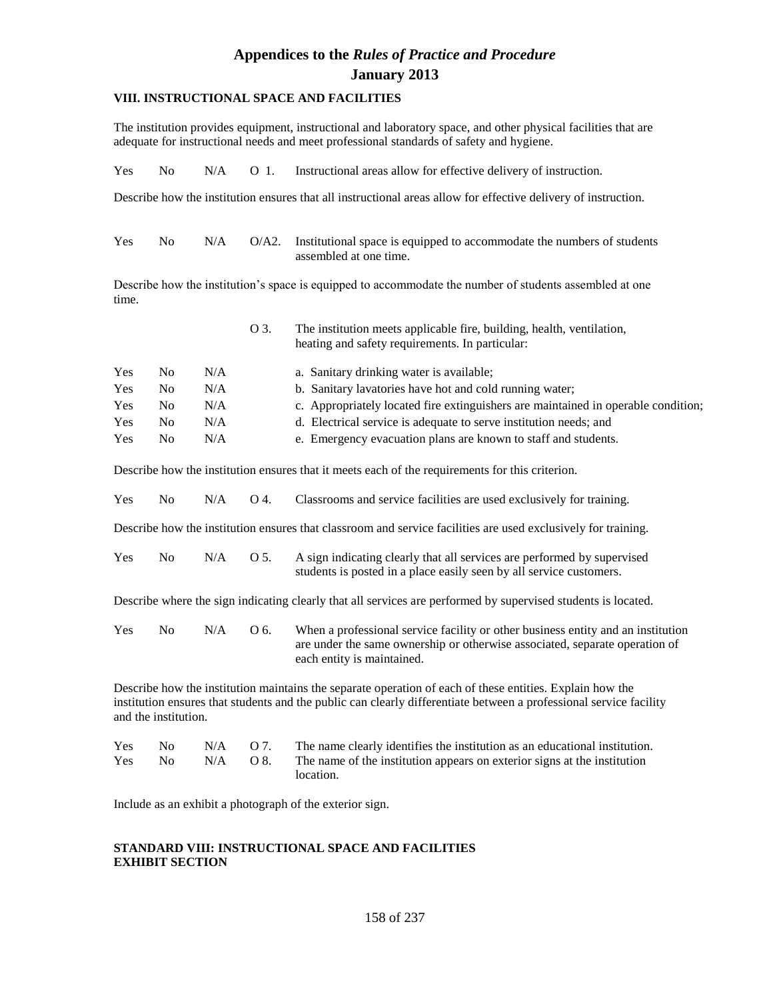### **VIII. INSTRUCTIONAL SPACE AND FACILITIES**

The institution provides equipment, instructional and laboratory space, and other physical facilities that are adequate for instructional needs and meet professional standards of safety and hygiene.

|  |  |  |  |  | $Yes$ No $N/A$ O 1. Instructional areas allow for effective delivery of instruction. |
|--|--|--|--|--|--------------------------------------------------------------------------------------|
|--|--|--|--|--|--------------------------------------------------------------------------------------|

Describe how the institution ensures that all instructional areas allow for effective delivery of instruction.

| <b>Yes</b> | No. |  | $N/A$ $O/A2$ . Institutional space is equipped to accommodate the numbers of students |
|------------|-----|--|---------------------------------------------------------------------------------------|
|            |     |  | assembled at one time.                                                                |

Describe how the institution's space is equipped to accommodate the number of students assembled at one time.

|            |     |     | O 3. | The institution meets applicable fire, building, health, ventilation,<br>heating and safety requirements. In particular: |
|------------|-----|-----|------|--------------------------------------------------------------------------------------------------------------------------|
| Yes        | No. | N/A |      | a. Sanitary drinking water is available;                                                                                 |
| Yes        | No  | N/A |      | b. Sanitary lavatories have hot and cold running water;                                                                  |
| <b>Yes</b> | No. | N/A |      | c. Appropriately located fire extinguishers are maintained in operable condition;                                        |
| <b>Yes</b> | No  | N/A |      | d. Electrical service is adequate to serve institution needs; and                                                        |
| <b>Yes</b> | No  | N/A |      | e. Emergency evacuation plans are known to staff and students.                                                           |

Describe how the institution ensures that it meets each of the requirements for this criterion.

|  |  |  |  | Yes No N/A O 4. Classrooms and service facilities are used exclusively for training. |  |
|--|--|--|--|--------------------------------------------------------------------------------------|--|
|--|--|--|--|--------------------------------------------------------------------------------------|--|

Describe how the institution ensures that classroom and service facilities are used exclusively for training.

| <b>Yes</b> |  | No N/A O 5. A sign indicating clearly that all services are performed by supervised |  |  |
|------------|--|-------------------------------------------------------------------------------------|--|--|
|            |  | students is posted in a place easily seen by all service customers.                 |  |  |

Describe where the sign indicating clearly that all services are performed by supervised students is located.

Yes No N/A O 6. When a professional service facility or other business entity and an institution are under the same ownership or otherwise associated, separate operation of each entity is maintained.

Describe how the institution maintains the separate operation of each of these entities. Explain how the institution ensures that students and the public can clearly differentiate between a professional service facility and the institution.

| <b>Yes</b> |  | No $N/A$ O 7. The name clearly identifies the institution as an educational institution. |
|------------|--|------------------------------------------------------------------------------------------|
| <b>Yes</b> |  | No $N/A$ O 8. The name of the institution appears on exterior signs at the institution   |
|            |  | location.                                                                                |

Include as an exhibit a photograph of the exterior sign.

#### **STANDARD VIII: INSTRUCTIONAL SPACE AND FACILITIES EXHIBIT SECTION**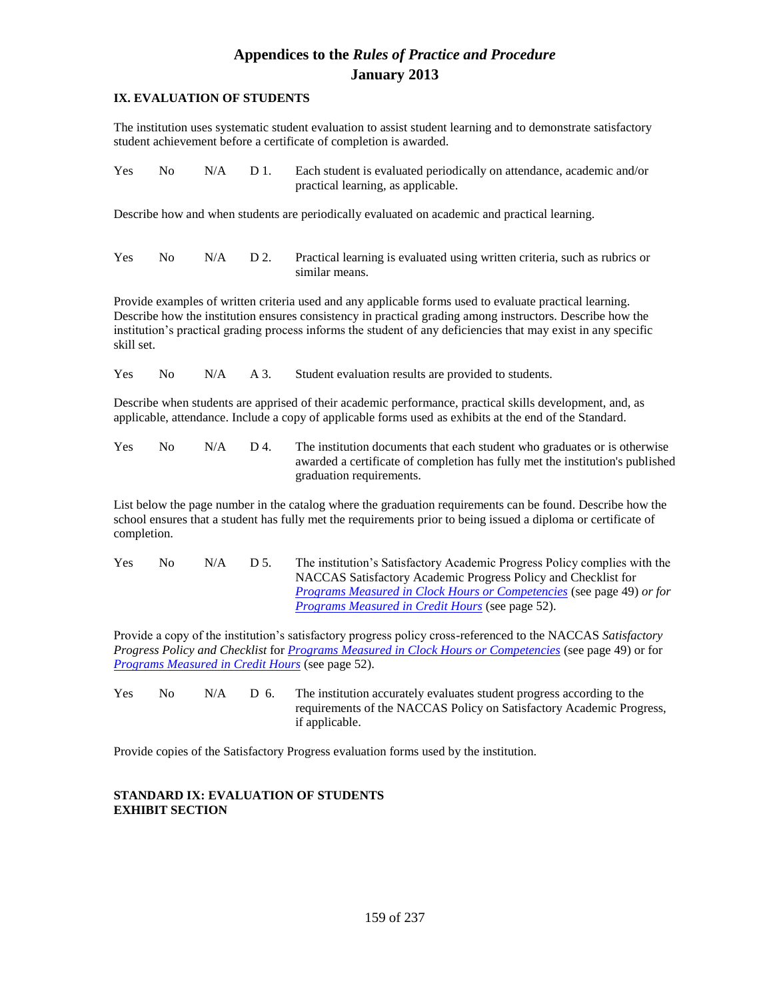### **IX. EVALUATION OF STUDENTS**

The institution uses systematic student evaluation to assist student learning and to demonstrate satisfactory student achievement before a certificate of completion is awarded.

| <b>Yes</b> | $No$ $N/A$ $D1$ | Each student is evaluated periodically on attendance, academic and/or |
|------------|-----------------|-----------------------------------------------------------------------|
|            |                 | practical learning, as applicable.                                    |

Describe how and when students are periodically evaluated on academic and practical learning.

Yes No N/A D 2. Practical learning is evaluated using written criteria, such as rubrics or similar means.

Provide examples of written criteria used and any applicable forms used to evaluate practical learning. Describe how the institution ensures consistency in practical grading among instructors. Describe how the institution's practical grading process informs the student of any deficiencies that may exist in any specific skill set.

Yes No N/A A 3. Student evaluation results are provided to students.

Describe when students are apprised of their academic performance, practical skills development, and, as applicable, attendance. Include a copy of applicable forms used as exhibits at the end of the Standard.

| <b>Yes</b> | No. | N/A | D 4. | The institution documents that each student who graduates or is otherwise     |
|------------|-----|-----|------|-------------------------------------------------------------------------------|
|            |     |     |      | awarded a certificate of completion has fully met the institution's published |
|            |     |     |      | graduation requirements.                                                      |

List below the page number in the catalog where the graduation requirements can be found. Describe how the school ensures that a student has fully met the requirements prior to being issued a diploma or certificate of completion.

Yes No  $N/A$  D 5. The institution's Satisfactory Academic Progress Policy complies with the NACCAS Satisfactory Academic Progress Policy and Checklist for *Programs Measured in Clock Hours or Competencies* (see page 49) *or for Programs Measured in Credit Hours* (see page 52).

Provide a copy of the institution's satisfactory progress policy cross-referenced to the NACCAS *Satisfactory Progress Policy and Checklist* for *Programs Measured in Clock Hours or Competencies* (see page 49) or for *Programs Measured in Credit Hours* (see page 52).

Yes No N/A D 6. The institution accurately evaluates student progress according to the requirements of the NACCAS Policy on Satisfactory Academic Progress, if applicable.

Provide copies of the Satisfactory Progress evaluation forms used by the institution.

### **STANDARD IX: EVALUATION OF STUDENTS EXHIBIT SECTION**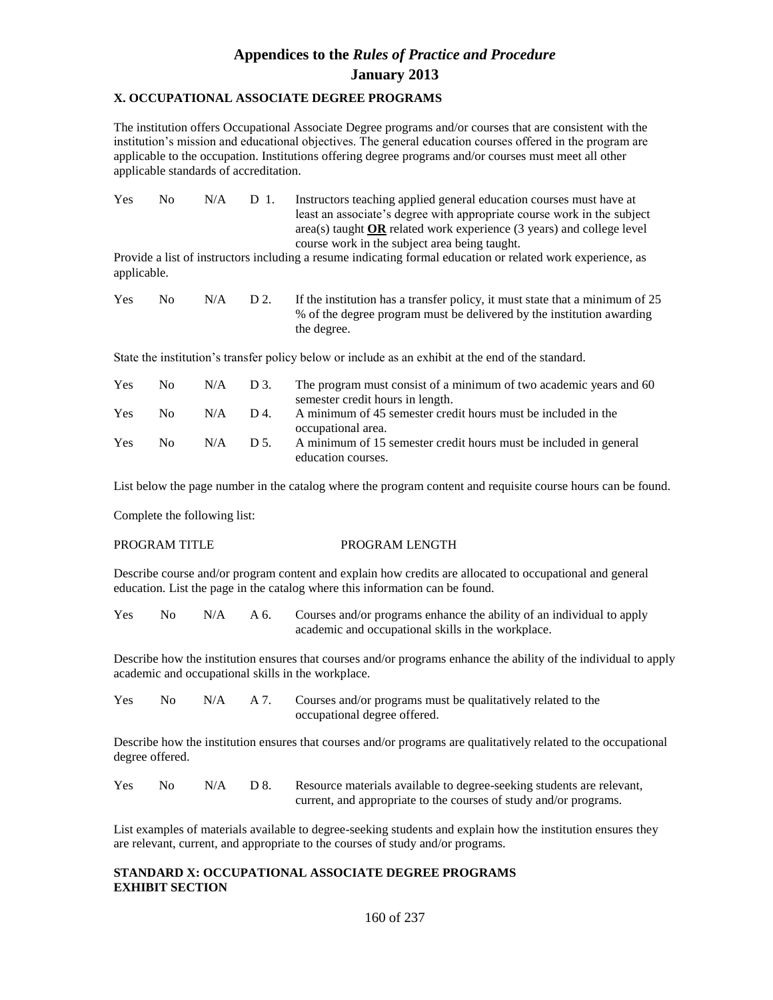### **X. OCCUPATIONAL ASSOCIATE DEGREE PROGRAMS**

The institution offers Occupational Associate Degree programs and/or courses that are consistent with the institution's mission and educational objectives. The general education courses offered in the program are applicable to the occupation. Institutions offering degree programs and/or courses must meet all other applicable standards of accreditation.

| <b>Yes</b> | No. | N/A | D 1. | Instructors teaching applied general education courses must have at            |
|------------|-----|-----|------|--------------------------------------------------------------------------------|
|            |     |     |      | least an associate's degree with appropriate course work in the subject        |
|            |     |     |      | $area(s)$ taught <b>OR</b> related work experience (3 years) and college level |
|            |     |     |      | course work in the subject area being taught.                                  |

Provide a list of instructors including a resume indicating formal education or related work experience, as applicable.

| <b>Yes</b> | $N_{\Omega}$ | N/A | D 2. | If the institution has a transfer policy, it must state that a minimum of 25 |
|------------|--------------|-----|------|------------------------------------------------------------------------------|
|            |              |     |      | % of the degree program must be delivered by the institution awarding        |
|            |              |     |      | the degree.                                                                  |

State the institution's transfer policy below or include as an exhibit at the end of the standard.

| Yes | No 11 |     | $N/A$ D 3. | The program must consist of a minimum of two academic years and 60 |
|-----|-------|-----|------------|--------------------------------------------------------------------|
|     |       |     |            | semester credit hours in length.                                   |
| Yes | No.   | N/A | $D_4$      | A minimum of 45 semester credit hours must be included in the      |
|     |       |     |            | occupational area.                                                 |
| Yes | No.   | N/A | D.5        | A minimum of 15 semester credit hours must be included in general  |
|     |       |     |            | education courses.                                                 |

List below the page number in the catalog where the program content and requisite course hours can be found.

Complete the following list:

#### PROGRAM TITLE PROGRAM LENGTH

Describe course and/or program content and explain how credits are allocated to occupational and general education. List the page in the catalog where this information can be found.

Yes No N/A A 6. Courses and/or programs enhance the ability of an individual to apply academic and occupational skills in the workplace.

Describe how the institution ensures that courses and/or programs enhance the ability of the individual to apply academic and occupational skills in the workplace.

Yes No N/A A 7. Courses and/or programs must be qualitatively related to the occupational degree offered.

Describe how the institution ensures that courses and/or programs are qualitatively related to the occupational degree offered.

| <b>Yes</b> | No. | $N/A$ D 8. | Resource materials available to degree-seeking students are relevant, |
|------------|-----|------------|-----------------------------------------------------------------------|
|            |     |            | current, and appropriate to the courses of study and/or programs.     |

List examples of materials available to degree-seeking students and explain how the institution ensures they are relevant, current, and appropriate to the courses of study and/or programs.

### **STANDARD X: OCCUPATIONAL ASSOCIATE DEGREE PROGRAMS EXHIBIT SECTION**

160 of 237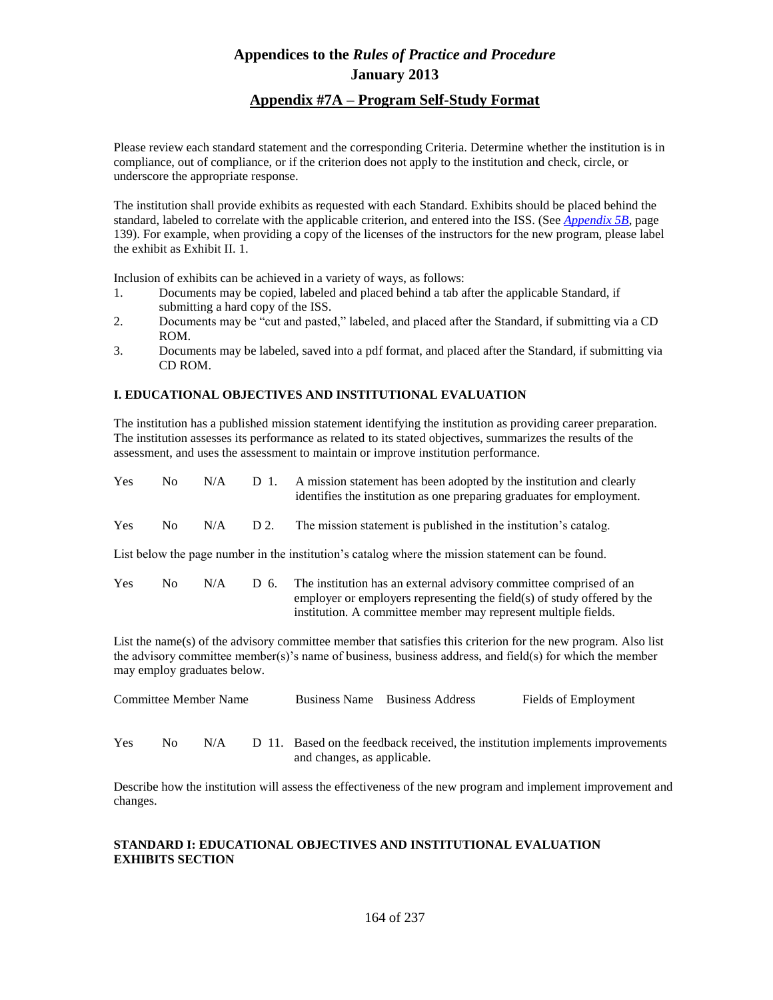### **Appendix #7A – Program Self-Study Format**

Please review each standard statement and the corresponding Criteria. Determine whether the institution is in compliance, out of compliance, or if the criterion does not apply to the institution and check, circle, or underscore the appropriate response.

The institution shall provide exhibits as requested with each Standard. Exhibits should be placed behind the standard, labeled to correlate with the applicable criterion, and entered into the ISS. (See *Appendix 5B*, page 139). For example, when providing a copy of the licenses of the instructors for the new program, please label the exhibit as Exhibit II. 1.

Inclusion of exhibits can be achieved in a variety of ways, as follows:

- 1. Documents may be copied, labeled and placed behind a tab after the applicable Standard, if submitting a hard copy of the ISS.
- 2. Documents may be "cut and pasted," labeled, and placed after the Standard, if submitting via a CD ROM.
- 3. Documents may be labeled, saved into a pdf format, and placed after the Standard, if submitting via CD ROM.

### **I. EDUCATIONAL OBJECTIVES AND INSTITUTIONAL EVALUATION**

The institution has a published mission statement identifying the institution as providing career preparation. The institution assesses its performance as related to its stated objectives, summarizes the results of the assessment, and uses the assessment to maintain or improve institution performance.

| Yes | No. | N/A | D 1. | A mission statement has been adopted by the institution and clearly<br>identifies the institution as one preparing graduates for employment.  |  |
|-----|-----|-----|------|-----------------------------------------------------------------------------------------------------------------------------------------------|--|
| Yes | No. | N/A | D 2. | The mission statement is published in the institution's catalog.                                                                              |  |
|     |     |     |      | List below the page number in the institution's catalog where the mission statement can be found.                                             |  |
| Yes | No. | N/A | D 6. | The institution has an external advisory committee comprised of an<br>employer or employers representing the field(s) of study offered by the |  |

List the name(s) of the advisory committee member that satisfies this criterion for the new program. Also list the advisory committee member(s)'s name of business, business address, and field(s) for which the member may employ graduates below.

institution. A committee member may represent multiple fields.

| Committee Member Name |     |     |  |                             | Business Name Business Address | Fields of Employment                                                          |
|-----------------------|-----|-----|--|-----------------------------|--------------------------------|-------------------------------------------------------------------------------|
| Yes                   | No. | N/A |  | and changes, as applicable. |                                | D 11. Based on the feedback received, the institution implements improvements |

Describe how the institution will assess the effectiveness of the new program and implement improvement and changes.

### **STANDARD I: EDUCATIONAL OBJECTIVES AND INSTITUTIONAL EVALUATION EXHIBITS SECTION**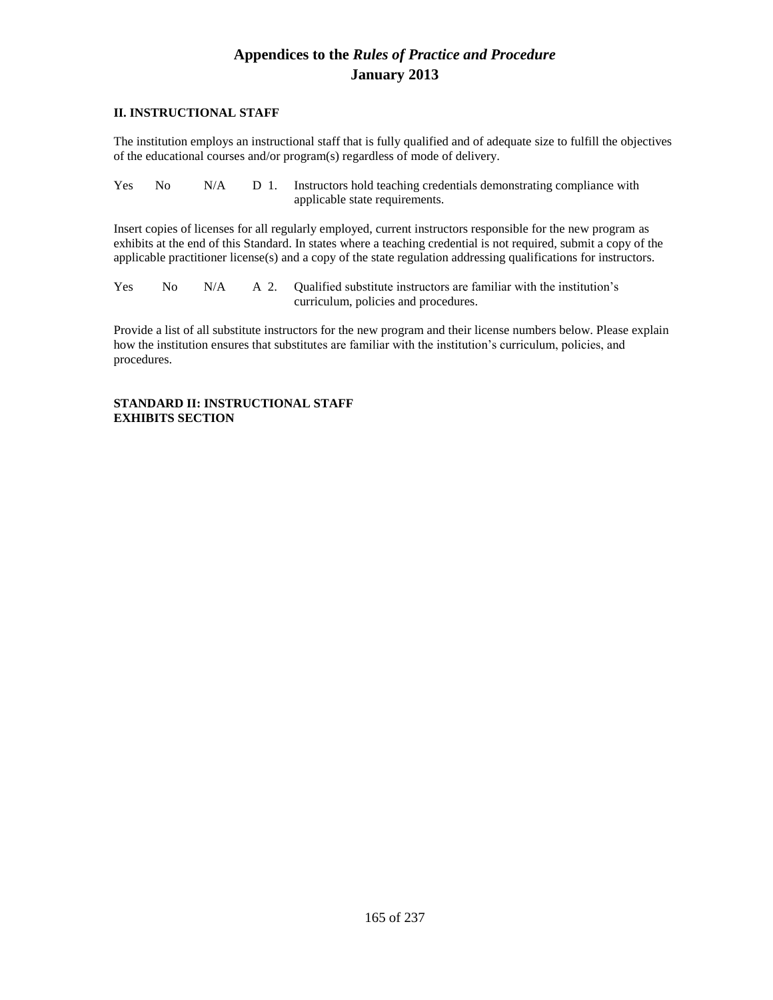### **II. INSTRUCTIONAL STAFF**

The institution employs an instructional staff that is fully qualified and of adequate size to fulfill the objectives of the educational courses and/or program(s) regardless of mode of delivery.

| Yes - |  | No N/A D 1. Instructors hold teaching credentials demonstrating compliance with |
|-------|--|---------------------------------------------------------------------------------|
|       |  | applicable state requirements.                                                  |

Insert copies of licenses for all regularly employed, current instructors responsible for the new program as exhibits at the end of this Standard. In states where a teaching credential is not required, submit a copy of the applicable practitioner license(s) and a copy of the state regulation addressing qualifications for instructors.

Yes No N/A A 2. Qualified substitute instructors are familiar with the institution's curriculum, policies and procedures.

Provide a list of all substitute instructors for the new program and their license numbers below. Please explain how the institution ensures that substitutes are familiar with the institution's curriculum, policies, and procedures.

### **STANDARD II: INSTRUCTIONAL STAFF EXHIBITS SECTION**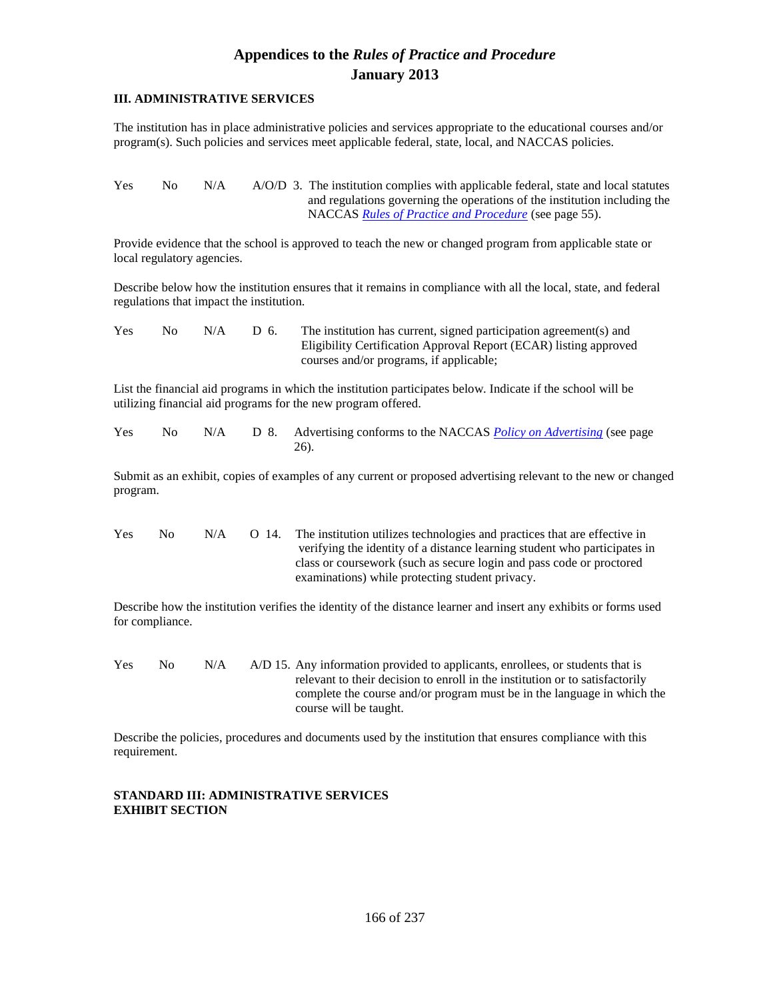### **III. ADMINISTRATIVE SERVICES**

The institution has in place administrative policies and services appropriate to the educational courses and/or program(s). Such policies and services meet applicable federal, state, local, and NACCAS policies.

Yes No N/A A/O/D 3. The institution complies with applicable federal, state and local statutes and regulations governing the operations of the institution including the NACCAS *Rules of Practice and Procedure* (see page 55).

Provide evidence that the school is approved to teach the new or changed program from applicable state or local regulatory agencies.

Describe below how the institution ensures that it remains in compliance with all the local, state, and federal regulations that impact the institution.

| <b>Yes</b> | No. | N/A | D 6. | The institution has current, signed participation agreement(s) and |
|------------|-----|-----|------|--------------------------------------------------------------------|
|            |     |     |      | Eligibility Certification Approval Report (ECAR) listing approved  |
|            |     |     |      | courses and/or programs, if applicable;                            |

List the financial aid programs in which the institution participates below. Indicate if the school will be utilizing financial aid programs for the new program offered.

| Yes |  | No N/A D 8. Advertising conforms to the NACCAS Policy on Advertising (see page |
|-----|--|--------------------------------------------------------------------------------|
|     |  |                                                                                |

Submit as an exhibit, copies of examples of any current or proposed advertising relevant to the new or changed program.

| <b>Yes</b> | No. | N/A | O <sub>14</sub> | The institution utilizes technologies and practices that are effective in |
|------------|-----|-----|-----------------|---------------------------------------------------------------------------|
|            |     |     |                 | verifying the identity of a distance learning student who participates in |
|            |     |     |                 | class or coursework (such as secure login and pass code or proctored      |
|            |     |     |                 | examinations) while protecting student privacy.                           |

Describe how the institution verifies the identity of the distance learner and insert any exhibits or forms used for compliance.

Yes No N/A A/D 15. Any information provided to applicants, enrollees, or students that is relevant to their decision to enroll in the institution or to satisfactorily complete the course and/or program must be in the language in which the course will be taught.

Describe the policies, procedures and documents used by the institution that ensures compliance with this requirement.

#### **STANDARD III: ADMINISTRATIVE SERVICES EXHIBIT SECTION**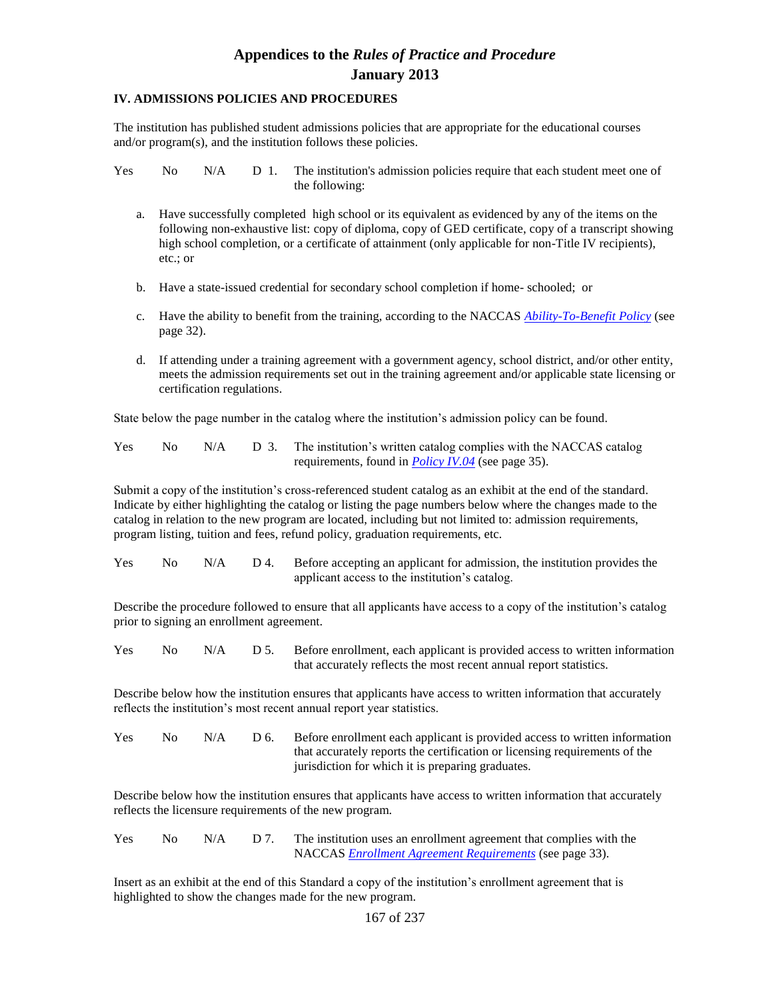### **IV. ADMISSIONS POLICIES AND PROCEDURES**

The institution has published student admissions policies that are appropriate for the educational courses and/or program(s), and the institution follows these policies.

Yes No N/A D 1. The institution's admission policies require that each student meet one of the following:

- a. Have successfully completed high school or its equivalent as evidenced by any of the items on the following non-exhaustive list: copy of diploma, copy of GED certificate, copy of a transcript showing high school completion, or a certificate of attainment (only applicable for non-Title IV recipients), etc.; or
- b. Have a state-issued credential for secondary school completion if home- schooled; or
- c. Have the ability to benefit from the training, according to the NACCAS *Ability-To-Benefit Policy* (see page 32).
- d. If attending under a training agreement with a government agency, school district, and/or other entity, meets the admission requirements set out in the training agreement and/or applicable state licensing or certification regulations.

State below the page number in the catalog where the institution's admission policy can be found.

| <b>Yes</b> |  | No N/A D 3. The institution's written catalog complies with the NACCAS catalog |
|------------|--|--------------------------------------------------------------------------------|
|            |  | requirements, found in $Policy IV.04$ (see page 35).                           |

Submit a copy of the institution's cross-referenced student catalog as an exhibit at the end of the standard. Indicate by either highlighting the catalog or listing the page numbers below where the changes made to the catalog in relation to the new program are located, including but not limited to: admission requirements, program listing, tuition and fees, refund policy, graduation requirements, etc.

| <b>Yes</b> | No. |  | N/A D 4. Before accepting an applicant for admission, the institution provides the |
|------------|-----|--|------------------------------------------------------------------------------------|
|            |     |  | applicant access to the institution's catalog.                                     |

Describe the procedure followed to ensure that all applicants have access to a copy of the institution's catalog prior to signing an enrollment agreement.

Yes No N/A D 5. Before enrollment, each applicant is provided access to written information that accurately reflects the most recent annual report statistics.

Describe below how the institution ensures that applicants have access to written information that accurately reflects the institution's most recent annual report year statistics.

| <b>Yes</b> | No. | N/A | D 6. Before enrollment each applicant is provided access to written information |
|------------|-----|-----|---------------------------------------------------------------------------------|
|            |     |     | that accurately reports the certification or licensing requirements of the      |
|            |     |     | jurisdiction for which it is preparing graduates.                               |

Describe below how the institution ensures that applicants have access to written information that accurately reflects the licensure requirements of the new program.

| <b>Yes</b> | No N/A |  | The institution uses an enrollment agreement that complies with the |
|------------|--------|--|---------------------------------------------------------------------|
|            |        |  | NACCAS <i>Enrollment Agreement Requirements</i> (see page 33).      |

Insert as an exhibit at the end of this Standard a copy of the institution's enrollment agreement that is highlighted to show the changes made for the new program.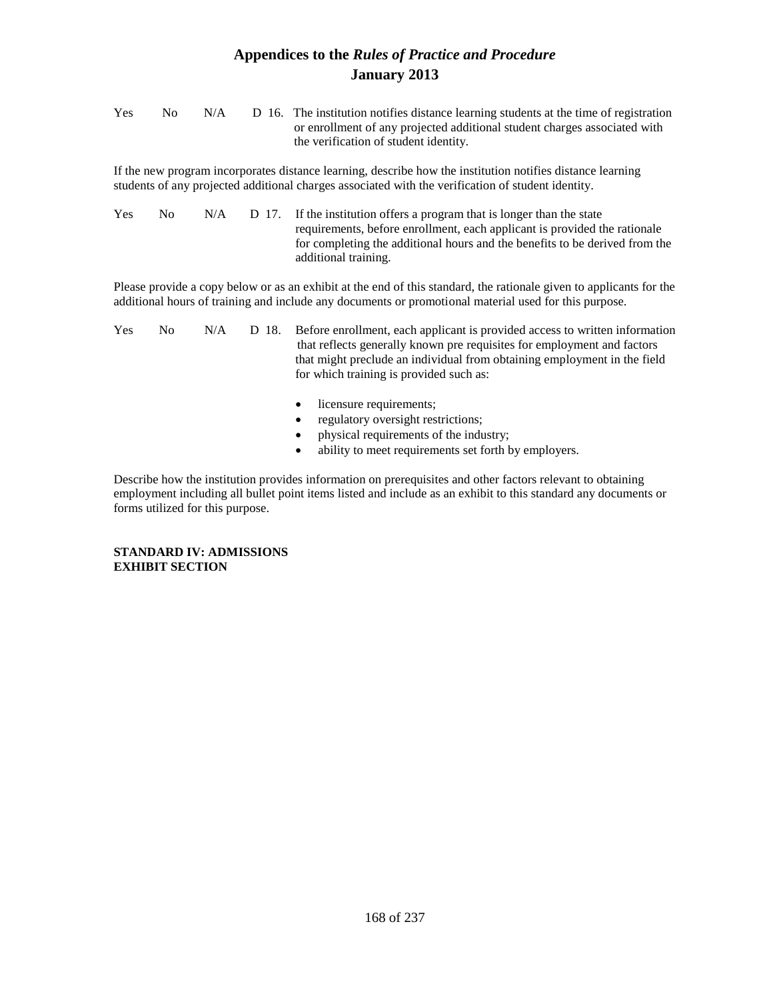| Yes | No. | N/A | D 16. The institution notifies distance learning students at the time of registration |
|-----|-----|-----|---------------------------------------------------------------------------------------|
|     |     |     | or enrollment of any projected additional student charges associated with             |
|     |     |     | the verification of student identity.                                                 |

If the new program incorporates distance learning, describe how the institution notifies distance learning students of any projected additional charges associated with the verification of student identity.

| <b>Yes</b> | No. | N/A |  | D 17. If the institution offers a program that is longer than the state     |
|------------|-----|-----|--|-----------------------------------------------------------------------------|
|            |     |     |  | requirements, before enrollment, each applicant is provided the rationale   |
|            |     |     |  | for completing the additional hours and the benefits to be derived from the |
|            |     |     |  | additional training.                                                        |

Please provide a copy below or as an exhibit at the end of this standard, the rationale given to applicants for the additional hours of training and include any documents or promotional material used for this purpose.

| <b>Yes</b> | No. | N/A |  | D 18. Before enrollment, each applicant is provided access to written information<br>that reflects generally known pre requisites for employment and factors |
|------------|-----|-----|--|--------------------------------------------------------------------------------------------------------------------------------------------------------------|
|            |     |     |  | that might preclude an individual from obtaining employment in the field<br>for which training is provided such as:                                          |

- licensure requirements;
- regulatory oversight restrictions;
- physical requirements of the industry;
- ability to meet requirements set forth by employers.

Describe how the institution provides information on prerequisites and other factors relevant to obtaining employment including all bullet point items listed and include as an exhibit to this standard any documents or forms utilized for this purpose.

#### **STANDARD IV: ADMISSIONS EXHIBIT SECTION**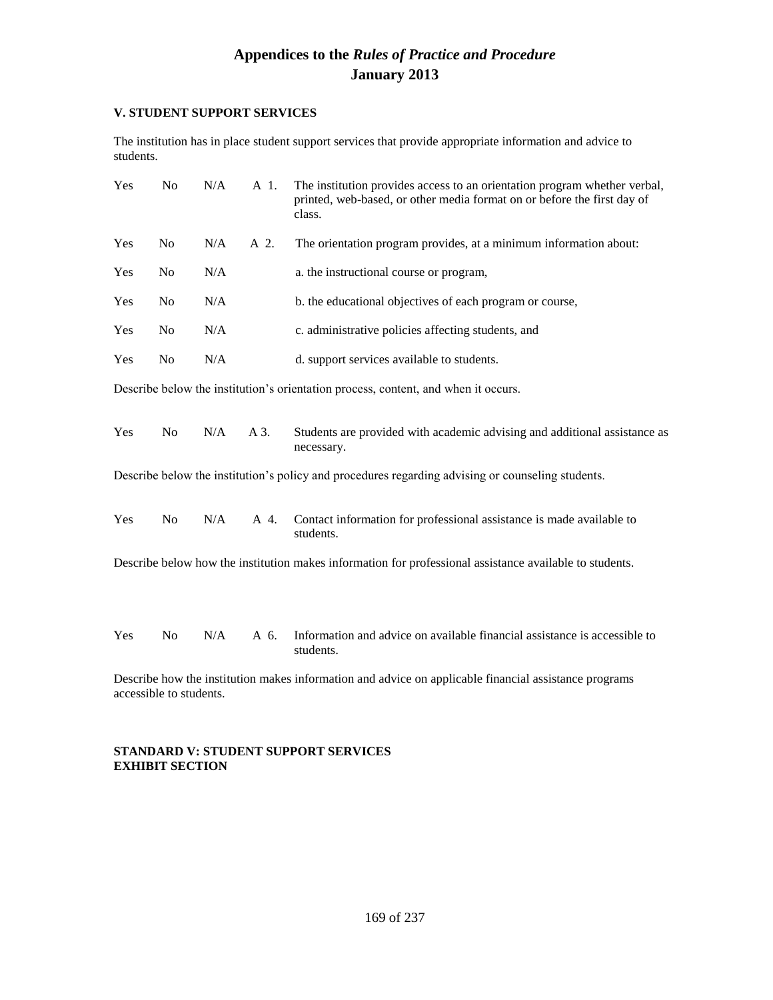### **V. STUDENT SUPPORT SERVICES**

The institution has in place student support services that provide appropriate information and advice to students.

| Yes | N <sub>o</sub>          | N/A | A 1. | The institution provides access to an orientation program whether verbal,<br>printed, web-based, or other media format on or before the first day of<br>class. |
|-----|-------------------------|-----|------|----------------------------------------------------------------------------------------------------------------------------------------------------------------|
| Yes | N <sub>o</sub>          | N/A | A 2. | The orientation program provides, at a minimum information about:                                                                                              |
| Yes | No                      | N/A |      | a. the instructional course or program,                                                                                                                        |
| Yes | No                      | N/A |      | b. the educational objectives of each program or course,                                                                                                       |
| Yes | N <sub>o</sub>          | N/A |      | c. administrative policies affecting students, and                                                                                                             |
| Yes | N <sub>o</sub>          | N/A |      | d. support services available to students.                                                                                                                     |
|     |                         |     |      | Describe below the institution's orientation process, content, and when it occurs.                                                                             |
| Yes | N <sub>o</sub>          | N/A | A 3. | Students are provided with academic advising and additional assistance as<br>necessary.                                                                        |
|     |                         |     |      | Describe below the institution's policy and procedures regarding advising or counseling students.                                                              |
| Yes | N <sub>o</sub>          | N/A | A 4. | Contact information for professional assistance is made available to<br>students.                                                                              |
|     |                         |     |      | Describe below how the institution makes information for professional assistance available to students.                                                        |
| Yes | N <sub>o</sub>          | N/A | A 6. | Information and advice on available financial assistance is accessible to<br>students.                                                                         |
|     | accessible to students. |     |      | Describe how the institution makes information and advice on applicable financial assistance programs                                                          |

### **STANDARD V: STUDENT SUPPORT SERVICES EXHIBIT SECTION**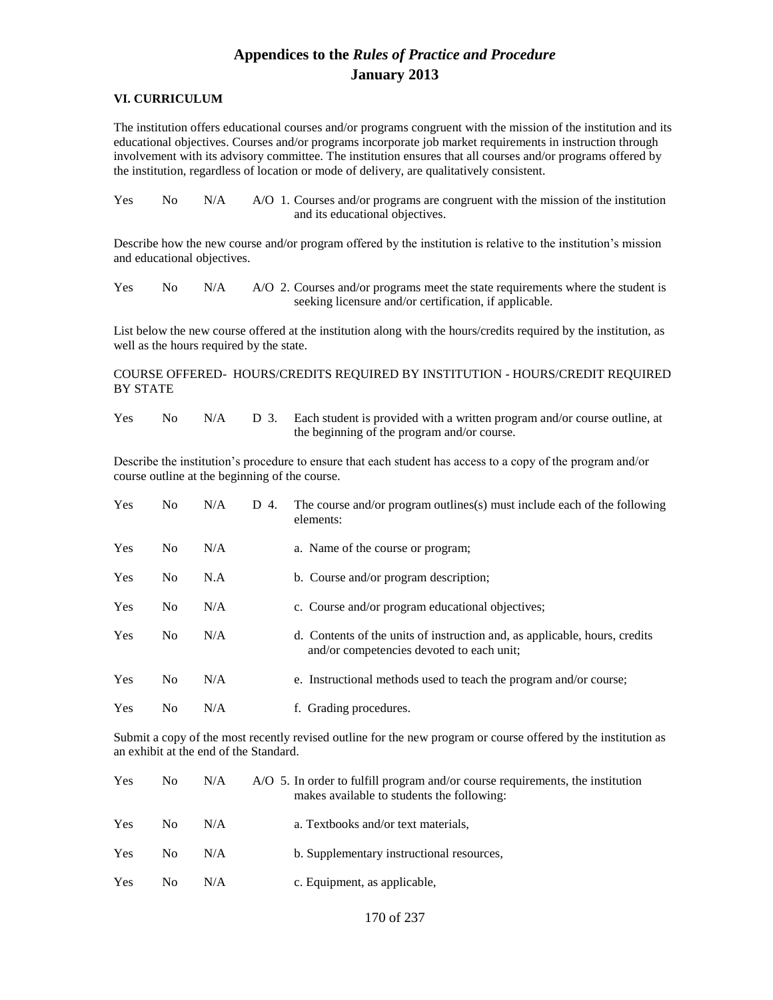#### **VI. CURRICULUM**

The institution offers educational courses and/or programs congruent with the mission of the institution and its educational objectives. Courses and/or programs incorporate job market requirements in instruction through involvement with its advisory committee. The institution ensures that all courses and/or programs offered by the institution, regardless of location or mode of delivery, are qualitatively consistent.

| <b>Yes</b> | No. | N/A | A/O 1. Courses and/or programs are congruent with the mission of the institution |
|------------|-----|-----|----------------------------------------------------------------------------------|
|            |     |     | and its educational objectives.                                                  |

Describe how the new course and/or program offered by the institution is relative to the institution's mission and educational objectives.

Yes No N/A A/O 2. Courses and/or programs meet the state requirements where the student is seeking licensure and/or certification, if applicable.

List below the new course offered at the institution along with the hours/credits required by the institution, as well as the hours required by the state.

COURSE OFFERED- HOURS/CREDITS REQUIRED BY INSTITUTION - HOURS/CREDIT REQUIRED BY STATE

Yes No N/A D 3. Each student is provided with a written program and/or course outline, at the beginning of the program and/or course.

Describe the institution's procedure to ensure that each student has access to a copy of the program and/or course outline at the beginning of the course.

| Yes        | N <sub>0</sub> | N/A | D 4. | The course and/or program outlines(s) must include each of the following<br>elements:                                   |
|------------|----------------|-----|------|-------------------------------------------------------------------------------------------------------------------------|
| <b>Yes</b> | N <sub>o</sub> | N/A |      | a. Name of the course or program;                                                                                       |
| Yes        | N <sub>0</sub> | N.A |      | b. Course and/or program description;                                                                                   |
| <b>Yes</b> | N <sub>0</sub> | N/A |      | c. Course and/or program educational objectives;                                                                        |
| <b>Yes</b> | N <sub>0</sub> | N/A |      | d. Contents of the units of instruction and, as applicable, hours, credits<br>and/or competencies devoted to each unit; |
| <b>Yes</b> | N <sub>0</sub> | N/A |      | e. Instructional methods used to teach the program and/or course;                                                       |
| Yes        | No             | N/A |      | f. Grading procedures.                                                                                                  |

Submit a copy of the most recently revised outline for the new program or course offered by the institution as an exhibit at the end of the Standard.

| Yes | N <sub>0</sub> | N/A | A/O 5. In order to fulfill program and/or course requirements, the institution<br>makes available to students the following: |
|-----|----------------|-----|------------------------------------------------------------------------------------------------------------------------------|
| Yes | No.            | N/A | a. Textbooks and/or text materials,                                                                                          |
| Yes | N <sub>0</sub> | N/A | b. Supplementary instructional resources,                                                                                    |
| Yes | N <sub>0</sub> | N/A | c. Equipment, as applicable,                                                                                                 |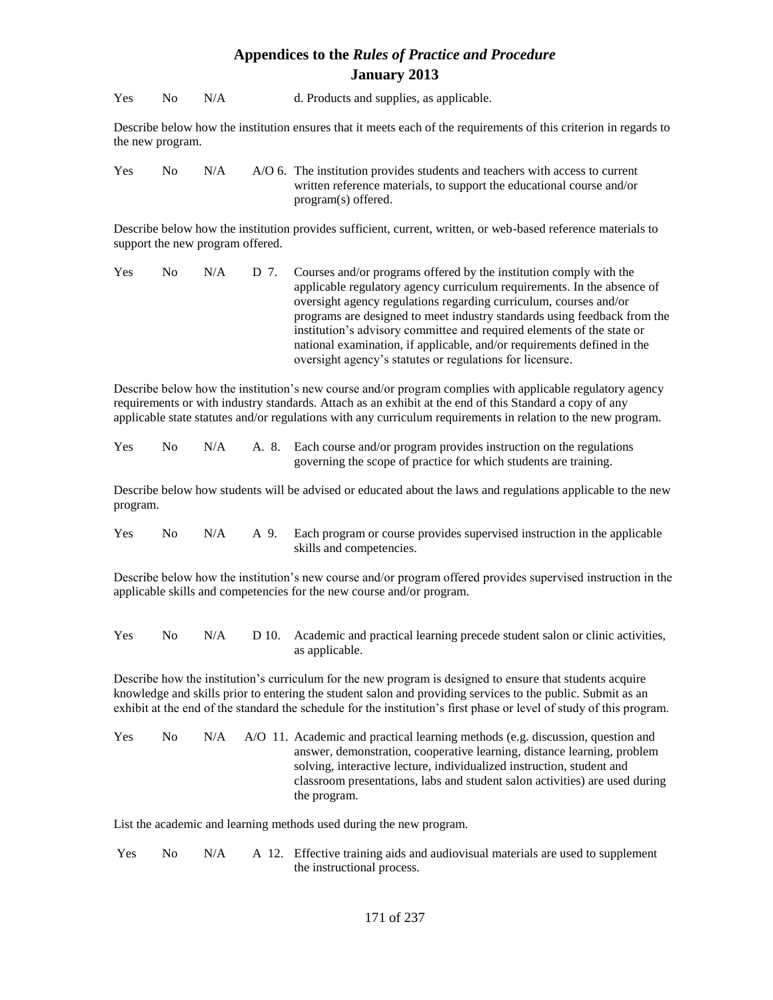Yes No N/A d. Products and supplies, as applicable.

Describe below how the institution ensures that it meets each of the requirements of this criterion in regards to the new program.

Yes No N/A A/O 6. The institution provides students and teachers with access to current written reference materials, to support the educational course and/or program(s) offered.

Describe below how the institution provides sufficient, current, written, or web-based reference materials to support the new program offered.

| Yes | No. | N/A | D 7. Courses and/or programs offered by the institution comply with the  |
|-----|-----|-----|--------------------------------------------------------------------------|
|     |     |     | applicable regulatory agency curriculum requirements. In the absence of  |
|     |     |     | oversight agency regulations regarding curriculum, courses and/or        |
|     |     |     | programs are designed to meet industry standards using feedback from the |
|     |     |     | institution's advisory committee and required elements of the state or   |
|     |     |     | national examination, if applicable, and/or requirements defined in the  |
|     |     |     | oversight agency's statutes or regulations for licensure.                |

Describe below how the institution's new course and/or program complies with applicable regulatory agency requirements or with industry standards. Attach as an exhibit at the end of this Standard a copy of any applicable state statutes and/or regulations with any curriculum requirements in relation to the new program.

| <b>Yes</b> | No 11 | N/A |  | A. 8. Each course and/or program provides instruction on the regulations |
|------------|-------|-----|--|--------------------------------------------------------------------------|
|            |       |     |  | governing the scope of practice for which students are training.         |

Describe below how students will be advised or educated about the laws and regulations applicable to the new program.

| Yes |  | No N/A A 9. Each program or course provides supervised instruction in the applicable |
|-----|--|--------------------------------------------------------------------------------------|
|     |  | skills and competencies.                                                             |

Describe below how the institution's new course and/or program offered provides supervised instruction in the applicable skills and competencies for the new course and/or program.

Yes No N/A D 10. Academic and practical learning precede student salon or clinic activities, as applicable.

Describe how the institution's curriculum for the new program is designed to ensure that students acquire knowledge and skills prior to entering the student salon and providing services to the public. Submit as an exhibit at the end of the standard the schedule for the institution's first phase or level of study of this program.

| <b>Yes</b> | No. | N/A | A/O 11. Academic and practical learning methods (e.g. discussion, question and |
|------------|-----|-----|--------------------------------------------------------------------------------|
|            |     |     | answer, demonstration, cooperative learning, distance learning, problem        |
|            |     |     | solving, interactive lecture, individualized instruction, student and          |
|            |     |     | classroom presentations, labs and student salon activities) are used during    |
|            |     |     | the program.                                                                   |

List the academic and learning methods used during the new program.

| <b>Yes</b> | No. | N/A | A 12. Effective training aids and audiovisual materials are used to supplement |
|------------|-----|-----|--------------------------------------------------------------------------------|
|            |     |     | the instructional process.                                                     |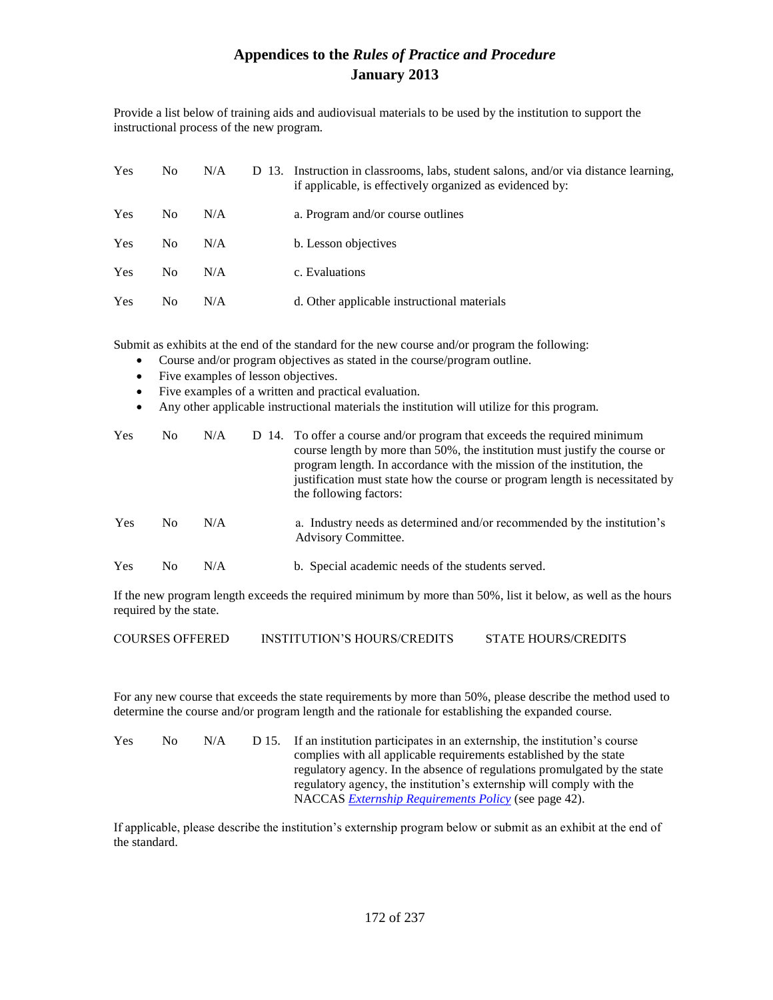Provide a list below of training aids and audiovisual materials to be used by the institution to support the instructional process of the new program.

| <b>Yes</b> | No.            | N/A | D 13. Instruction in classrooms, labs, student salons, and/or via distance learning,<br>if applicable, is effectively organized as evidenced by: |
|------------|----------------|-----|--------------------------------------------------------------------------------------------------------------------------------------------------|
| Yes        | No.            | N/A | a. Program and/or course outlines                                                                                                                |
| Yes        | N <sub>0</sub> | N/A | b. Lesson objectives                                                                                                                             |
| Yes        | N <sub>0</sub> | N/A | c. Evaluations                                                                                                                                   |
| Yes        | No.            | N/A | d. Other applicable instructional materials                                                                                                      |

Submit as exhibits at the end of the standard for the new course and/or program the following:

- Course and/or program objectives as stated in the course/program outline.
- Five examples of lesson objectives.
- Five examples of a written and practical evaluation.
- Any other applicable instructional materials the institution will utilize for this program.

| <b>Yes</b> | No.            | N/A | D 14. To offer a course and/or program that exceeds the required minimum<br>course length by more than 50%, the institution must justify the course or<br>program length. In accordance with the mission of the institution, the<br>justification must state how the course or program length is necessitated by<br>the following factors: |
|------------|----------------|-----|--------------------------------------------------------------------------------------------------------------------------------------------------------------------------------------------------------------------------------------------------------------------------------------------------------------------------------------------|
| Yes        | N <sub>0</sub> | N/A | a. Industry needs as determined and/or recommended by the institution's<br><b>Advisory Committee.</b>                                                                                                                                                                                                                                      |
| Yes        | No.            | N/A | b. Special academic needs of the students served.                                                                                                                                                                                                                                                                                          |

If the new program length exceeds the required minimum by more than 50%, list it below, as well as the hours required by the state.

COURSES OFFERED INSTITUTION'S HOURS/CREDITS STATE HOURS/CREDITS

For any new course that exceeds the state requirements by more than 50%, please describe the method used to determine the course and/or program length and the rationale for establishing the expanded course.

| <b>Yes</b> | No. | N/A | D 15. If an institution participates in an externship, the institution's course |
|------------|-----|-----|---------------------------------------------------------------------------------|
|            |     |     | complies with all applicable requirements established by the state              |
|            |     |     | regulatory agency. In the absence of regulations promulgated by the state       |
|            |     |     | regulatory agency, the institution's externship will comply with the            |
|            |     |     | NACCAS <i>Externship Requirements Policy</i> (see page 42).                     |

If applicable, please describe the institution's externship program below or submit as an exhibit at the end of the standard.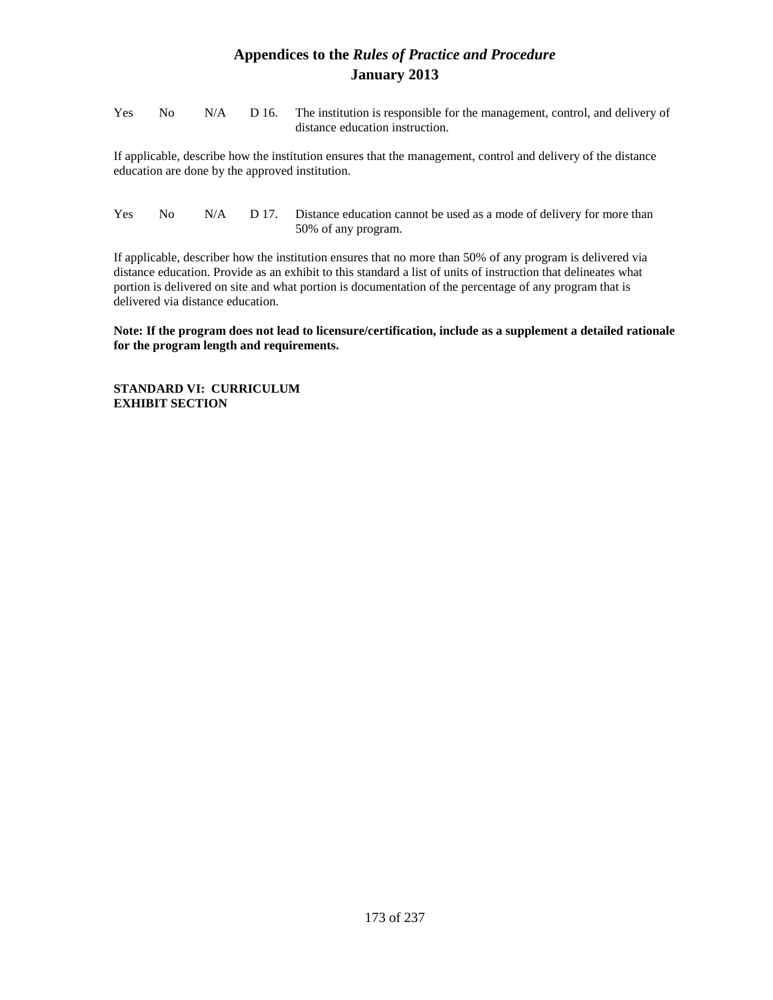| <b>Yes</b> |  | No N/A D 16. The institution is responsible for the management, control, and delivery of |
|------------|--|------------------------------------------------------------------------------------------|
|            |  | distance education instruction.                                                          |

If applicable, describe how the institution ensures that the management, control and delivery of the distance education are done by the approved institution.

Yes No  $N/A$  D 17. Distance education cannot be used as a mode of delivery for more than 50% of any program.

If applicable, describer how the institution ensures that no more than 50% of any program is delivered via distance education. Provide as an exhibit to this standard a list of units of instruction that delineates what portion is delivered on site and what portion is documentation of the percentage of any program that is delivered via distance education.

**Note: If the program does not lead to licensure/certification, include as a supplement a detailed rationale for the program length and requirements.**

**STANDARD VI: CURRICULUM EXHIBIT SECTION**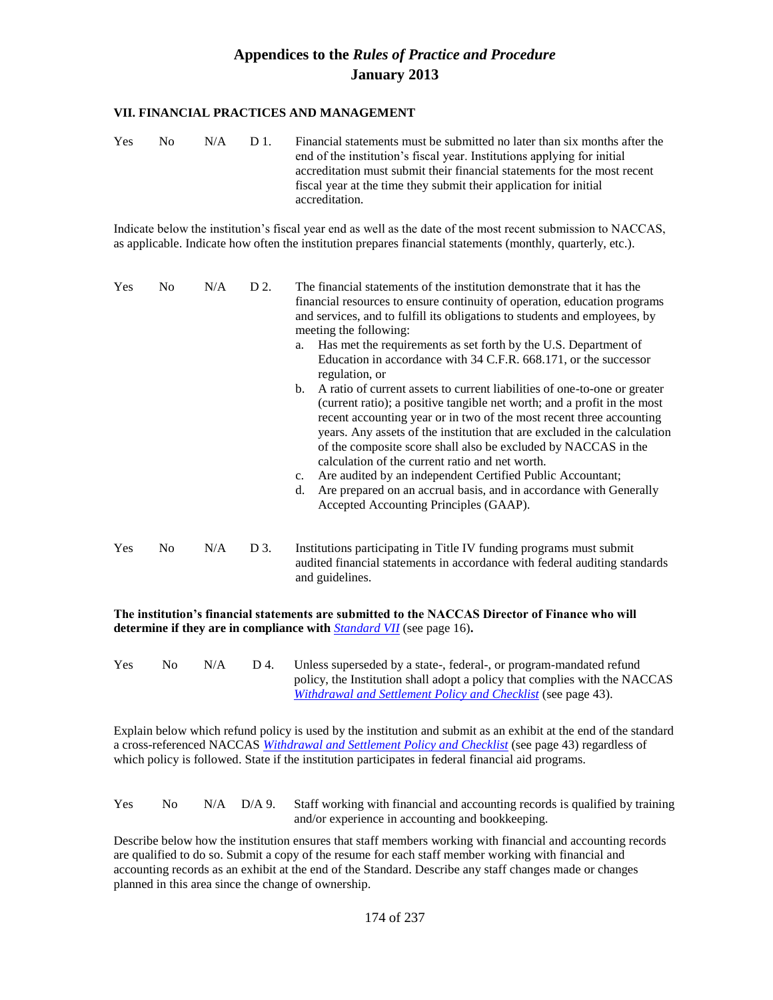#### **VII. FINANCIAL PRACTICES AND MANAGEMENT**

| <b>Yes</b> | No. | N/A | - D 1. | Financial statements must be submitted no later than six months after the<br>end of the institution's fiscal year. Institutions applying for initial<br>accreditation must submit their financial statements for the most recent |
|------------|-----|-----|--------|----------------------------------------------------------------------------------------------------------------------------------------------------------------------------------------------------------------------------------|
|            |     |     |        | fiscal year at the time they submit their application for initial                                                                                                                                                                |
|            |     |     |        | accreditation.                                                                                                                                                                                                                   |

Indicate below the institution's fiscal year end as well as the date of the most recent submission to NACCAS, as applicable. Indicate how often the institution prepares financial statements (monthly, quarterly, etc.).

| Yes | N <sub>0</sub> | N/A | D 2. | The financial statements of the institution demonstrate that it has the<br>financial resources to ensure continuity of operation, education programs<br>and services, and to fulfill its obligations to students and employees, by<br>meeting the following:<br>Has met the requirements as set forth by the U.S. Department of<br>a.<br>Education in accordance with 34 C.F.R. 668.171, or the successor<br>regulation, or<br>b.<br>A ratio of current assets to current liabilities of one-to-one or greater                                        |
|-----|----------------|-----|------|-------------------------------------------------------------------------------------------------------------------------------------------------------------------------------------------------------------------------------------------------------------------------------------------------------------------------------------------------------------------------------------------------------------------------------------------------------------------------------------------------------------------------------------------------------|
|     |                |     |      | (current ratio); a positive tangible net worth; and a profit in the most<br>recent accounting year or in two of the most recent three accounting<br>years. Any assets of the institution that are excluded in the calculation<br>of the composite score shall also be excluded by NACCAS in the<br>calculation of the current ratio and net worth.<br>Are audited by an independent Certified Public Accountant;<br>$c_{\cdot}$<br>Are prepared on an accrual basis, and in accordance with Generally<br>d.<br>Accepted Accounting Principles (GAAP). |
| Yes | No.            | N/A | D 3. | Institutions participating in Title IV funding programs must submit<br>audited financial statements in accordance with federal auditing standards                                                                                                                                                                                                                                                                                                                                                                                                     |

**The institution's financial statements are submitted to the NACCAS Director of Finance who will determine if they are in compliance with** *Standard VII* (see page 16)**.**

and guidelines.

Yes No N/A D 4. Unless superseded by a state-, federal-, or program-mandated refund policy, the Institution shall adopt a policy that complies with the NACCAS *Withdrawal and Settlement Policy and Checklist* (see page 43).

Explain below which refund policy is used by the institution and submit as an exhibit at the end of the standard a cross-referenced NACCAS *Withdrawal and Settlement Policy and Checklist* (see page 43) regardless of which policy is followed. State if the institution participates in federal financial aid programs.

### Yes No N/A D/A 9. Staff working with financial and accounting records is qualified by training and/or experience in accounting and bookkeeping.

Describe below how the institution ensures that staff members working with financial and accounting records are qualified to do so. Submit a copy of the resume for each staff member working with financial and accounting records as an exhibit at the end of the Standard. Describe any staff changes made or changes planned in this area since the change of ownership.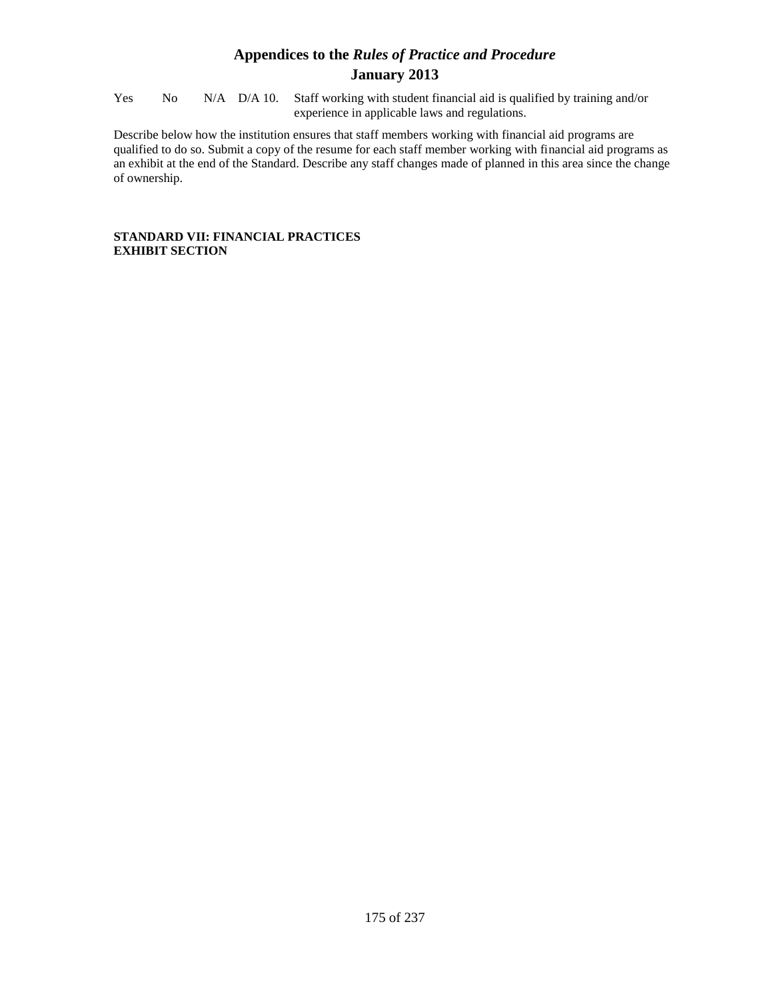Yes No N/A D/A 10. Staff working with student financial aid is qualified by training and/or experience in applicable laws and regulations.

Describe below how the institution ensures that staff members working with financial aid programs are qualified to do so. Submit a copy of the resume for each staff member working with financial aid programs as an exhibit at the end of the Standard. Describe any staff changes made of planned in this area since the change of ownership.

### **STANDARD VII: FINANCIAL PRACTICES EXHIBIT SECTION**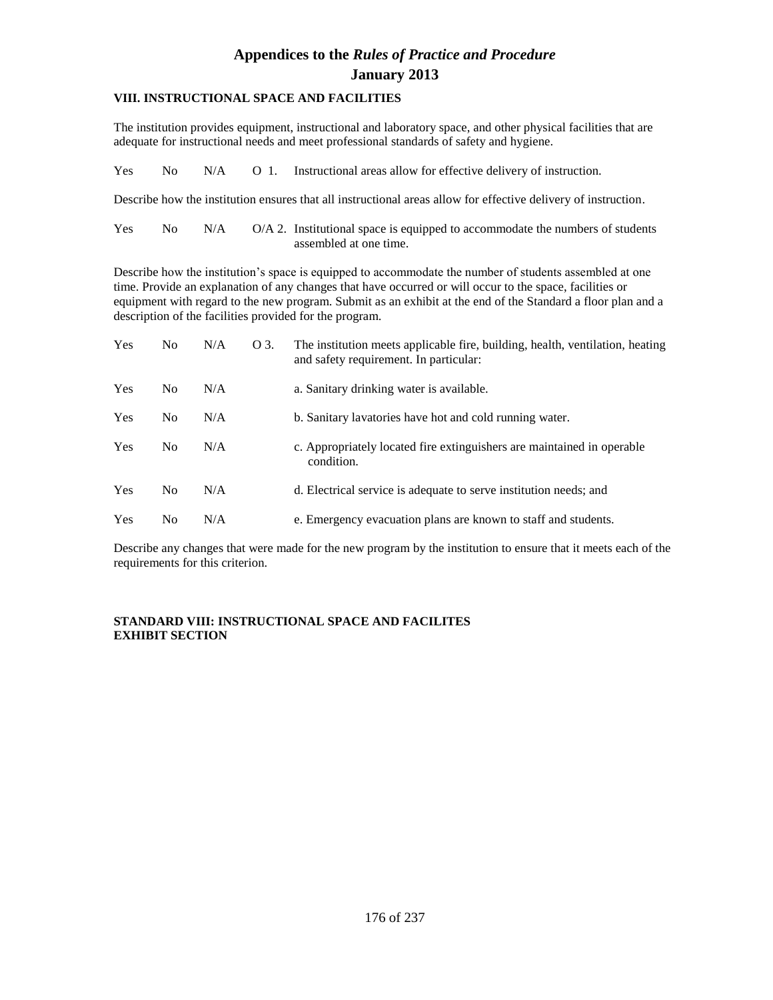### **VIII. INSTRUCTIONAL SPACE AND FACILITIES**

The institution provides equipment, instructional and laboratory space, and other physical facilities that are adequate for instructional needs and meet professional standards of safety and hygiene.

Yes No  $N/A$  O 1. Instructional areas allow for effective delivery of instruction.

Describe how the institution ensures that all instructional areas allow for effective delivery of instruction.

| <b>Yes</b> | $N_{\Omega}$ | N/A | $O/A$ 2. Institutional space is equipped to accommodate the numbers of students |
|------------|--------------|-----|---------------------------------------------------------------------------------|
|            |              |     | assembled at one time.                                                          |

Describe how the institution's space is equipped to accommodate the number of students assembled at one time. Provide an explanation of any changes that have occurred or will occur to the space, facilities or equipment with regard to the new program. Submit as an exhibit at the end of the Standard a floor plan and a description of the facilities provided for the program.

| Yes        | N <sub>0</sub> | N/A | O 3. | The institution meets applicable fire, building, health, ventilation, heating<br>and safety requirement. In particular: |
|------------|----------------|-----|------|-------------------------------------------------------------------------------------------------------------------------|
| <b>Yes</b> | N <sub>0</sub> | N/A |      | a. Sanitary drinking water is available.                                                                                |
| Yes        | N <sub>0</sub> | N/A |      | b. Sanitary lavatories have hot and cold running water.                                                                 |
| Yes        | N <sub>0</sub> | N/A |      | c. Appropriately located fire extinguishers are maintained in operable<br>condition.                                    |
| <b>Yes</b> | N <sub>0</sub> | N/A |      | d. Electrical service is adequate to serve institution needs; and                                                       |
| Yes        | N <sub>0</sub> | N/A |      | e. Emergency evacuation plans are known to staff and students.                                                          |

Describe any changes that were made for the new program by the institution to ensure that it meets each of the requirements for this criterion.

### **STANDARD VIII: INSTRUCTIONAL SPACE AND FACILITES EXHIBIT SECTION**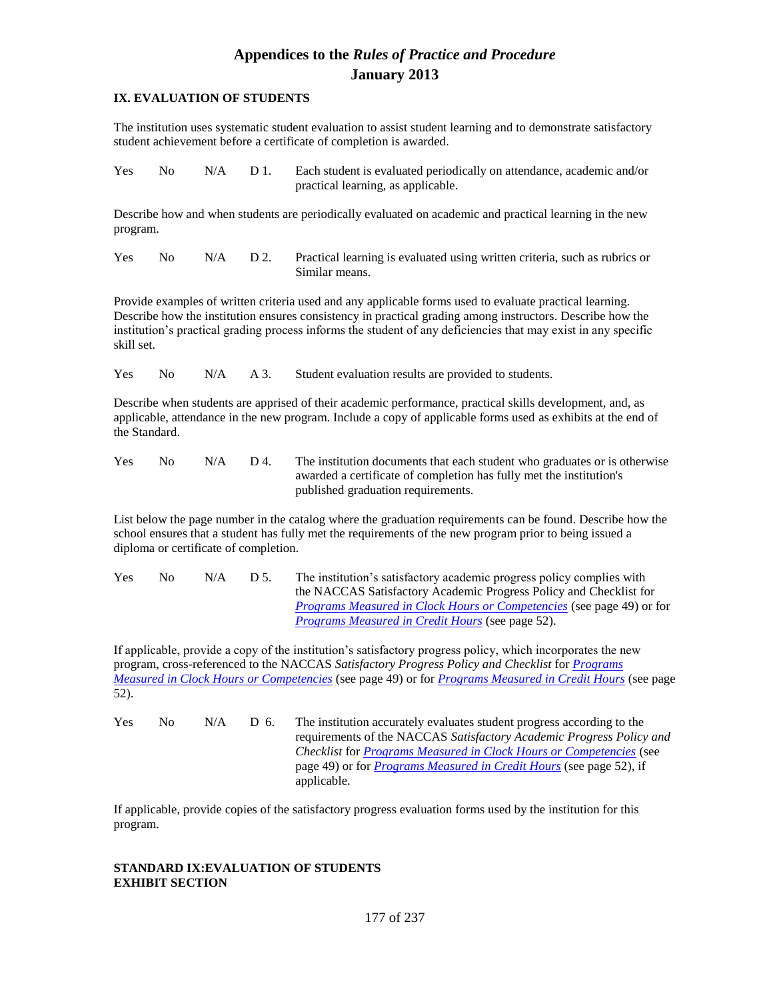### **IX. EVALUATION OF STUDENTS**

The institution uses systematic student evaluation to assist student learning and to demonstrate satisfactory student achievement before a certificate of completion is awarded.

Yes No N/A D 1. Each student is evaluated periodically on attendance, academic and/or practical learning, as applicable.

Describe how and when students are periodically evaluated on academic and practical learning in the new program.

Yes No N/A D 2. Practical learning is evaluated using written criteria, such as rubrics or Similar means.

Provide examples of written criteria used and any applicable forms used to evaluate practical learning. Describe how the institution ensures consistency in practical grading among instructors. Describe how the institution's practical grading process informs the student of any deficiencies that may exist in any specific skill set.

Yes No N/A A 3. Student evaluation results are provided to students.

Describe when students are apprised of their academic performance, practical skills development, and, as applicable, attendance in the new program. Include a copy of applicable forms used as exhibits at the end of the Standard.

Yes No  $N/A$  D 4. The institution documents that each student who graduates or is otherwise awarded a certificate of completion has fully met the institution's published graduation requirements.

List below the page number in the catalog where the graduation requirements can be found. Describe how the school ensures that a student has fully met the requirements of the new program prior to being issued a diploma or certificate of completion.

Yes No  $N/A$  D 5. The institution's satisfactory academic progress policy complies with the NACCAS Satisfactory Academic Progress Policy and Checklist for *Programs Measured in Clock Hours or Competencies* (see page 49) or for *Programs Measured in Credit Hours* (see page 52).

If applicable, provide a copy of the institution's satisfactory progress policy, which incorporates the new program, cross-referenced to the NACCAS *Satisfactory Progress Policy and Checklist* for *Programs Measured in Clock Hours or Competencies* (see page 49) or for *Programs Measured in Credit Hours* (see page 52).

Yes No N/A D 6. The institution accurately evaluates student progress according to the requirements of the NACCAS *Satisfactory Academic Progress Policy and Checklist* for *Programs Measured in Clock Hours or Competencies* (see page 49) or for *Programs Measured in Credit Hours* (see page 52), if applicable.

If applicable, provide copies of the satisfactory progress evaluation forms used by the institution for this program.

### **STANDARD IX:EVALUATION OF STUDENTS EXHIBIT SECTION**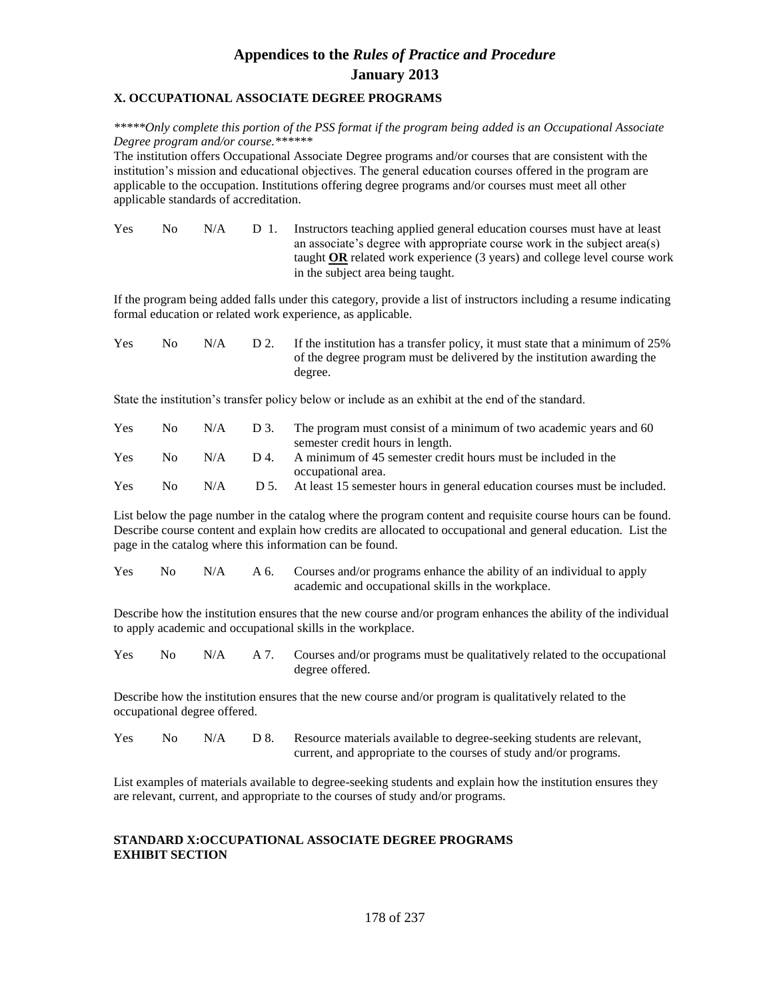#### **X. OCCUPATIONAL ASSOCIATE DEGREE PROGRAMS**

*\*\*\*\*\*Only complete this portion of the PSS format if the program being added is an Occupational Associate Degree program and/or course.\*\*\*\*\*\**

The institution offers Occupational Associate Degree programs and/or courses that are consistent with the institution's mission and educational objectives. The general education courses offered in the program are applicable to the occupation. Institutions offering degree programs and/or courses must meet all other applicable standards of accreditation.

Yes No N/A D 1. Instructors teaching applied general education courses must have at least an associate's degree with appropriate course work in the subject area(s) taught **OR** related work experience (3 years) and college level course work in the subject area being taught.

If the program being added falls under this category, provide a list of instructors including a resume indicating formal education or related work experience, as applicable.

| <b>Yes</b> | $N_{\Omega}$ | N/A | D 2. If the institution has a transfer policy, it must state that a minimum of $25\%$ |
|------------|--------------|-----|---------------------------------------------------------------------------------------|
|            |              |     | of the degree program must be delivered by the institution awarding the               |
|            |              |     | degree.                                                                               |

State the institution's transfer policy below or include as an exhibit at the end of the standard.

| Yes        | No. | N/A | D 3. | The program must consist of a minimum of two academic years and 60        |
|------------|-----|-----|------|---------------------------------------------------------------------------|
|            |     |     |      | semester credit hours in length.                                          |
| <b>Yes</b> | No. | N/A | D4.  | A minimum of 45 semester credit hours must be included in the             |
|            |     |     |      | occupational area.                                                        |
| Yes        | Nο  | N/A | D 5. | At least 15 semester hours in general education courses must be included. |

List below the page number in the catalog where the program content and requisite course hours can be found. Describe course content and explain how credits are allocated to occupational and general education. List the page in the catalog where this information can be found.

| <b>Yes</b> |  | No N/A A 6. Courses and/or programs enhance the ability of an individual to apply |
|------------|--|-----------------------------------------------------------------------------------|
|            |  | academic and occupational skills in the workplace.                                |

Describe how the institution ensures that the new course and/or program enhances the ability of the individual to apply academic and occupational skills in the workplace.

Yes No N/A A 7. Courses and/or programs must be qualitatively related to the occupational degree offered.

Describe how the institution ensures that the new course and/or program is qualitatively related to the occupational degree offered.

| <b>Yes</b> | No. | N/A | D 8. Resource materials available to degree-seeking students are relevant, |
|------------|-----|-----|----------------------------------------------------------------------------|
|            |     |     | current, and appropriate to the courses of study and/or programs.          |

List examples of materials available to degree-seeking students and explain how the institution ensures they are relevant, current, and appropriate to the courses of study and/or programs.

#### **STANDARD X:OCCUPATIONAL ASSOCIATE DEGREE PROGRAMS EXHIBIT SECTION**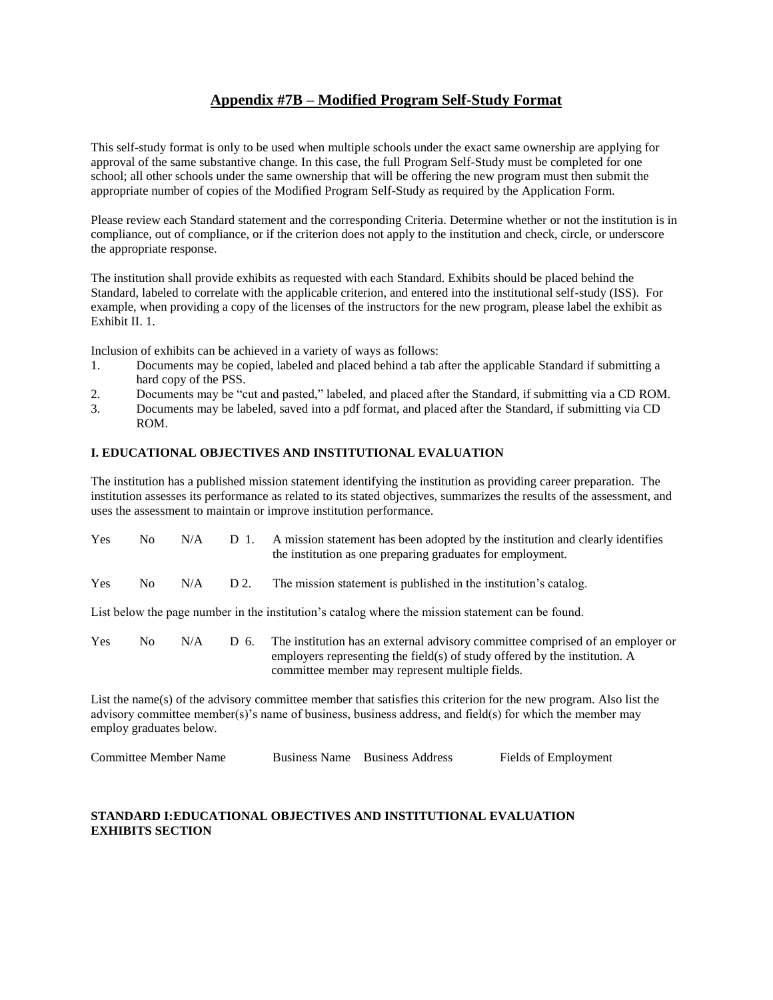### **Appendix #7B – Modified Program Self-Study Format**

This self-study format is only to be used when multiple schools under the exact same ownership are applying for approval of the same substantive change. In this case, the full Program Self-Study must be completed for one school; all other schools under the same ownership that will be offering the new program must then submit the appropriate number of copies of the Modified Program Self-Study as required by the Application Form.

Please review each Standard statement and the corresponding Criteria. Determine whether or not the institution is in compliance, out of compliance, or if the criterion does not apply to the institution and check, circle, or underscore the appropriate response.

The institution shall provide exhibits as requested with each Standard. Exhibits should be placed behind the Standard, labeled to correlate with the applicable criterion, and entered into the institutional self-study (ISS). For example, when providing a copy of the licenses of the instructors for the new program, please label the exhibit as Exhibit II. 1.

Inclusion of exhibits can be achieved in a variety of ways as follows:

- 1. Documents may be copied, labeled and placed behind a tab after the applicable Standard if submitting a hard copy of the PSS.
- 2. Documents may be "cut and pasted," labeled, and placed after the Standard, if submitting via a CD ROM.
- 3. Documents may be labeled, saved into a pdf format, and placed after the Standard, if submitting via CD ROM.

### **I. EDUCATIONAL OBJECTIVES AND INSTITUTIONAL EVALUATION**

The institution has a published mission statement identifying the institution as providing career preparation. The institution assesses its performance as related to its stated objectives, summarizes the results of the assessment, and uses the assessment to maintain or improve institution performance.

| Yes        | No. | N/A | D 1. | A mission statement has been adopted by the institution and clearly identifies<br>the institution as one preparing graduates for employment.                                                                                   |
|------------|-----|-----|------|--------------------------------------------------------------------------------------------------------------------------------------------------------------------------------------------------------------------------------|
| <b>Yes</b> | No. | N/A | D 2. | The mission statement is published in the institution's catalog.                                                                                                                                                               |
|            |     |     |      | List below the page number in the institution's catalog where the mission statement can be found.                                                                                                                              |
| <b>Yes</b> | No. | N/A | D 6. | The institution has an external advisory committee comprised of an employer or<br>employers representing the field(s) of study offered by the institution. A<br>committee member may represent multiple fields.                |
|            |     |     |      | List the name(s) of the advisory committee member that satisfies this criterion for the new program. Also list the<br>advisory committee member(s)'s name of business, business address, and field(s) for which the member may |

employ graduates below.

| <b>Committee Member Name</b> | Business Name Business Address | Fields of Employment |
|------------------------------|--------------------------------|----------------------|
|                              |                                |                      |

### **STANDARD I:EDUCATIONAL OBJECTIVES AND INSTITUTIONAL EVALUATION EXHIBITS SECTION**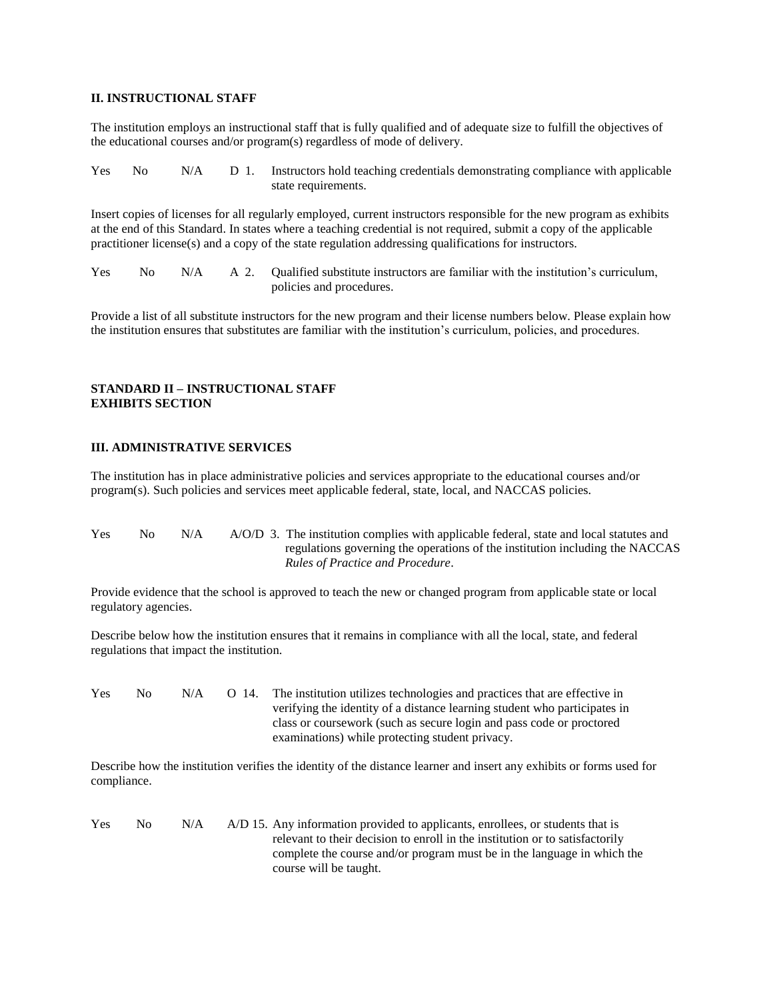### **II. INSTRUCTIONAL STAFF**

The institution employs an instructional staff that is fully qualified and of adequate size to fulfill the objectives of the educational courses and/or program(s) regardless of mode of delivery.

| Yes | No. | N/A | D 1. | Instructors hold teaching credentials demonstrating compliance with applicable<br>state requirements.                                                                                                                                                                                                                                                 |
|-----|-----|-----|------|-------------------------------------------------------------------------------------------------------------------------------------------------------------------------------------------------------------------------------------------------------------------------------------------------------------------------------------------------------|
|     |     |     |      | Insert copies of licenses for all regularly employed, current instructors responsible for the new program as exhibits<br>at the end of this Standard. In states where a teaching credential is not required, submit a copy of the applicable<br>practitioner license(s) and a copy of the state regulation addressing qualifications for instructors. |

| Yes |  | No N/A A 2. Qualified substitute instructors are familiar with the institution's curriculum, |
|-----|--|----------------------------------------------------------------------------------------------|
|     |  | policies and procedures.                                                                     |

Provide a list of all substitute instructors for the new program and their license numbers below. Please explain how the institution ensures that substitutes are familiar with the institution's curriculum, policies, and procedures.

### **STANDARD II – INSTRUCTIONAL STAFF EXHIBITS SECTION**

#### **III. ADMINISTRATIVE SERVICES**

The institution has in place administrative policies and services appropriate to the educational courses and/or program(s). Such policies and services meet applicable federal, state, local, and NACCAS policies.

| <b>Yes</b> | No. | N/A | A/O/D 3. The institution complies with applicable federal, state and local statutes and |
|------------|-----|-----|-----------------------------------------------------------------------------------------|
|            |     |     | regulations governing the operations of the institution including the NACCAS            |
|            |     |     | Rules of Practice and Procedure.                                                        |

Provide evidence that the school is approved to teach the new or changed program from applicable state or local regulatory agencies.

Describe below how the institution ensures that it remains in compliance with all the local, state, and federal regulations that impact the institution.

| <b>Yes</b> | No. | N/A | $O$ 14. | The institution utilizes technologies and practices that are effective in |
|------------|-----|-----|---------|---------------------------------------------------------------------------|
|            |     |     |         | verifying the identity of a distance learning student who participates in |
|            |     |     |         | class or coursework (such as secure login and pass code or proctored      |
|            |     |     |         | examinations) while protecting student privacy.                           |

Describe how the institution verifies the identity of the distance learner and insert any exhibits or forms used for compliance.

| <b>Yes</b> | No. | N/A | A/D 15. Any information provided to applicants, enrollees, or students that is |
|------------|-----|-----|--------------------------------------------------------------------------------|
|            |     |     | relevant to their decision to enroll in the institution or to satisfactorily   |
|            |     |     | complete the course and/or program must be in the language in which the        |
|            |     |     | course will be taught.                                                         |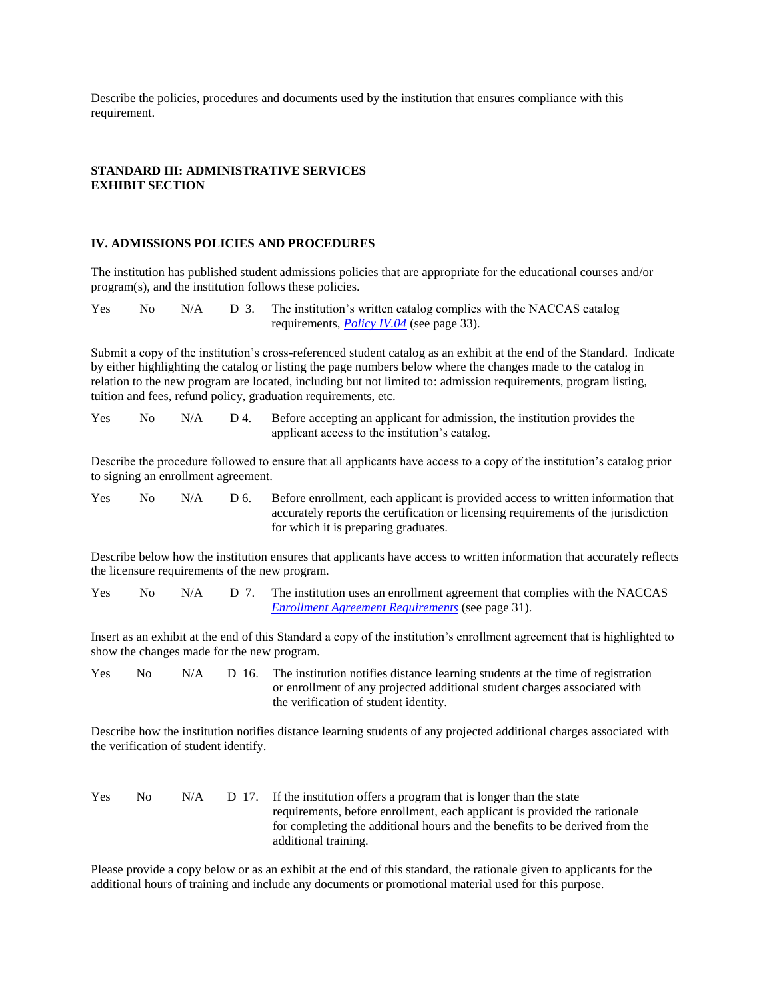Describe the policies, procedures and documents used by the institution that ensures compliance with this requirement.

#### **STANDARD III: ADMINISTRATIVE SERVICES EXHIBIT SECTION**

#### **IV. ADMISSIONS POLICIES AND PROCEDURES**

The institution has published student admissions policies that are appropriate for the educational courses and/or program(s), and the institution follows these policies.

Yes No N/A D 3. The institution's written catalog complies with the NACCAS catalog requirements, *Policy IV.04* (see page 33).

Submit a copy of the institution's cross-referenced student catalog as an exhibit at the end of the Standard. Indicate by either highlighting the catalog or listing the page numbers below where the changes made to the catalog in relation to the new program are located, including but not limited to: admission requirements, program listing, tuition and fees, refund policy, graduation requirements, etc.

Yes No N/A D 4. Before accepting an applicant for admission, the institution provides the applicant access to the institution's catalog.

Describe the procedure followed to ensure that all applicants have access to a copy of the institution's catalog prior to signing an enrollment agreement.

| <b>Yes</b> | No. | N/A | D 6. | Before enrollment, each applicant is provided access to written information that   |
|------------|-----|-----|------|------------------------------------------------------------------------------------|
|            |     |     |      | accurately reports the certification or licensing requirements of the jurisdiction |
|            |     |     |      | for which it is preparing graduates.                                               |

Describe below how the institution ensures that applicants have access to written information that accurately reflects the licensure requirements of the new program.

| <b>Yes</b> | No. |  | $N/A$ D 7. The institution uses an enrollment agreement that complies with the NACCAS |
|------------|-----|--|---------------------------------------------------------------------------------------|
|            |     |  | <i>Enrollment Agreement Requirements</i> (see page 31).                               |

Insert as an exhibit at the end of this Standard a copy of the institution's enrollment agreement that is highlighted to show the changes made for the new program.

| <b>Yes</b> | No. | N/A |  | D 16. The institution notifies distance learning students at the time of registration |
|------------|-----|-----|--|---------------------------------------------------------------------------------------|
|            |     |     |  | or enrollment of any projected additional student charges associated with             |
|            |     |     |  | the verification of student identity.                                                 |

Describe how the institution notifies distance learning students of any projected additional charges associated with the verification of student identify.

| <b>Yes</b> | No. | N/A |  | D 17. If the institution offers a program that is longer than the state     |
|------------|-----|-----|--|-----------------------------------------------------------------------------|
|            |     |     |  | requirements, before enrollment, each applicant is provided the rationale   |
|            |     |     |  | for completing the additional hours and the benefits to be derived from the |
|            |     |     |  | additional training.                                                        |

Please provide a copy below or as an exhibit at the end of this standard, the rationale given to applicants for the additional hours of training and include any documents or promotional material used for this purpose.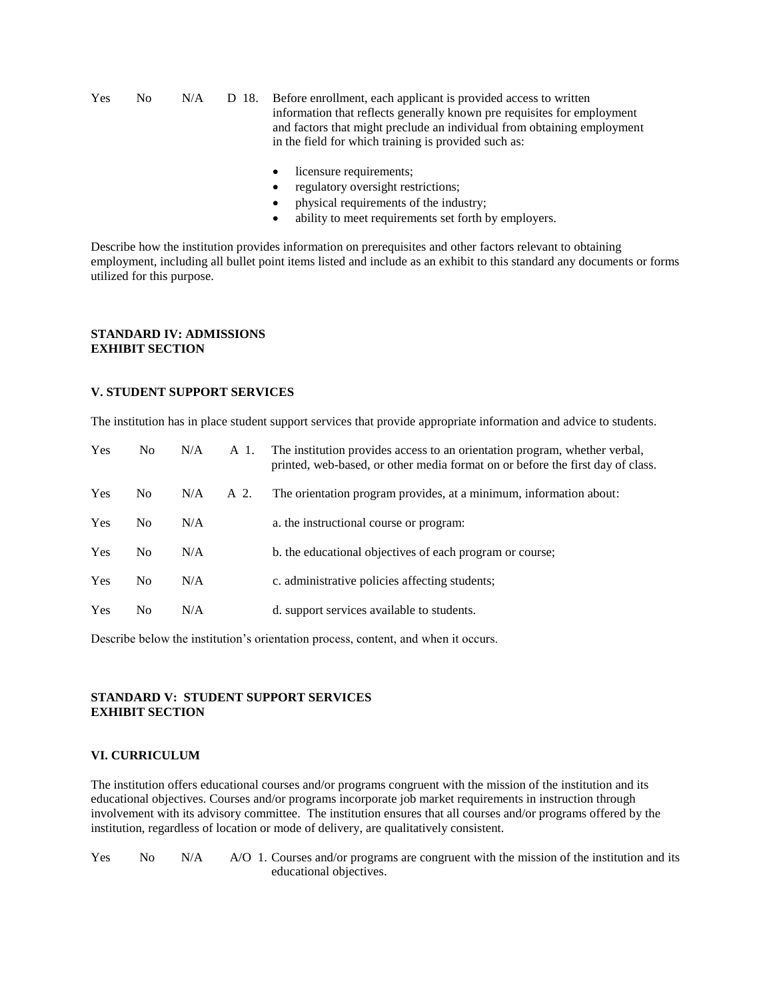Yes No N/A D 18. Before enrollment, each applicant is provided access to written information that reflects generally known pre requisites for employment and factors that might preclude an individual from obtaining employment in the field for which training is provided such as:

- licensure requirements;
- regulatory oversight restrictions;
- physical requirements of the industry;
- ability to meet requirements set forth by employers.

Describe how the institution provides information on prerequisites and other factors relevant to obtaining employment, including all bullet point items listed and include as an exhibit to this standard any documents or forms utilized for this purpose.

#### **STANDARD IV: ADMISSIONS EXHIBIT SECTION**

#### **V. STUDENT SUPPORT SERVICES**

The institution has in place student support services that provide appropriate information and advice to students.

| <b>Yes</b> | No.            | N/A | A 1. | The institution provides access to an orientation program, whether verbal,<br>printed, web-based, or other media format on or before the first day of class. |
|------------|----------------|-----|------|--------------------------------------------------------------------------------------------------------------------------------------------------------------|
| <b>Yes</b> | N <sub>o</sub> | N/A | A 2. | The orientation program provides, at a minimum, information about:                                                                                           |
| <b>Yes</b> | No.            | N/A |      | a. the instructional course or program:                                                                                                                      |
| <b>Yes</b> | No.            | N/A |      | b. the educational objectives of each program or course;                                                                                                     |
| <b>Yes</b> | N <sub>0</sub> | N/A |      | c. administrative policies affecting students;                                                                                                               |
| Yes        | No             | N/A |      | d. support services available to students.                                                                                                                   |

Describe below the institution's orientation process, content, and when it occurs.

#### **STANDARD V: STUDENT SUPPORT SERVICES EXHIBIT SECTION**

#### **VI. CURRICULUM**

The institution offers educational courses and/or programs congruent with the mission of the institution and its educational objectives. Courses and/or programs incorporate job market requirements in instruction through involvement with its advisory committee. The institution ensures that all courses and/or programs offered by the institution, regardless of location or mode of delivery, are qualitatively consistent.

| <b>Yes</b> | No. | N/A | A/O 1. Courses and/or programs are congruent with the mission of the institution and its |
|------------|-----|-----|------------------------------------------------------------------------------------------|
|            |     |     | educational objectives.                                                                  |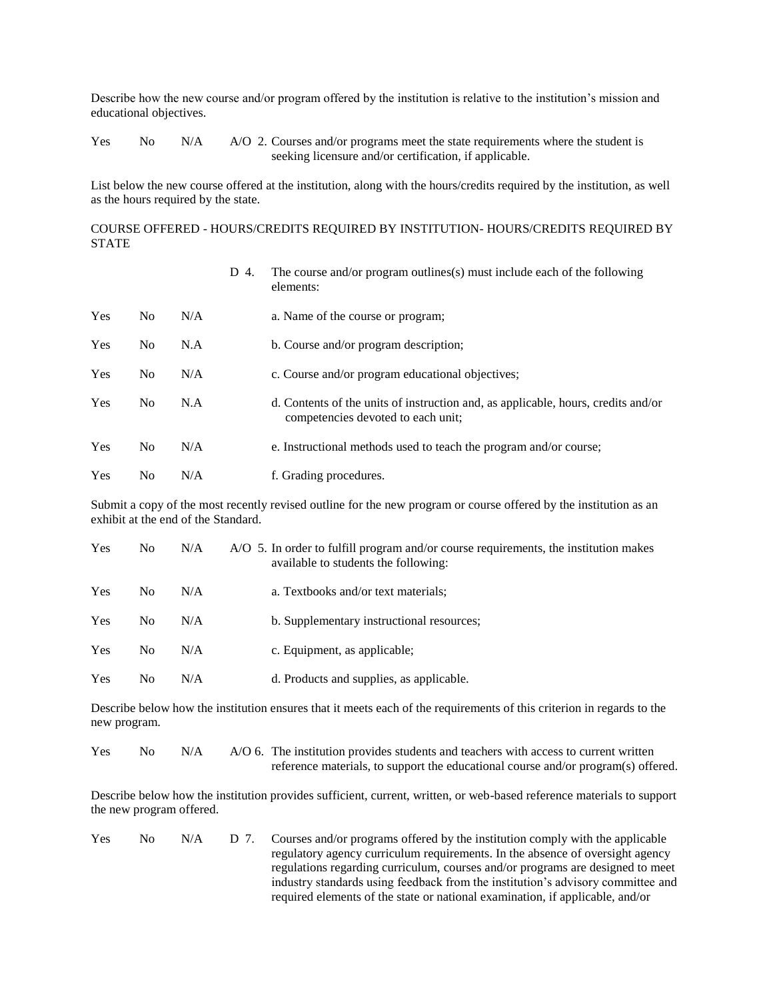Describe how the new course and/or program offered by the institution is relative to the institution's mission and educational objectives.

Yes No N/A A/O 2. Courses and/or programs meet the state requirements where the student is seeking licensure and/or certification, if applicable.

List below the new course offered at the institution, along with the hours/credits required by the institution, as well as the hours required by the state.

COURSE OFFERED - HOURS/CREDITS REQUIRED BY INSTITUTION- HOURS/CREDITS REQUIRED BY STATE

|     |                |     | D<br>4. | The course and/or program outlines(s) must include each of the following<br>elements:                                   |
|-----|----------------|-----|---------|-------------------------------------------------------------------------------------------------------------------------|
| Yes | N <sub>0</sub> | N/A |         | a. Name of the course or program;                                                                                       |
| Yes | No.            | N.A |         | b. Course and/or program description;                                                                                   |
| Yes | No.            | N/A |         | c. Course and/or program educational objectives;                                                                        |
| Yes | N <sub>0</sub> | N.A |         | d. Contents of the units of instruction and, as applicable, hours, credits and/or<br>competencies devoted to each unit; |
| Yes | N <sub>0</sub> | N/A |         | e. Instructional methods used to teach the program and/or course;                                                       |
| Yes | No.            | N/A |         | f. Grading procedures.                                                                                                  |

Submit a copy of the most recently revised outline for the new program or course offered by the institution as an exhibit at the end of the Standard.

| Yes        | No. | N/A | A/O 5. In order to fulfill program and/or course requirements, the institution makes<br>available to students the following: |
|------------|-----|-----|------------------------------------------------------------------------------------------------------------------------------|
| <b>Yes</b> | No. | N/A | a. Textbooks and/or text materials;                                                                                          |
| <b>Yes</b> | No. | N/A | b. Supplementary instructional resources;                                                                                    |
| <b>Yes</b> | No. | N/A | c. Equipment, as applicable;                                                                                                 |
| <b>Yes</b> | No. | N/A | d. Products and supplies, as applicable.                                                                                     |

Describe below how the institution ensures that it meets each of the requirements of this criterion in regards to the new program.

Yes No N/A A/O 6. The institution provides students and teachers with access to current written reference materials, to support the educational course and/or program(s) offered.

Describe below how the institution provides sufficient, current, written, or web-based reference materials to support the new program offered.

Yes No N/A D 7. Courses and/or programs offered by the institution comply with the applicable regulatory agency curriculum requirements. In the absence of oversight agency regulations regarding curriculum, courses and/or programs are designed to meet industry standards using feedback from the institution's advisory committee and required elements of the state or national examination, if applicable, and/or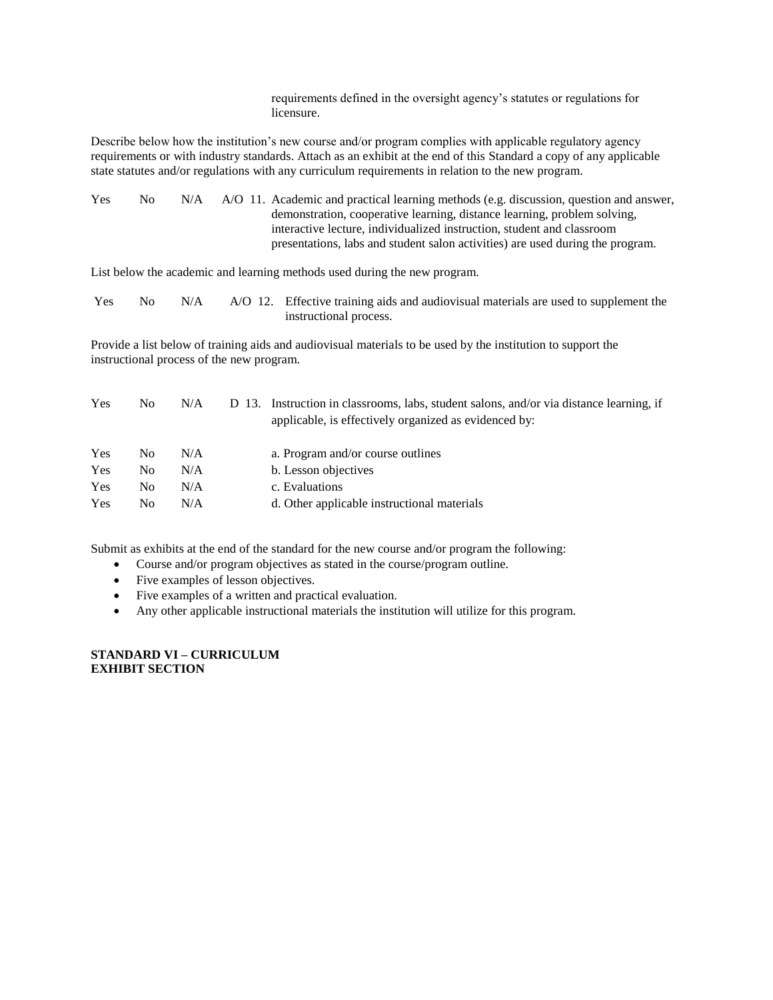requirements defined in the oversight agency's statutes or regulations for licensure.

Describe below how the institution's new course and/or program complies with applicable regulatory agency requirements or with industry standards. Attach as an exhibit at the end of this Standard a copy of any applicable state statutes and/or regulations with any curriculum requirements in relation to the new program.

| <b>Yes</b><br>No<br>N/A | A/O 11. Academic and practical learning methods (e.g. discussion, question and answer, |
|-------------------------|----------------------------------------------------------------------------------------|
|                         | demonstration, cooperative learning, distance learning, problem solving,               |
|                         | interactive lecture, individualized instruction, student and classroom                 |
|                         | presentations, labs and student salon activities) are used during the program.         |

List below the academic and learning methods used during the new program.

| Yes | No. | N/A | A/O 12. Effective training aids and audiovisual materials are used to supplement the |
|-----|-----|-----|--------------------------------------------------------------------------------------|
|     |     |     | instructional process.                                                               |

Provide a list below of training aids and audiovisual materials to be used by the institution to support the instructional process of the new program.

| Yes | No  | N/A | D 13. Instruction in classrooms, labs, student salons, and/or via distance learning, if<br>applicable, is effectively organized as evidenced by: |
|-----|-----|-----|--------------------------------------------------------------------------------------------------------------------------------------------------|
| Yes | No. | N/A | a. Program and/or course outlines                                                                                                                |
| Yes | No  | N/A | b. Lesson objectives                                                                                                                             |
| Yes | No. | N/A | c. Evaluations                                                                                                                                   |
| Yes | No. | N/A | d. Other applicable instructional materials                                                                                                      |

Submit as exhibits at the end of the standard for the new course and/or program the following:

- Course and/or program objectives as stated in the course/program outline.
- Five examples of lesson objectives.
- Five examples of a written and practical evaluation.
- Any other applicable instructional materials the institution will utilize for this program.

**STANDARD VI – CURRICULUM EXHIBIT SECTION**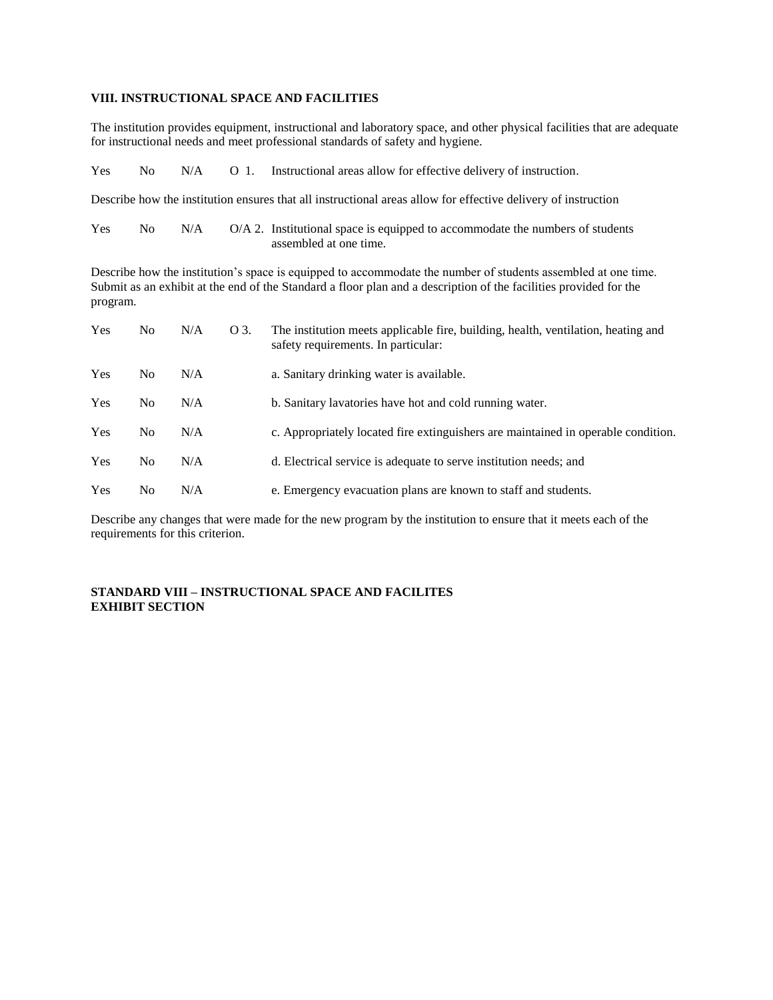### **VIII. INSTRUCTIONAL SPACE AND FACILITIES**

The institution provides equipment, instructional and laboratory space, and other physical facilities that are adequate for instructional needs and meet professional standards of safety and hygiene.

|  |  |  |  | Yes No N/A O 1. Instructional areas allow for effective delivery of instruction. |
|--|--|--|--|----------------------------------------------------------------------------------|
|--|--|--|--|----------------------------------------------------------------------------------|

Describe how the institution ensures that all instructional areas allow for effective delivery of instruction

| <b>Yes</b> | No 11 | N/A | O/A 2. Institutional space is equipped to accommodate the numbers of students |
|------------|-------|-----|-------------------------------------------------------------------------------|
|            |       |     | assembled at one time.                                                        |

Describe how the institution's space is equipped to accommodate the number of students assembled at one time. Submit as an exhibit at the end of the Standard a floor plan and a description of the facilities provided for the program.

| <b>Yes</b> | No.            | N/A | O 3. | The institution meets applicable fire, building, health, ventilation, heating and<br>safety requirements. In particular: |
|------------|----------------|-----|------|--------------------------------------------------------------------------------------------------------------------------|
| Yes        | N <sub>0</sub> | N/A |      | a. Sanitary drinking water is available.                                                                                 |
| Yes        | N <sub>0</sub> | N/A |      | b. Sanitary lavatories have hot and cold running water.                                                                  |
| Yes        | N <sub>0</sub> | N/A |      | c. Appropriately located fire extinguishers are maintained in operable condition.                                        |
| Yes        | N <sub>0</sub> | N/A |      | d. Electrical service is adequate to serve institution needs; and                                                        |
| Yes        | No.            | N/A |      | e. Emergency evacuation plans are known to staff and students.                                                           |

Describe any changes that were made for the new program by the institution to ensure that it meets each of the requirements for this criterion.

#### **STANDARD VIII – INSTRUCTIONAL SPACE AND FACILITES EXHIBIT SECTION**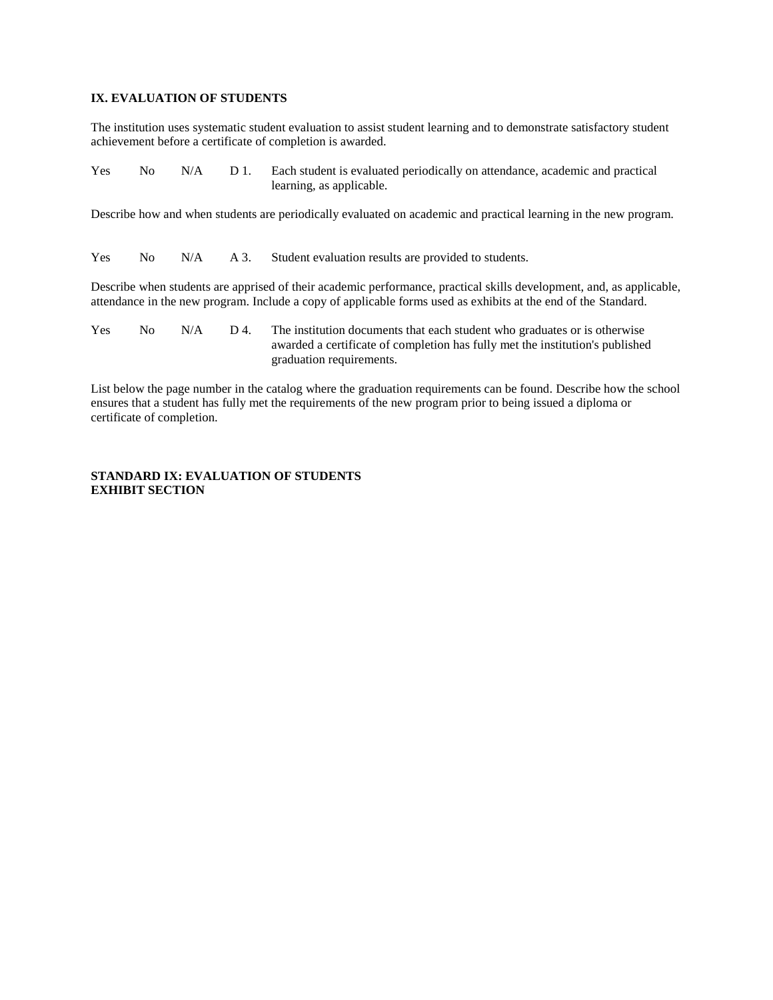### **IX. EVALUATION OF STUDENTS**

The institution uses systematic student evaluation to assist student learning and to demonstrate satisfactory student achievement before a certificate of completion is awarded.

| <b>Yes</b> |  | No N/A D 1. Each student is evaluated periodically on attendance, academic and practical |
|------------|--|------------------------------------------------------------------------------------------|
|            |  | learning, as applicable.                                                                 |

Describe how and when students are periodically evaluated on academic and practical learning in the new program.

Yes No N/A A 3. Student evaluation results are provided to students.

Describe when students are apprised of their academic performance, practical skills development, and, as applicable, attendance in the new program. Include a copy of applicable forms used as exhibits at the end of the Standard.

Yes No  $N/A$  D 4. The institution documents that each student who graduates or is otherwise awarded a certificate of completion has fully met the institution's published graduation requirements.

List below the page number in the catalog where the graduation requirements can be found. Describe how the school ensures that a student has fully met the requirements of the new program prior to being issued a diploma or certificate of completion.

#### **STANDARD IX: EVALUATION OF STUDENTS EXHIBIT SECTION**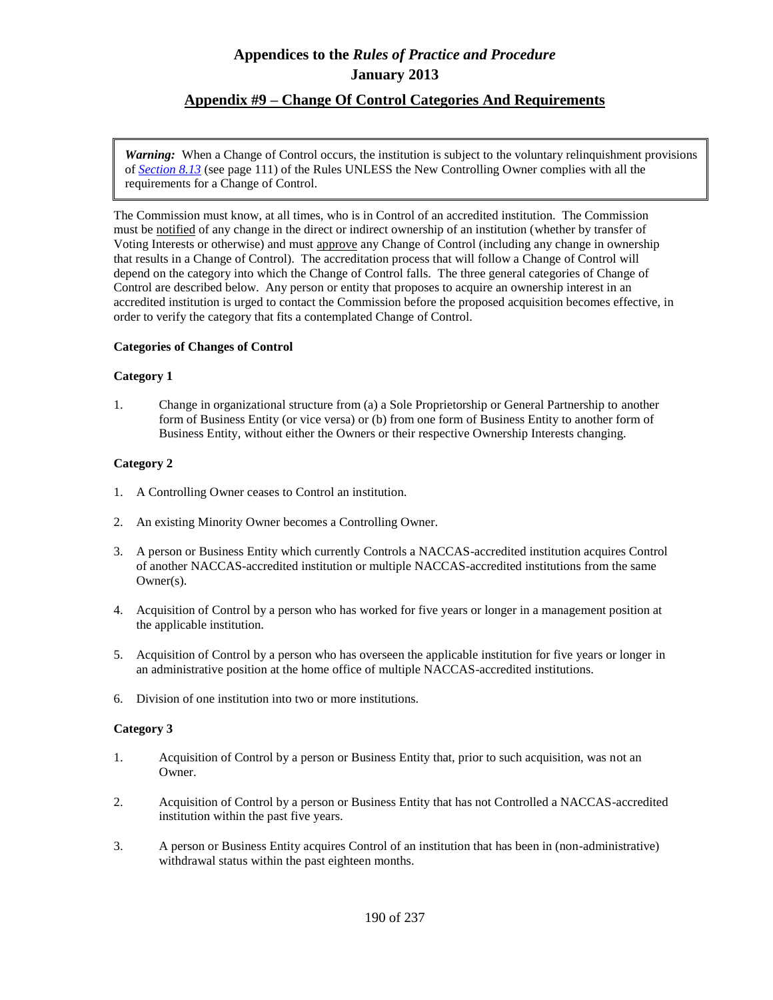## **Appendix #9 – Change Of Control Categories And Requirements**

*Warning:* When a Change of Control occurs, the institution is subject to the voluntary relinquishment provisions of *Section 8.13* (see page 111) of the Rules UNLESS the New Controlling Owner complies with all the requirements for a Change of Control.

The Commission must know, at all times, who is in Control of an accredited institution. The Commission must be notified of any change in the direct or indirect ownership of an institution (whether by transfer of Voting Interests or otherwise) and must approve any Change of Control (including any change in ownership that results in a Change of Control). The accreditation process that will follow a Change of Control will depend on the category into which the Change of Control falls. The three general categories of Change of Control are described below. Any person or entity that proposes to acquire an ownership interest in an accredited institution is urged to contact the Commission before the proposed acquisition becomes effective, in order to verify the category that fits a contemplated Change of Control.

### **Categories of Changes of Control**

### **Category 1**

1. Change in organizational structure from (a) a Sole Proprietorship or General Partnership to another form of Business Entity (or vice versa) or (b) from one form of Business Entity to another form of Business Entity, without either the Owners or their respective Ownership Interests changing.

### **Category 2**

- 1. A Controlling Owner ceases to Control an institution.
- 2. An existing Minority Owner becomes a Controlling Owner.
- 3. A person or Business Entity which currently Controls a NACCAS-accredited institution acquires Control of another NACCAS-accredited institution or multiple NACCAS-accredited institutions from the same Owner(s).
- 4. Acquisition of Control by a person who has worked for five years or longer in a management position at the applicable institution.
- 5. Acquisition of Control by a person who has overseen the applicable institution for five years or longer in an administrative position at the home office of multiple NACCAS-accredited institutions.
- 6. Division of one institution into two or more institutions.

### **Category 3**

- 1. Acquisition of Control by a person or Business Entity that, prior to such acquisition, was not an Owner.
- 2. Acquisition of Control by a person or Business Entity that has not Controlled a NACCAS-accredited institution within the past five years.
- 3. A person or Business Entity acquires Control of an institution that has been in (non-administrative) withdrawal status within the past eighteen months.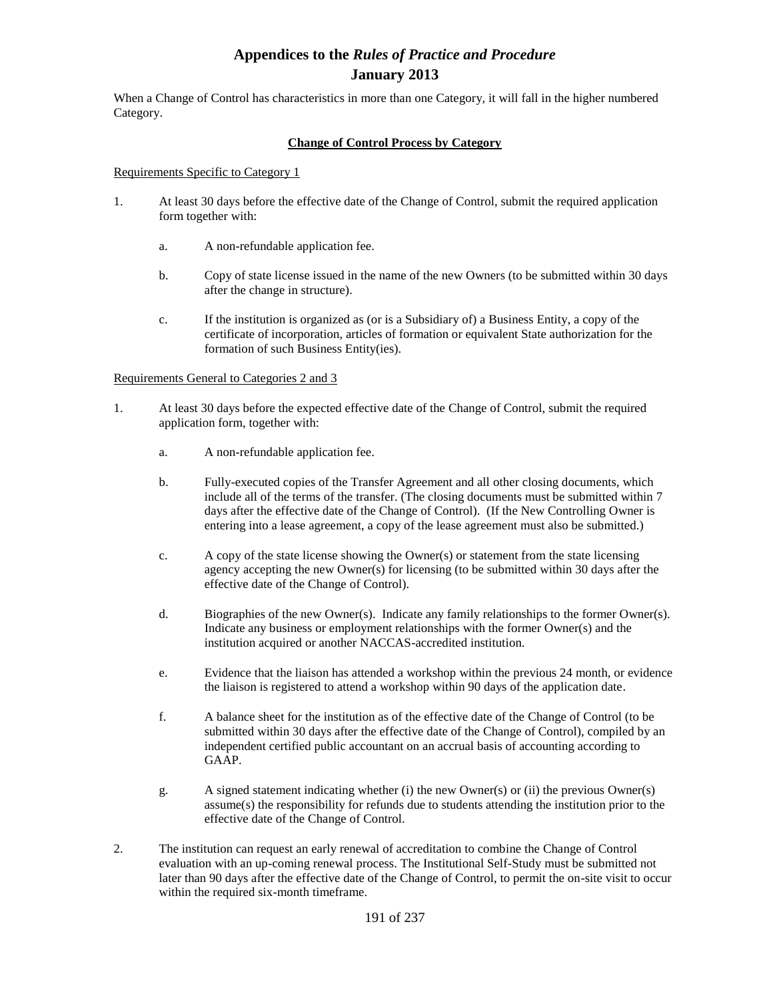When a Change of Control has characteristics in more than one Category, it will fall in the higher numbered Category.

### **Change of Control Process by Category**

#### Requirements Specific to Category 1

- 1. At least 30 days before the effective date of the Change of Control, submit the required application form together with:
	- a. A non-refundable application fee.
	- b. Copy of state license issued in the name of the new Owners (to be submitted within 30 days after the change in structure).
	- c. If the institution is organized as (or is a Subsidiary of) a Business Entity, a copy of the certificate of incorporation, articles of formation or equivalent State authorization for the formation of such Business Entity(ies).

#### Requirements General to Categories 2 and 3

- 1. At least 30 days before the expected effective date of the Change of Control, submit the required application form, together with:
	- a. A non-refundable application fee.
	- b. Fully-executed copies of the Transfer Agreement and all other closing documents, which include all of the terms of the transfer. (The closing documents must be submitted within 7 days after the effective date of the Change of Control). (If the New Controlling Owner is entering into a lease agreement, a copy of the lease agreement must also be submitted.)
	- c. A copy of the state license showing the Owner(s) or statement from the state licensing agency accepting the new Owner(s) for licensing (to be submitted within 30 days after the effective date of the Change of Control).
	- d. Biographies of the new Owner(s). Indicate any family relationships to the former Owner(s). Indicate any business or employment relationships with the former Owner(s) and the institution acquired or another NACCAS-accredited institution.
	- e. Evidence that the liaison has attended a workshop within the previous 24 month, or evidence the liaison is registered to attend a workshop within 90 days of the application date.
	- f. A balance sheet for the institution as of the effective date of the Change of Control (to be submitted within 30 days after the effective date of the Change of Control), compiled by an independent certified public accountant on an accrual basis of accounting according to GAAP.
	- g. A signed statement indicating whether (i) the new Owner(s) or (ii) the previous Owner(s) assume(s) the responsibility for refunds due to students attending the institution prior to the effective date of the Change of Control.
- 2. The institution can request an early renewal of accreditation to combine the Change of Control evaluation with an up-coming renewal process. The Institutional Self-Study must be submitted not later than 90 days after the effective date of the Change of Control, to permit the on-site visit to occur within the required six-month timeframe.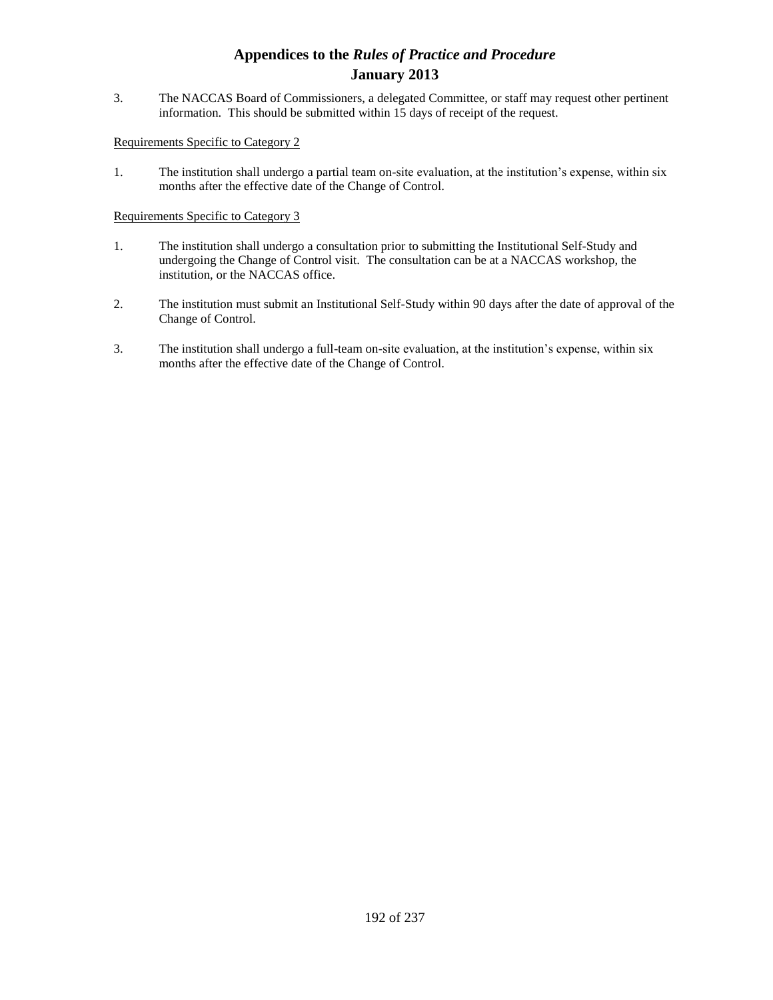3. The NACCAS Board of Commissioners, a delegated Committee, or staff may request other pertinent information. This should be submitted within 15 days of receipt of the request.

### Requirements Specific to Category 2

1. The institution shall undergo a partial team on-site evaluation, at the institution's expense, within six months after the effective date of the Change of Control.

### Requirements Specific to Category 3

- 1. The institution shall undergo a consultation prior to submitting the Institutional Self-Study and undergoing the Change of Control visit. The consultation can be at a NACCAS workshop, the institution, or the NACCAS office.
- 2. The institution must submit an Institutional Self-Study within 90 days after the date of approval of the Change of Control.
- 3. The institution shall undergo a full-team on-site evaluation, at the institution's expense, within six months after the effective date of the Change of Control.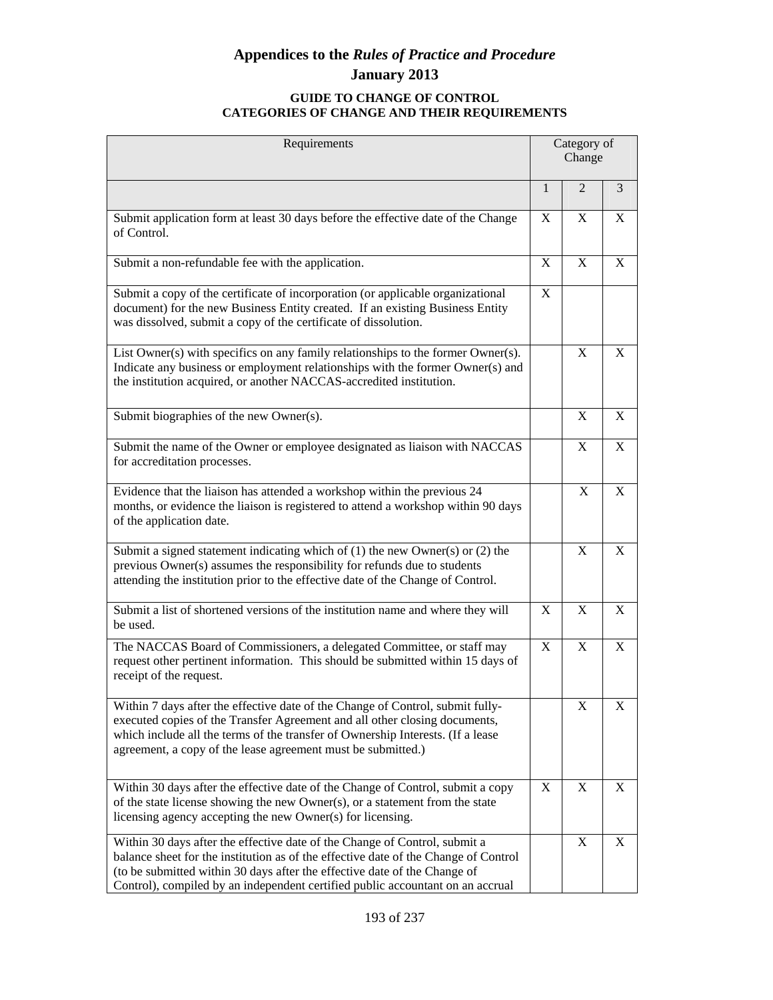### **GUIDE TO CHANGE OF CONTROL CATEGORIES OF CHANGE AND THEIR REQUIREMENTS**

| Requirements                                                                                                                                                                                                                                                                                                                     | Category of<br>Change |                |   |
|----------------------------------------------------------------------------------------------------------------------------------------------------------------------------------------------------------------------------------------------------------------------------------------------------------------------------------|-----------------------|----------------|---|
|                                                                                                                                                                                                                                                                                                                                  | $\mathbf{1}$          | $\overline{2}$ | 3 |
| Submit application form at least 30 days before the effective date of the Change<br>of Control.                                                                                                                                                                                                                                  | X                     | X              | X |
| Submit a non-refundable fee with the application.                                                                                                                                                                                                                                                                                | X                     | X              | X |
| Submit a copy of the certificate of incorporation (or applicable organizational<br>document) for the new Business Entity created. If an existing Business Entity<br>was dissolved, submit a copy of the certificate of dissolution.                                                                                              | X                     |                |   |
| List Owner(s) with specifics on any family relationships to the former Owner(s).<br>Indicate any business or employment relationships with the former Owner(s) and<br>the institution acquired, or another NACCAS-accredited institution.                                                                                        |                       | X              | X |
| Submit biographies of the new Owner(s).                                                                                                                                                                                                                                                                                          |                       | X              | X |
| Submit the name of the Owner or employee designated as liaison with NACCAS<br>for accreditation processes.                                                                                                                                                                                                                       |                       | X              | X |
| Evidence that the liaison has attended a workshop within the previous 24<br>months, or evidence the liaison is registered to attend a workshop within 90 days<br>of the application date.                                                                                                                                        |                       | X              | X |
| Submit a signed statement indicating which of $(1)$ the new Owner $(s)$ or $(2)$ the<br>previous Owner(s) assumes the responsibility for refunds due to students<br>attending the institution prior to the effective date of the Change of Control.                                                                              |                       | X              | X |
| Submit a list of shortened versions of the institution name and where they will<br>be used.                                                                                                                                                                                                                                      | X                     | X              | X |
| The NACCAS Board of Commissioners, a delegated Committee, or staff may<br>request other pertinent information. This should be submitted within 15 days of<br>receipt of the request.                                                                                                                                             | X                     | X              | X |
| Within 7 days after the effective date of the Change of Control, submit fully-<br>executed copies of the Transfer Agreement and all other closing documents,<br>which include all the terms of the transfer of Ownership Interests. (If a lease<br>agreement, a copy of the lease agreement must be submitted.)                  |                       | X              | Χ |
| Within 30 days after the effective date of the Change of Control, submit a copy<br>of the state license showing the new Owner(s), or a statement from the state<br>licensing agency accepting the new Owner(s) for licensing.                                                                                                    | X                     | $\mathbf X$    | X |
| Within 30 days after the effective date of the Change of Control, submit a<br>balance sheet for the institution as of the effective date of the Change of Control<br>(to be submitted within 30 days after the effective date of the Change of<br>Control), compiled by an independent certified public accountant on an accrual |                       | X              | X |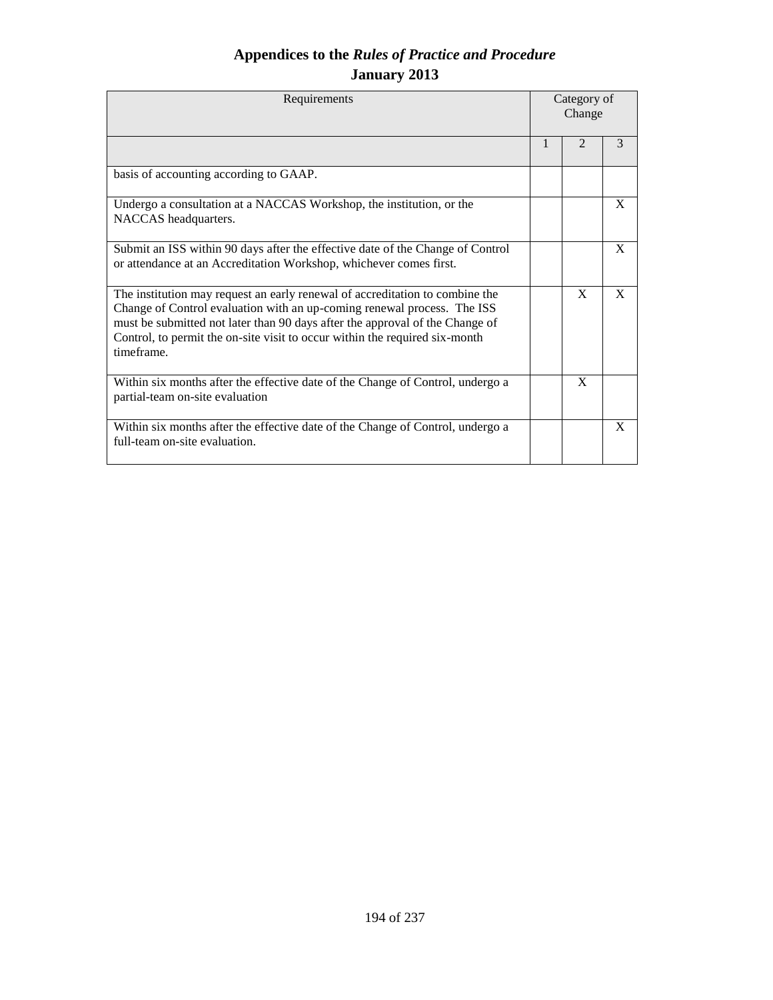| Requirements                                                                                                                                                                                                                                                                                                                         | Category of<br>Change |                |   |
|--------------------------------------------------------------------------------------------------------------------------------------------------------------------------------------------------------------------------------------------------------------------------------------------------------------------------------------|-----------------------|----------------|---|
|                                                                                                                                                                                                                                                                                                                                      | 1                     | $\mathfrak{D}$ | 3 |
| basis of accounting according to GAAP.                                                                                                                                                                                                                                                                                               |                       |                |   |
| Undergo a consultation at a NACCAS Workshop, the institution, or the<br>NACCAS headquarters.                                                                                                                                                                                                                                         |                       |                | X |
| Submit an ISS within 90 days after the effective date of the Change of Control<br>or attendance at an Accreditation Workshop, whichever comes first.                                                                                                                                                                                 |                       |                | X |
| The institution may request an early renewal of accreditation to combine the<br>Change of Control evaluation with an up-coming renewal process. The ISS<br>must be submitted not later than 90 days after the approval of the Change of<br>Control, to permit the on-site visit to occur within the required six-month<br>timeframe. |                       | $\mathbf{X}$   | X |
| Within six months after the effective date of the Change of Control, undergo a<br>partial-team on-site evaluation                                                                                                                                                                                                                    |                       | X              |   |
| Within six months after the effective date of the Change of Control, undergo a<br>full-team on-site evaluation.                                                                                                                                                                                                                      |                       |                | X |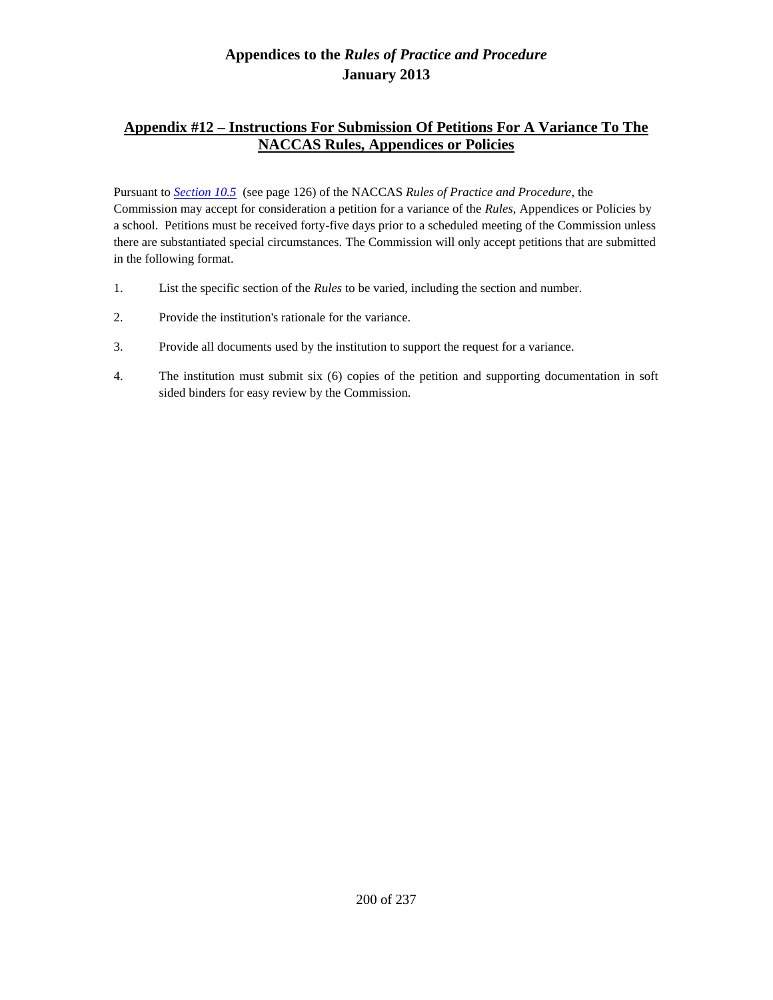# **Appendix #12 – Instructions For Submission Of Petitions For A Variance To The NACCAS Rules, Appendices or Policies**

Pursuant to *Section 10.5* (see page 126) of the NACCAS *Rules of Practice and Procedure*, the Commission may accept for consideration a petition for a variance of the *Rules*, Appendices or Policies by a school. Petitions must be received forty-five days prior to a scheduled meeting of the Commission unless there are substantiated special circumstances. The Commission will only accept petitions that are submitted in the following format.

- 1. List the specific section of the *Rules* to be varied, including the section and number.
- 2. Provide the institution's rationale for the variance.
- 3. Provide all documents used by the institution to support the request for a variance.
- 4. The institution must submit six (6) copies of the petition and supporting documentation in soft sided binders for easy review by the Commission.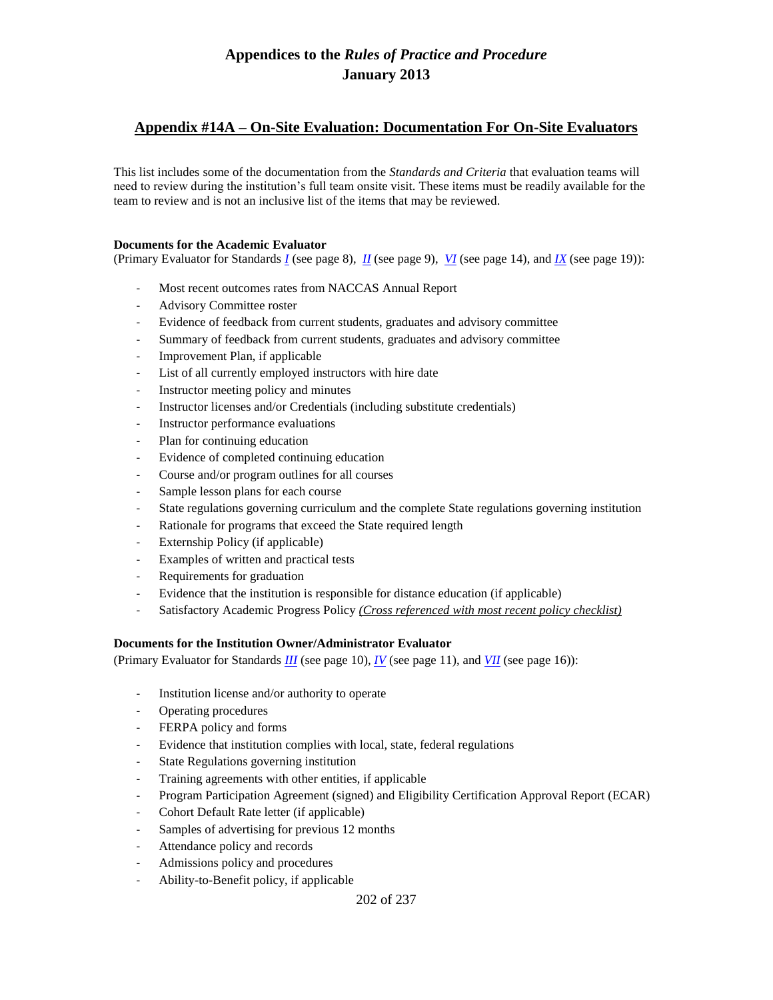### **Appendix #14A – On-Site Evaluation: Documentation For On-Site Evaluators**

This list includes some of the documentation from the *Standards and Criteria* that evaluation teams will need to review during the institution's full team onsite visit. These items must be readily available for the team to review and is not an inclusive list of the items that may be reviewed.

#### **Documents for the Academic Evaluator**

(Primary Evaluator for Standards *I* (see page 8), *II* (see page 9), *VI* (see page 14), and *IX* (see page 19)):

- Most recent outcomes rates from NACCAS Annual Report
- Advisory Committee roster
- Evidence of feedback from current students, graduates and advisory committee
- Summary of feedback from current students, graduates and advisory committee
- Improvement Plan, if applicable
- List of all currently employed instructors with hire date
- Instructor meeting policy and minutes
- Instructor licenses and/or Credentials (including substitute credentials)
- Instructor performance evaluations
- Plan for continuing education
- Evidence of completed continuing education
- Course and/or program outlines for all courses
- Sample lesson plans for each course
- State regulations governing curriculum and the complete State regulations governing institution
- Rationale for programs that exceed the State required length
- Externship Policy (if applicable)
- Examples of written and practical tests
- Requirements for graduation
- Evidence that the institution is responsible for distance education (if applicable)
- Satisfactory Academic Progress Policy *(Cross referenced with most recent policy checklist)*

#### **Documents for the Institution Owner/Administrator Evaluator**

(Primary Evaluator for Standards *III* (see page 10), *IV* (see page 11), and *VII* (see page 16)):

- Institution license and/or authority to operate
- Operating procedures
- FERPA policy and forms
- Evidence that institution complies with local, state, federal regulations
- State Regulations governing institution
- Training agreements with other entities, if applicable
- Program Participation Agreement (signed) and Eligibility Certification Approval Report (ECAR)
- Cohort Default Rate letter (if applicable)
- Samples of advertising for previous 12 months
- Attendance policy and records
- Admissions policy and procedures
- Ability-to-Benefit policy, if applicable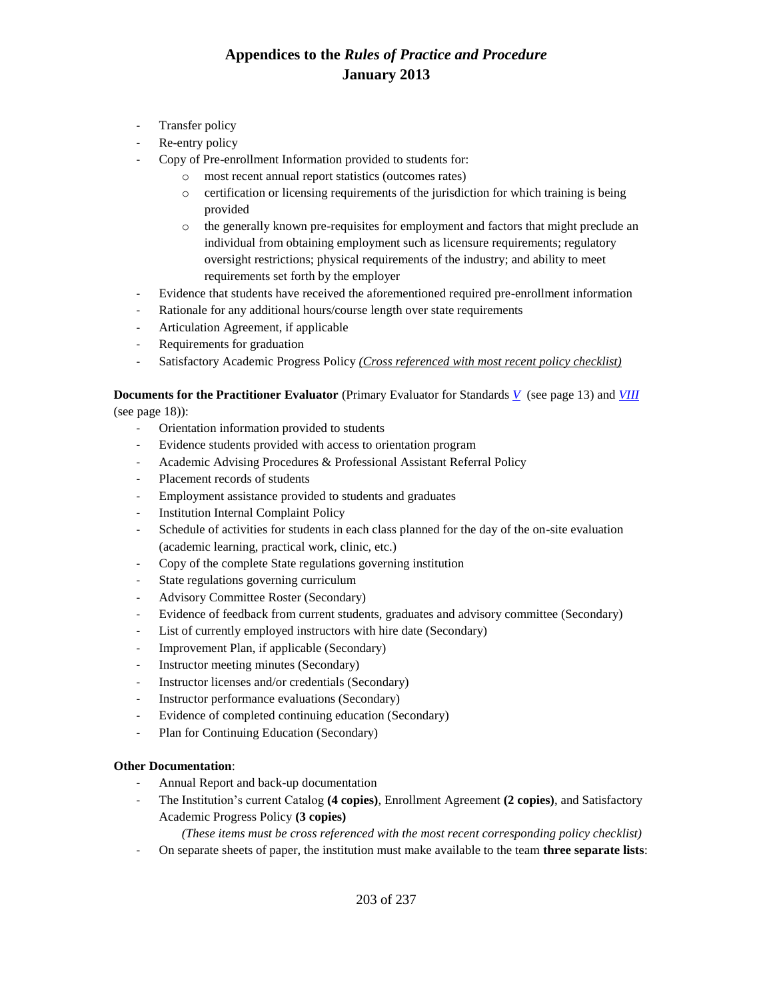- Transfer policy
- Re-entry policy
- Copy of Pre-enrollment Information provided to students for:
	- o most recent annual report statistics (outcomes rates)
	- $\circ$  certification or licensing requirements of the jurisdiction for which training is being provided
	- o the generally known pre-requisites for employment and factors that might preclude an individual from obtaining employment such as licensure requirements; regulatory oversight restrictions; physical requirements of the industry; and ability to meet requirements set forth by the employer
- Evidence that students have received the aforementioned required pre-enrollment information
- Rationale for any additional hours/course length over state requirements
- Articulation Agreement, if applicable
- Requirements for graduation
- Satisfactory Academic Progress Policy *(Cross referenced with most recent policy checklist)*

### **Documents for the Practitioner Evaluator** (Primary Evaluator for Standards *V* (see page 13) and *VIII* (see page 18)):

- Orientation information provided to students
- Evidence students provided with access to orientation program
- Academic Advising Procedures & Professional Assistant Referral Policy
- Placement records of students
- Employment assistance provided to students and graduates
- Institution Internal Complaint Policy
- Schedule of activities for students in each class planned for the day of the on-site evaluation (academic learning, practical work, clinic, etc.)
- Copy of the complete State regulations governing institution
- State regulations governing curriculum
- Advisory Committee Roster (Secondary)
- Evidence of feedback from current students, graduates and advisory committee (Secondary)
- List of currently employed instructors with hire date (Secondary)
- Improvement Plan, if applicable (Secondary)
- Instructor meeting minutes (Secondary)
- Instructor licenses and/or credentials (Secondary)
- Instructor performance evaluations (Secondary)
- Evidence of completed continuing education (Secondary)
- Plan for Continuing Education (Secondary)

### **Other Documentation**:

- Annual Report and back-up documentation
- The Institution's current Catalog **(4 copies)**, Enrollment Agreement **(2 copies)**, and Satisfactory Academic Progress Policy **(3 copies)**

*(These items must be cross referenced with the most recent corresponding policy checklist)*

- On separate sheets of paper, the institution must make available to the team **three separate lists**: